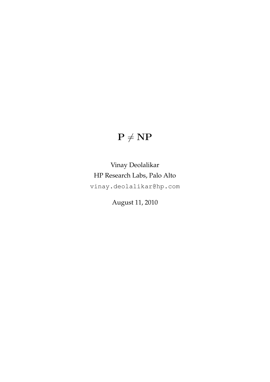# $\mathbf{P} \neq \mathbf{NP}$

## Vinay Deolalikar HP Research Labs, Palo Alto vinay.deolalikar@hp.com

August 11, 2010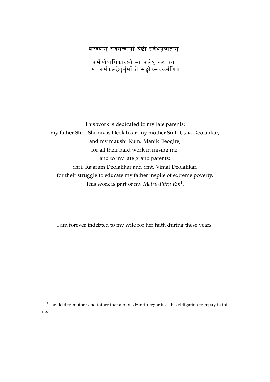शरण्याम् सर्वसत्वानां <mark>श्रेष्ठौ</mark> सर्वधनुष्मताम् ।

कर्मण्येवाधिकारस्ते मा फलेषु कदाचन । ्रः स्मान् सम्भारतः स्मान् सम्मान् कर्मफलहेतुर्भुर्मा ते सङ्गोऽस्त्वकर्मणि॥

This work is dedicated to my late parents: my father Shri. Shrinivas Deolalikar, my mother Smt. Usha Deolalikar, and my maushi Kum. Manik Deogire, for all their hard work in raising me; and to my late grand parents: Shri. Rajaram Deolalikar and Smt. Vimal Deolalikar, for their struggle to educate my father inspite of extreme poverty. This work is part of my *Matru-Pitru Rin*<sup>1</sup> .

I am forever indebted to my wife for her faith during these years.

<sup>&</sup>lt;sup>1</sup>The debt to mother and father that a pious Hindu regards as his obligation to repay in this life.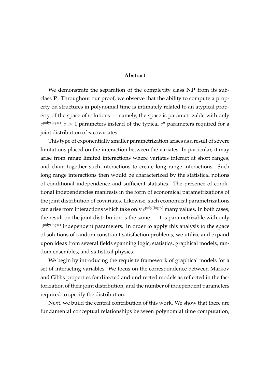#### **Abstract**

We demonstrate the separation of the complexity class NP from its subclass P. Throughout our proof, we observe that the ability to compute a property on structures in polynomial time is intimately related to an atypical property of the space of solutions — namely, the space is parametrizable with only  $c^{\text{poly}(\log n)}$ ,  $c > 1$  parameters instead of the typical  $c^n$  parameters required for a joint distribution of  $n$  covariates.

This type of exponentially smaller parametrization arises as a result of severe limitations placed on the interaction between the variates. In particular, it may arise from range limited interactions where variates interact at short ranges, and chain together such interactions to create long range interactions. Such long range interactions then would be characterized by the statistical notions of conditional independence and sufficient statistics. The presence of conditional independencies manifests in the form of economical parametrizations of the joint distribution of covariates. Likewise, such economical parametrizations can arise from interactions which take only  $c^{\text{poly}(\log n)}$  many values. In both cases, the result on the joint distribution is the same — it is parametrizable with only  $c^{\text{poly}(\log n)}$  independent parameters. In order to apply this analysis to the space of solutions of random constraint satisfaction problems, we utilize and expand upon ideas from several fields spanning logic, statistics, graphical models, random ensembles, and statistical physics.

We begin by introducing the requisite framework of graphical models for a set of interacting variables. We focus on the correspondence between Markov and Gibbs properties for directed and undirected models as reflected in the factorization of their joint distribution, and the number of independent parameters required to specify the distribution.

Next, we build the central contribution of this work. We show that there are fundamental conceptual relationships between polynomial time computation,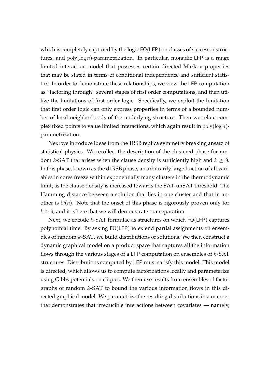which is completely captured by the logic FO(LFP) on classes of successor structures, and  $poly(log n)$ -parametrization. In particular, monadic LFP is a range limited interaction model that possesses certain directed Markov properties that may be stated in terms of conditional independence and sufficient statistics. In order to demonstrate these relationships, we view the LFP computation as "factoring through" several stages of first order computations, and then utilize the limitations of first order logic. Specifically, we exploit the limitation that first order logic can only express properties in terms of a bounded number of local neighborhoods of the underlying structure. Then we relate complex fixed points to value limited interactions, which again result in  $poly(\log n)$ parametrization.

Next we introduce ideas from the 1RSB replica symmetry breaking ansatz of statistical physics. We recollect the description of the clustered phase for random k-SAT that arises when the clause density is sufficiently high and  $k \geq 9$ . In this phase, known as the d1RSB phase, an arbitrarily large fraction of all variables in cores freeze within exponentially many clusters in the thermodynamic limit, as the clause density is increased towards the SAT-unSAT threshold. The Hamming distance between a solution that lies in one cluster and that in another is  $O(n)$ . Note that the onset of this phase is rigorously proven only for  $k \geq 9$ , and it is here that we will demonstrate our separation.

Next, we encode  $k$ -SAT formulae as structures on which  $FO(LFP)$  captures polynomial time. By asking FO(LFP) to extend partial assignments on ensembles of random k-SAT, we build distributions of solutions. We then construct a dynamic graphical model on a product space that captures all the information flows through the various stages of a LFP computation on ensembles of  $k$ -SAT structures. Distributions computed by LFP must satisfy this model. This model is directed, which allows us to compute factorizations locally and parameterize using Gibbs potentials on cliques. We then use results from ensembles of factor graphs of random  $k$ -SAT to bound the various information flows in this directed graphical model. We parametrize the resulting distributions in a manner that demonstrates that irreducible interactions between covariates — namely,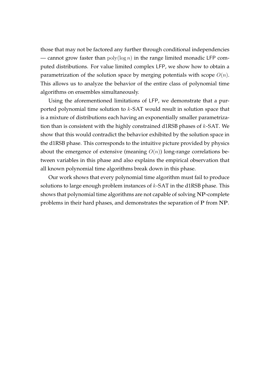those that may not be factored any further through conditional independencies — cannot grow faster than  $poly(log n)$  in the range limited monadic LFP computed distributions. For value limited complex LFP, we show how to obtain a parametrization of the solution space by merging potentials with scope  $O(n)$ . This allows us to analyze the behavior of the entire class of polynomial time algorithms on ensembles simultaneously.

Using the aforementioned limitations of LFP, we demonstrate that a purported polynomial time solution to k-SAT would result in solution space that is a mixture of distributions each having an exponentially smaller parametrization than is consistent with the highly constrained d1RSB phases of  $k$ -SAT. We show that this would contradict the behavior exhibited by the solution space in the d1RSB phase. This corresponds to the intuitive picture provided by physics about the emergence of extensive (meaning  $O(n)$ ) long-range correlations between variables in this phase and also explains the empirical observation that all known polynomial time algorithms break down in this phase.

Our work shows that every polynomial time algorithm must fail to produce solutions to large enough problem instances of  $k$ -SAT in the d1RSB phase. This shows that polynomial time algorithms are not capable of solving NP-complete problems in their hard phases, and demonstrates the separation of P from NP.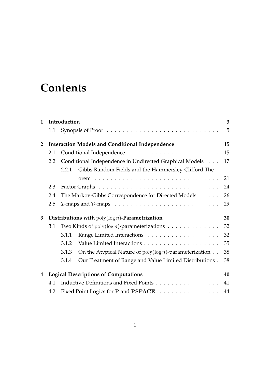# **Contents**

| $\mathbf{1}$   | Introduction                                              |                                                                                         |                                                                     |    |  |  |
|----------------|-----------------------------------------------------------|-----------------------------------------------------------------------------------------|---------------------------------------------------------------------|----|--|--|
|                | 1.1                                                       |                                                                                         |                                                                     | 5  |  |  |
| $\overline{2}$ |                                                           | <b>Interaction Models and Conditional Independence</b>                                  |                                                                     |    |  |  |
|                | 2.1                                                       |                                                                                         |                                                                     |    |  |  |
|                | 2.2                                                       | Conditional Independence in Undirected Graphical Models                                 |                                                                     |    |  |  |
|                |                                                           | 2.2.1                                                                                   | Gibbs Random Fields and the Hammersley-Clifford The-                |    |  |  |
|                |                                                           |                                                                                         |                                                                     | 21 |  |  |
|                | 2.3                                                       |                                                                                         |                                                                     | 24 |  |  |
|                | 2.4                                                       | The Markov-Gibbs Correspondence for Directed Models                                     |                                                                     |    |  |  |
|                | 2.5                                                       | $I$ -maps and $D$ -maps $\ldots \ldots \ldots \ldots \ldots \ldots \ldots \ldots$<br>29 |                                                                     |    |  |  |
| 3              | Distributions with $\text{poly}(\log n)$ -Parametrization |                                                                                         |                                                                     |    |  |  |
|                | 3.1                                                       | Two Kinds of $poly(\log n)$ -parameterizations                                          |                                                                     |    |  |  |
|                |                                                           | 3.1.1                                                                                   |                                                                     | 32 |  |  |
|                |                                                           | 3.1.2                                                                                   |                                                                     | 35 |  |  |
|                |                                                           | 3.1.3                                                                                   | On the Atypical Nature of $poly(\log n)$ -parameterization $\ldots$ | 38 |  |  |
|                |                                                           | 3.1.4                                                                                   | Our Treatment of Range and Value Limited Distributions.             | 38 |  |  |
| 4              | <b>Logical Descriptions of Computations</b><br>40         |                                                                                         |                                                                     |    |  |  |
|                | 4.1                                                       | Inductive Definitions and Fixed Points                                                  |                                                                     |    |  |  |
|                | 4.2                                                       | Fixed Point Logics for P and PSPACE                                                     |                                                                     |    |  |  |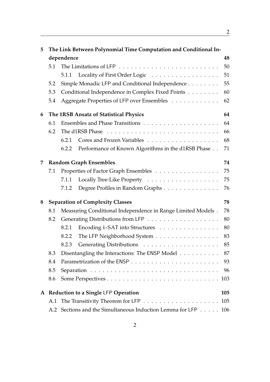| 5 | The Link Between Polynomial Time Computation and Conditional In- |                                                       |                                                             |     |  |  |  |
|---|------------------------------------------------------------------|-------------------------------------------------------|-------------------------------------------------------------|-----|--|--|--|
|   | dependence                                                       |                                                       |                                                             |     |  |  |  |
|   | 5.1                                                              |                                                       |                                                             | 50  |  |  |  |
|   |                                                                  |                                                       | 5.1.1 Locality of First Order Logic                         | 51  |  |  |  |
|   | 5.2                                                              |                                                       | Simple Monadic LFP and Conditional Independence             | 55  |  |  |  |
|   | 5.3                                                              | Conditional Independence in Complex Fixed Points      |                                                             | 60  |  |  |  |
|   | 5.4                                                              | Aggregate Properties of LFP over Ensembles            |                                                             |     |  |  |  |
| 6 | 64<br>The 1RSB Ansatz of Statistical Physics                     |                                                       |                                                             |     |  |  |  |
|   | 6.1                                                              |                                                       |                                                             | 64  |  |  |  |
|   | 6.2                                                              |                                                       |                                                             | 66  |  |  |  |
|   |                                                                  | 6.2.1                                                 |                                                             | 68  |  |  |  |
|   |                                                                  | 6.2.2                                                 | Performance of Known Algorithms in the d1RSB Phase          | 71  |  |  |  |
| 7 |                                                                  | 74<br><b>Random Graph Ensembles</b>                   |                                                             |     |  |  |  |
|   | 7.1                                                              | Properties of Factor Graph Ensembles                  |                                                             |     |  |  |  |
|   |                                                                  | 7.1.1                                                 |                                                             | 75  |  |  |  |
|   |                                                                  | 7.1.2                                                 | Degree Profiles in Random Graphs                            | 76  |  |  |  |
| 8 | 78<br><b>Separation of Complexity Classes</b>                    |                                                       |                                                             |     |  |  |  |
|   | 8.1                                                              |                                                       | Measuring Conditional Independence in Range Limited Models. | 78  |  |  |  |
|   | 8.2                                                              |                                                       |                                                             | 80  |  |  |  |
|   |                                                                  | 8.2.1                                                 | Encoding <i>k</i> -SAT into Structures                      | 80  |  |  |  |
|   |                                                                  | 8.2.2                                                 | The LFP Neighborhood System                                 | 83  |  |  |  |
|   |                                                                  | 8.2.3                                                 |                                                             | 85  |  |  |  |
|   | 8.3                                                              | Disentangling the Interactions: The ENSP Model<br>-87 |                                                             |     |  |  |  |
|   | 8.4                                                              | 93                                                    |                                                             |     |  |  |  |
|   | 8.5                                                              | 96                                                    |                                                             |     |  |  |  |
|   | 8.6                                                              | 103                                                   |                                                             |     |  |  |  |
|   | A Reduction to a Single LFP Operation<br>105                     |                                                       |                                                             |     |  |  |  |
|   | A.1                                                              |                                                       |                                                             | 105 |  |  |  |
|   | A.2                                                              |                                                       | Sections and the Simultaneous Induction Lemma for LFP 106   |     |  |  |  |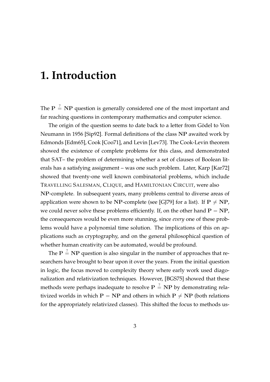# **1. Introduction**

The  $P \stackrel{?}{=} NP$  question is generally considered one of the most important and far reaching questions in contemporary mathematics and computer science.

The origin of the question seems to date back to a letter from Gödel to Von Neumann in 1956 [Sip92]. Formal definitions of the class NP awaited work by Edmonds [Edm65], Cook [Coo71], and Levin [Lev73]. The Cook-Levin theorem showed the existence of complete problems for this class, and demonstrated that SAT– the problem of determining whether a set of clauses of Boolean literals has a satisfying assignment – was one such problem. Later, Karp [Kar72] showed that twenty-one well known combinatorial problems, which include TRAVELLING SALESMAN, CLIQUE, and HAMILTONIAN CIRCUIT, were also NP-complete. In subsequent years, many problems central to diverse areas of application were shown to be NP-complete (see [GJ79] for a list). If  $P \neq NP$ , we could never solve these problems efficiently. If, on the other hand  $P = NP$ , the consequences would be even more stunning, since *every* one of these problems would have a polynomial time solution. The implications of this on applications such as cryptography, and on the general philosophical question of whether human creativity can be automated, would be profound.

The  $P \stackrel{?}{=} NP$  question is also singular in the number of approaches that researchers have brought to bear upon it over the years. From the initial question in logic, the focus moved to complexity theory where early work used diagonalization and relativization techniques. However, [BGS75] showed that these methods were perhaps inadequate to resolve  $\mathbf{P}\stackrel{?}{=} \mathbf{NP}$  by demonstrating relativized worlds in which  $P = NP$  and others in which  $P \neq NP$  (both relations for the appropriately relativized classes). This shifted the focus to methods us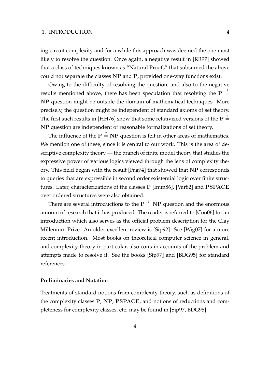ing circuit complexity and for a while this approach was deemed the one most likely to resolve the question. Once again, a negative result in [RR97] showed that a class of techniques known as "Natural Proofs" that subsumed the above could not separate the classes NP and P, provided one-way functions exist.

Owing to the difficulty of resolving the question, and also to the negative results mentioned above, there has been speculation that resolving the P  $\stackrel{?}{=}$ NP question might be outside the domain of mathematical techniques. More precisely, the question might be independent of standard axioms of set theory. The first such results in [HH76] show that some relativized versions of the P  $\stackrel{?}{=}$ NP question are independent of reasonable formalizations of set theory.

The influence of the  $\mathbf{P} \stackrel{?}{=} \mathbf{NP}$  question is felt in other areas of mathematics. We mention one of these, since it is central to our work. This is the area of descriptive complexity theory — the branch of finite model theory that studies the expressive power of various logics viewed through the lens of complexity theory. This field began with the result [Fag74] that showed that NP corresponds to queries that are expressible in second order existential logic over finite structures. Later, characterizations of the classes P [Imm86], [Var82] and PSPACE over ordered structures were also obtained.

There are several introductions to the  $\mathbf{P} \stackrel{?}{=} \mathbf{NP}$  question and the enormous amount of research that it has produced. The reader is referred to [Coo06] for an introduction which also serves as the official problem description for the Clay Millenium Prize. An older excellent review is [Sip92]. See [Wig07] for a more recent introduction. Most books on theoretical computer science in general, and complexity theory in particular, also contain accounts of the problem and attempts made to resolve it. See the books [Sip97] and [BDG95] for standard references.

#### **Preliminaries and Notation**

Treatments of standard notions from complexity theory, such as definitions of the complexity classes P, NP, PSPACE, and notions of reductions and completeness for complexity classes, etc. may be found in [Sip97, BDG95].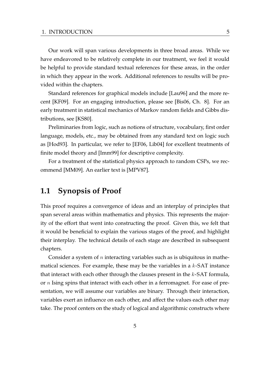Our work will span various developments in three broad areas. While we have endeavored to be relatively complete in our treatment, we feel it would be helpful to provide standard textual references for these areas, in the order in which they appear in the work. Additional references to results will be provided within the chapters.

Standard references for graphical models include [Lau96] and the more recent [KF09]. For an engaging introduction, please see [Bis06, Ch. 8]. For an early treatment in statistical mechanics of Markov random fields and Gibbs distributions, see [KS80].

Preliminaries from logic, such as notions of structure, vocabulary, first order language, models, etc., may be obtained from any standard text on logic such as [Hod93]. In particular, we refer to [EF06, Lib04] for excellent treatments of finite model theory and [Imm99] for descriptive complexity.

For a treatment of the statistical physics approach to random CSPs, we recommend [MM09]. An earlier text is [MPV87].

### **1.1 Synopsis of Proof**

This proof requires a convergence of ideas and an interplay of principles that span several areas within mathematics and physics. This represents the majority of the effort that went into constructing the proof. Given this, we felt that it would be beneficial to explain the various stages of the proof, and highlight their interplay. The technical details of each stage are described in subsequent chapters.

Consider a system of  $n$  interacting variables such as is ubiquitous in mathematical sciences. For example, these may be the variables in a  $k$ -SAT instance that interact with each other through the clauses present in the  $k$ -SAT formula, or  $n$  Ising spins that interact with each other in a ferromagnet. For ease of presentation, we will assume our variables are binary. Through their interaction, variables exert an influence on each other, and affect the values each other may take. The proof centers on the study of logical and algorithmic constructs where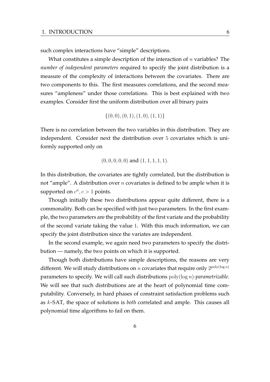such complex interactions have "simple" descriptions.

What constitutes a simple description of the interaction of  $n$  variables? The *number of independent parameters* required to specify the joint distribution is a measure of the complexity of interactions between the covariates. There are two components to this. The first measures correlations, and the second measures "ampleness" under those correlations. This is best explained with two examples. Consider first the uniform distribution over all binary pairs

$$
\{(0,0), (0,1), (1,0), (1,1)\}
$$

There is no correlation between the two variables in this distribution. They are independent. Consider next the distribution over 5 covariates which is uniformly supported only on

$$
(0, 0, 0, 0, 0)
$$
 and  $(1, 1, 1, 1, 1)$ .

In this distribution, the covariates are tightly correlated, but the distribution is not "ample". A distribution over  $n$  covariates is defined to be ample when it is supported on  $c^n, c > 1$  points.

Though initially these two distributions appear quite different, there is a commonality. Both can be specified with just two parameters. In the first example, the two parameters are the probability of the first variate and the probability of the second variate taking the value 1. With this much information, we can specify the joint distribution since the variates are independent.

In the second example, we again need two parameters to specify the distribution — namely, the two points on which it is supported.

Though both distributions have simple descriptions, the reasons are very different. We will study distributions on n covariates that require only  $2^{\text{poly}(\log n)}$ parameters to specify. We will call such distributions poly(log n)*-parametrizable*. We will see that such distributions are at the heart of polynomial time computability. Conversely, in hard phases of constraint satisfaction problems such as k-SAT, the space of solutions is *both* correlated and ample. This causes all polynomial time algorithms to fail on them.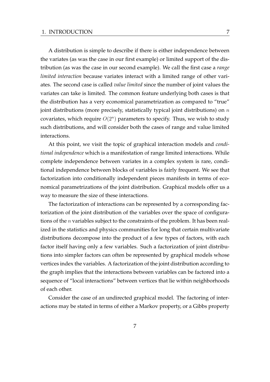A distribution is simple to describe if there is either independence between the variates (as was the case in our first example) or limited support of the distribution (as was the case in our second example). We call the first case a *range limited interaction* because variates interact with a limited range of other variates. The second case is called *value limited* since the number of joint values the variates can take is limited. The common feature underlying both cases is that the distribution has a very economical parametrization as compared to "true" joint distributions (more precisely, statistically typical joint distributions) on  $n$ covariates, which require  $O(2^n)$  parameters to specify. Thus, we wish to study such distributions, and will consider both the cases of range and value limited interactions.

At this point, we visit the topic of graphical interaction models and *conditional independence* which is a manifestation of range limited interactions. While complete independence between variates in a complex system is rare, conditional independence between blocks of variables is fairly frequent. We see that factorization into conditionally independent pieces manifests in terms of economical parametrizations of the joint distribution. Graphical models offer us a way to measure the size of these interactions.

The factorization of interactions can be represented by a corresponding factorization of the joint distribution of the variables over the space of configurations of the *n* variables subject to the constraints of the problem. It has been realized in the statistics and physics communities for long that certain multivariate distributions decompose into the product of a few types of factors, with each factor itself having only a few variables. Such a factorization of joint distributions into simpler factors can often be represented by graphical models whose vertices index the variables. A factorization of the joint distribution according to the graph implies that the interactions between variables can be factored into a sequence of "local interactions" between vertices that lie within neighborhoods of each other.

Consider the case of an undirected graphical model. The factoring of interactions may be stated in terms of either a Markov property, or a Gibbs property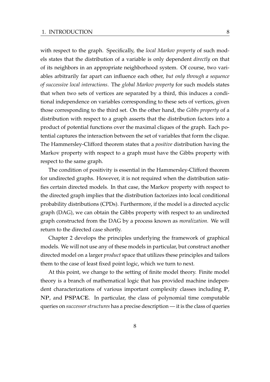with respect to the graph. Specifically, the *local Markov property* of such models states that the distribution of a variable is only dependent *directly* on that of its neighbors in an appropriate neighborhood system. Of course, two variables arbitrarily far apart can influence each other, *but only through a sequence of successive local interactions*. The *global Markov property* for such models states that when two sets of vertices are separated by a third, this induces a conditional independence on variables corresponding to these sets of vertices, given those corresponding to the third set. On the other hand, the *Gibbs property* of a distribution with respect to a graph asserts that the distribution factors into a product of potential functions over the maximal cliques of the graph. Each potential captures the interaction between the set of variables that form the clique. The Hammersley-Clifford theorem states that a *positive* distribution having the Markov property with respect to a graph must have the Gibbs property with respect to the same graph.

The condition of positivity is essential in the Hammersley-Clifford theorem for undirected graphs. However, it is not required when the distribution satisfies certain directed models. In that case, the Markov property with respect to the directed graph implies that the distribution factorizes into local conditional probability distributions (CPDs). Furthermore, if the model is a directed acyclic graph (DAG), we can obtain the Gibbs property with respect to an undirected graph constructed from the DAG by a process known as *moralization*. We will return to the directed case shortly.

Chapter 2 develops the principles underlying the framework of graphical models. We will not use any of these models in particular, but construct another directed model on a larger *product* space that utilizes these principles and tailors them to the case of least fixed point logic, which we turn to next.

At this point, we change to the setting of finite model theory. Finite model theory is a branch of mathematical logic that has provided machine independent characterizations of various important complexity classes including P, NP, and PSPACE. In particular, the class of polynomial time computable queries on *successor structures* has a precise description — it is the class of queries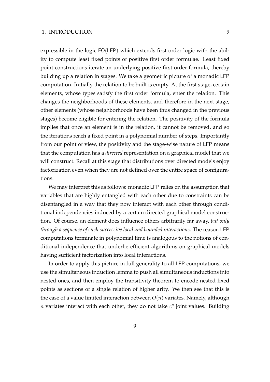expressible in the logic FO(LFP) which extends first order logic with the ability to compute least fixed points of positive first order formulae. Least fixed point constructions iterate an underlying positive first order formula, thereby building up a relation in stages. We take a geometric picture of a monadic LFP computation. Initially the relation to be built is empty. At the first stage, certain elements, whose types satisfy the first order formula, enter the relation. This changes the neighborhoods of these elements, and therefore in the next stage, other elements (whose neighborhoods have been thus changed in the previous stages) become eligible for entering the relation. The positivity of the formula implies that once an element is in the relation, it cannot be removed, and so the iterations reach a fixed point in a polynomial number of steps. Importantly from our point of view, the positivity and the stage-wise nature of LFP means that the computation has a *directed* representation on a graphical model that we will construct. Recall at this stage that distributions over directed models enjoy factorization even when they are not defined over the entire space of configurations.

We may interpret this as follows: monadic LFP relies on the assumption that variables that are highly entangled with each other due to constraints can be disentangled in a way that they now interact with each other through conditional independencies induced by a certain directed graphical model construction. Of course, an element does influence others arbitrarily far away, *but only through a sequence of such successive local and bounded interactions*. The reason LFP computations terminate in polynomial time is analogous to the notions of conditional independence that underlie efficient algorithms on graphical models having sufficient factorization into local interactions.

In order to apply this picture in full generality to all LFP computations, we use the simultaneous induction lemma to push all simultaneous inductions into nested ones, and then employ the transitivity theorem to encode nested fixed points as sections of a single relation of higher arity. We then see that this is the case of a value limited interaction between  $O(n)$  variates. Namely, although n variates interact with each other, they do not take  $c<sup>n</sup>$  joint values. Building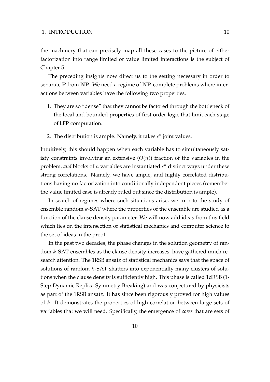the machinery that can precisely map all these cases to the picture of either factorization into range limited or value limited interactions is the subject of Chapter 5.

The preceding insights now direct us to the setting necessary in order to separate P from NP. We need a regime of NP-complete problems where interactions between variables have the following two properties.

- 1. They are so "dense" that they cannot be factored through the bottleneck of the local and bounded properties of first order logic that limit each stage of LFP computation.
- 2. The distribution is ample. Namely, it takes  $c^n$  joint values.

Intuitively, this should happen when each variable has to simultaneously satisfy constraints involving an extensive  $(O(n))$  fraction of the variables in the problem, *and* blocks of  $n$  variables are instantiated  $c<sup>n</sup>$  distinct ways under these strong correlations. Namely, we have ample, and highly correlated distributions having no factorization into conditionally independent pieces (remember the value limited case is already ruled out since the distribution is ample).

In search of regimes where such situations arise, we turn to the study of ensemble random k-SAT where the properties of the ensemble are studied as a function of the clause density parameter. We will now add ideas from this field which lies on the intersection of statistical mechanics and computer science to the set of ideas in the proof.

In the past two decades, the phase changes in the solution geometry of random  $k$ -SAT ensembles as the clause density increases, have gathered much research attention. The 1RSB ansatz of statistical mechanics says that the space of solutions of random k-SAT shatters into exponentially many clusters of solutions when the clause density is sufficiently high. This phase is called 1dRSB (1- Step Dynamic Replica Symmetry Breaking) and was conjectured by physicists as part of the 1RSB ansatz. It has since been rigorously proved for high values of k. It demonstrates the properties of high correlation between large sets of variables that we will need. Specifically, the emergence of *cores* that are sets of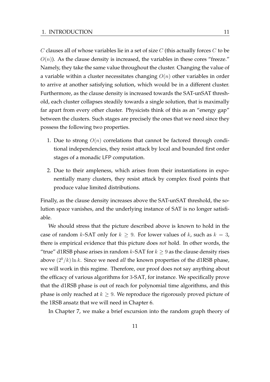$C$  clauses all of whose variables lie in a set of size  $C$  (this actually forces  $C$  to be  $O(n)$ ). As the clause density is increased, the variables in these cores "freeze." Namely, they take the same value throughout the cluster. Changing the value of a variable within a cluster necessitates changing  $O(n)$  other variables in order to arrive at another satisfying solution, which would be in a different cluster. Furthermore, as the clause density is increased towards the SAT-unSAT threshold, each cluster collapses steadily towards a single solution, that is maximally far apart from every other cluster. Physicists think of this as an "energy gap" between the clusters. Such stages are precisely the ones that we need since they possess the following two properties.

- 1. Due to strong  $O(n)$  correlations that cannot be factored through conditional independencies, they resist attack by local and bounded first order stages of a monadic LFP computation.
- 2. Due to their ampleness, which arises from their instantiations in exponentially many clusters, they resist attack by complex fixed points that produce value limited distributions.

Finally, as the clause density increases above the SAT-unSAT threshold, the solution space vanishes, and the underlying instance of SAT is no longer satisfiable.

We should stress that the picture described above is known to hold in the case of random k-SAT only for  $k \geq 9$ . For lower values of k, such as  $k = 3$ , there is empirical evidence that this picture does *not* hold. In other words, the "true" d1RSB phase arises in random k-SAT for  $k \geq 9$  as the clause density rises above  $(2^k/k) \ln k$ . Since we need *all* the known properties of the d1RSB phase, we will work in this regime. Therefore, our proof does not say anything about the efficacy of various algorithms for 3-SAT, for instance. We specifically prove that the d1RSB phase is out of reach for polynomial time algorithms, and this phase is only reached at  $k \geq 9$ . We reproduce the rigorously proved picture of the 1RSB ansatz that we will need in Chapter 6.

In Chapter 7, we make a brief excursion into the random graph theory of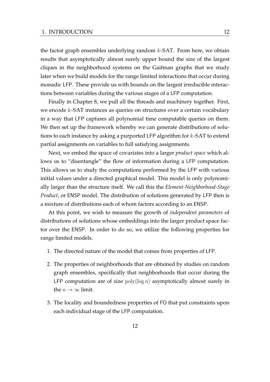the factor graph ensembles underlying random  $k$ -SAT. From here, we obtain results that asymptotically almost surely upper bound the size of the largest cliques in the neighborhood systems on the Gaifman graphs that we study later when we build models for the range limited interactions that occur during monadic LFP. These provide us with bounds on the largest irreducible interactions between variables during the various stages of a LFP computation.

Finally in Chapter 8, we pull all the threads and machinery together. First, we encode k-SAT instances as queries on structures over a certain vocabulary in a way that LFP captures all polynomial time computable queries on them. We then set up the framework whereby we can generate distributions of solutions to each instance by asking a purported LFP algorithm for  $k$ -SAT to extend partial assignments on variables to full satisfying assignments.

Next, we embed the space of covariates into a larger *product space* which allows us to "disentangle" the flow of information during a LFP computation. This allows us to study the computations performed by the LFP with various initial values under a directed graphical model. This model is only polynomially larger than the structure itself. We call this the *Element-Neighborhood-Stage Product*, or ENSP model. The distribution of solutions generated by LFP then is a mixture of distributions each of whom factors according to an ENSP.

At this point, we wish to measure the growth of *independent parameters* of distributions of solutions whose embeddings into the larger product space factor over the ENSP. In order to do so, we utilize the following properties for range limited models.

- 1. The directed nature of the model that comes from properties of LFP.
- 2. The properties of neighborhoods that are obtained by studies on random graph ensembles, specifically that neighborhoods that occur during the LFP computation are of size  $poly(log n)$  asymptotically almost surely in the  $n \to \infty$  limit.
- 3. The locality and boundedness properties of FO that put constraints upon each individual stage of the LFP computation.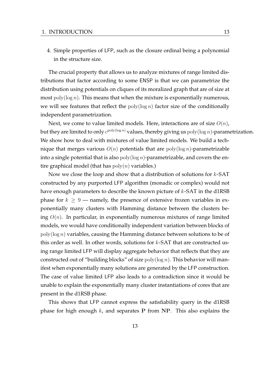4. Simple properties of LFP, such as the closure ordinal being a polynomial in the structure size.

The crucial property that allows us to analyze mixtures of range limited distributions that factor according to some ENSP is that we can parametrize the distribution using potentials on cliques of its moralized graph that are of size at most  $\text{poly}(\log n)$ . This means that when the mixture is exponentially numerous, we will see features that reflect the  $poly(log n)$  factor size of the conditionally independent parametrization.

Next, we come to value limited models. Here, interactions are of size  $O(n)$ , but they are limited to only  $c^{\text{poly}(\log n)}$  values, thereby giving us  $\operatorname{poly}(\log n)$ -parametrization. We show how to deal with mixtures of value limited models. We build a technique that merges various  $O(n)$  potentials that are  $\text{poly}(\log n)$ -parametrizable into a single potential that is also  $poly(log n)$ -parametrizable, and covers the entire graphical model (that has  $poly(n)$  variables.)

Now we close the loop and show that a distribution of solutions for  $k$ -SAT constructed by any purported LFP algorithm (monadic or complex) would not have enough parameters to describe the known picture of  $k$ -SAT in the d1RSB phase for  $k \geq 9$  — namely, the presence of extensive frozen variables in exponentially many clusters with Hamming distance between the clusters being  $O(n)$ . In particular, in exponentially numerous mixtures of range limited models, we would have conditionally independent variation between blocks of  $poly(log n)$  variables, causing the Hamming distance between solutions to be of this order as well. In other words, solutions for  $k$ -SAT that are constructed using range limited LFP will display aggregate behavior that reflects that they are constructed out of "building blocks" of size  $poly(log n)$ . This behavior will manifest when exponentially many solutions are generated by the LFP construction. The case of value limited LFP also leads to a contradiction since it would be unable to explain the exponentially many cluster instantiations of cores that are present in the d1RSB phase.

This shows that LFP cannot express the satisfiability query in the d1RSB phase for high enough  $k$ , and separates P from NP. This also explains the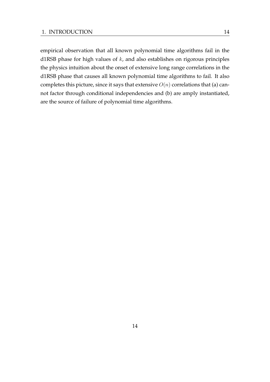empirical observation that all known polynomial time algorithms fail in the d1RSB phase for high values of  $k$ , and also establishes on rigorous principles the physics intuition about the onset of extensive long range correlations in the d1RSB phase that causes all known polynomial time algorithms to fail. It also completes this picture, since it says that extensive  $O(n)$  correlations that (a) cannot factor through conditional independencies and (b) are amply instantiated, are the source of failure of polynomial time algorithms.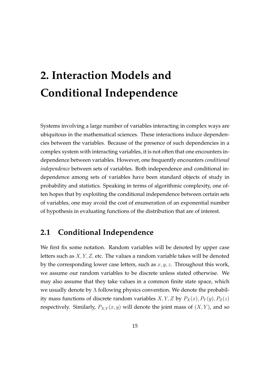# **2. Interaction Models and Conditional Independence**

Systems involving a large number of variables interacting in complex ways are ubiquitous in the mathematical sciences. These interactions induce dependencies between the variables. Because of the presence of such dependencies in a complex system with interacting variables, it is not often that one encounters independence between variables. However, one frequently encounters *conditional independence* between sets of variables. Both independence and conditional independence among sets of variables have been standard objects of study in probability and statistics. Speaking in terms of algorithmic complexity, one often hopes that by exploiting the conditional independence between certain sets of variables, one may avoid the cost of enumeration of an exponential number of hypothesis in evaluating functions of the distribution that are of interest.

### **2.1 Conditional Independence**

We first fix some notation. Random variables will be denoted by upper case letters such as  $X, Y, Z$ , etc. The values a random variable takes will be denoted by the corresponding lower case letters, such as  $x, y, z$ . Throughout this work, we assume our random variables to be discrete unless stated otherwise. We may also assume that they take values in a common finite state space, which we usually denote by Λ following physics convention. We denote the probability mass functions of discrete random variables X, Y, Z by  $P_X(x)$ ,  $P_Y(y)$ ,  $P_Z(z)$ respectively. Similarly,  $P_{X,Y}(x, y)$  will denote the joint mass of  $(X, Y)$ , and so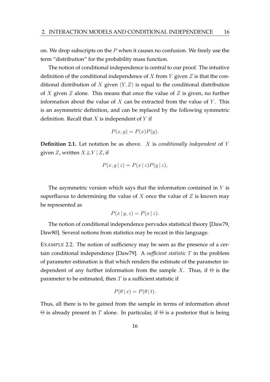on. We drop subscripts on the  $P$  when it causes no confusion. We freely use the term "distribution" for the probability mass function.

The notion of conditional independence is central to our proof. The intuitive definition of the conditional independence of X from Y given Z is that the conditional distribution of X given  $(Y, Z)$  is equal to the conditional distribution of X given Z alone. This means that once the value of Z is given, no further information about the value of  $X$  can be extracted from the value of  $Y$ . This is an asymmetric definition, and can be replaced by the following symmetric definition. Recall that  $X$  is independent of  $Y$  if

$$
P(x, y) = P(x)P(y).
$$

**Definition 2.1.** Let notation be as above. X is *conditionally independent* of Y given Z, written  $X \perp\!\!\!\perp Y \mid Z$ , if

$$
P(x, y | z) = P(x | z) P(y | z),
$$

The asymmetric version which says that the information contained in  $Y$  is superfluous to determining the value of  $X$  once the value of  $Z$  is known may be represented as

$$
P(x \mid y, z) = P(x \mid z).
$$

The notion of conditional independence pervades statistical theory [Daw79, Daw80]. Several notions from statistics may be recast in this language.

EXAMPLE 2.2. The notion of sufficiency may be seen as the presence of a certain conditional independence [Daw79]. A *sufficient statistic* T in the problem of parameter estimation is that which renders the estimate of the parameter independent of any further information from the sample X. Thus, if  $\Theta$  is the parameter to be estimated, then  $T$  is a sufficient statistic if

$$
P(\theta | x) = P(\theta | t).
$$

Thus, all there is to be gained from the sample in terms of information about  $\Theta$  is already present in T alone. In particular, if  $\Theta$  is a posterior that is being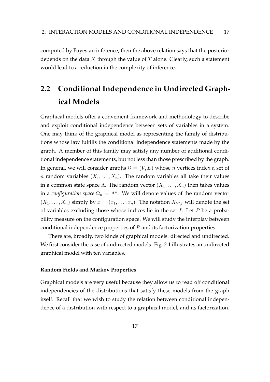computed by Bayesian inference, then the above relation says that the posterior depends on the data X through the value of T alone. Clearly, such a statement would lead to a reduction in the complexity of inference.

## **2.2 Conditional Independence in Undirected Graphical Models**

Graphical models offer a convenient framework and methodology to describe and exploit conditional independence between sets of variables in a system. One may think of the graphical model as representing the family of distributions whose law fulfills the conditional independence statements made by the graph. A member of this family may satisfy any number of additional conditional independence statements, but not less than those prescribed by the graph. In general, we will consider graphs  $G = (V, E)$  whose *n* vertices index a set of *n* random variables  $(X_1, \ldots, X_n)$ . The random variables all take their values in a common state space Λ. The random vector  $(X_1, \ldots, X_n)$  then takes values in a *configuration space*  $\Omega_n = \Lambda^n$ . We will denote values of the random vector  $(X_1, \ldots, X_n)$  simply by  $x = (x_1, \ldots, x_n)$ . The notation  $X_{V \setminus I}$  will denote the set of variables excluding those whose indices lie in the set  $I$ . Let  $P$  be a probability measure on the configuration space. We will study the interplay between conditional independence properties of P and its factorization properties.

There are, broadly, two kinds of graphical models: directed and undirected. We first consider the case of undirected models. Fig. 2.1 illustrates an undirected graphical model with ten variables.

#### **Random Fields and Markov Properties**

Graphical models are very useful because they allow us to read off conditional independencies of the distributions that satisfy these models from the graph itself. Recall that we wish to study the relation between conditional independence of a distribution with respect to a graphical model, and its factorization.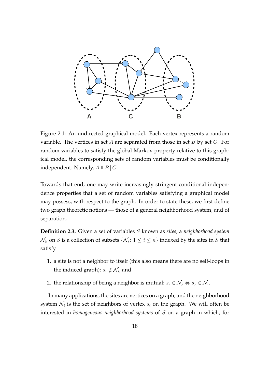

Figure 2.1: An undirected graphical model. Each vertex represents a random variable. The vertices in set  $A$  are separated from those in set  $B$  by set  $C$ . For random variables to satisfy the global Markov property relative to this graphical model, the corresponding sets of random variables must be conditionally independent. Namely,  $A \perp\!\!\!\perp B \mid C$ .

Towards that end, one may write increasingly stringent conditional independence properties that a set of random variables satisfying a graphical model may possess, with respect to the graph. In order to state these, we first define two graph theoretic notions — those of a general neighborhood system, and of separation.

**Definition 2.3.** Given a set of variables S known as *sites*, a *neighborhood system*  $\mathcal{N}_{\mathcal{S}}$  on  $S$  is a collection of subsets  $\{\mathcal{N}_i\colon 1\leq i\leq n\}$  indexed by the sites in  $S$  that satisfy

- 1. a site is not a neighbor to itself (this also means there are no self-loops in the induced graph):  $s_i \notin \mathcal{N}_i$ , and
- 2. the relationship of being a neighbor is mutual:  $s_i \in \mathcal{N}_j \Leftrightarrow s_j \in \mathcal{N}_i.$

In many applications, the sites are vertices on a graph, and the neighborhood system  $\mathcal{N}_i$  is the set of neighbors of vertex  $s_i$  on the graph. We will often be interested in *homogeneous neighborhood systems* of S on a graph in which, for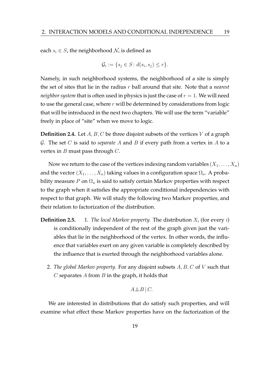each  $s_i \in S$ , the neighborhood  $\mathcal{N}_i$  is defined as

$$
\mathcal{G}_i := \{ s_j \in S \colon d(s_i, s_j) \le r \}.
$$

Namely, in such neighborhood systems, the neighborhood of a site is simply the set of sites that lie in the radius r ball around that site. Note that a *nearest neighbor system* that is often used in physics is just the case of  $r = 1$ . We will need to use the general case, where  $r$  will be determined by considerations from logic that will be introduced in the next two chapters. We will use the term "variable" freely in place of "site" when we move to logic.

**Definition 2.4.** Let A, B, C be three disjoint subsets of the vertices V of a graph G. The set C is said to *separate* A and B if every path from a vertex in A to a vertex in  $B$  must pass through  $C$ .

Now we return to the case of the vertices indexing random variables  $(X_1, \ldots, X_n)$ and the vector  $(X_1, \ldots, X_n)$  taking values in a configuration space  $\Omega_n$ . A probability measure P on  $\Omega_n$  is said to satisfy certain Markov properties with respect to the graph when it satisfies the appropriate conditional independencies with respect to that graph. We will study the following two Markov properties, and their relation to factorization of the distribution.

- **Definition 2.5.** 1. *The local Markov property.* The distribution  $X_i$  (for every i) is conditionally independent of the rest of the graph given just the variables that lie in the neighborhood of the vertex. In other words, the influence that variables exert on any given variable is completely described by the influence that is exerted through the neighborhood variables alone.
	- 2. *The global Markov property.* For any disjoint subsets A, B, C of V such that C separates A from  $B$  in the graph, it holds that

 $A \perp\!\!\!\perp B \mid C.$ 

We are interested in distributions that do satisfy such properties, and will examine what effect these Markov properties have on the factorization of the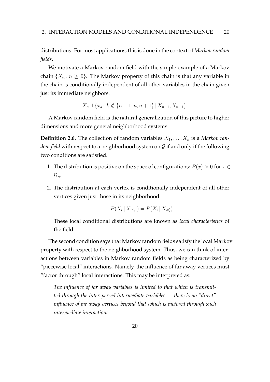distributions. For most applications, this is done in the context of *Markov random fields*.

We motivate a Markov random field with the simple example of a Markov chain  $\{X_n : n \geq 0\}$ . The Markov property of this chain is that any variable in the chain is conditionally independent of all other variables in the chain given just its immediate neighbors:

$$
X_n \perp \!\!\!\perp \{x_k : k \notin \{n-1, n, n+1\} \,|\, X_{n-1}, X_{n+1}\}.
$$

A Markov random field is the natural generalization of this picture to higher dimensions and more general neighborhood systems.

**Definition 2.6.** The collection of random variables  $X_1, \ldots, X_n$  is a *Markov random field* with respect to a neighborhood system on G if and only if the following two conditions are satisfied.

- 1. The distribution is positive on the space of configurations:  $P(x) > 0$  for  $x \in$  $\Omega_n$ .
- 2. The distribution at each vertex is conditionally independent of all other vertices given just those in its neighborhood:

$$
P(X_i \mid X_{V \setminus i}) = P(X_i \mid X_{\mathcal{N}_i})
$$

These local conditional distributions are known as *local characteristics* of the field.

The second condition says that Markov random fields satisfy the local Markov property with respect to the neighborhood system. Thus, we can think of interactions between variables in Markov random fields as being characterized by "piecewise local" interactions. Namely, the influence of far away vertices must "factor through" local interactions. This may be interpreted as:

*The influence of far away variables is limited to that which is transmitted through the interspersed intermediate variables — there is no "direct" influence of far away vertices beyond that which is factored through such intermediate interactions.*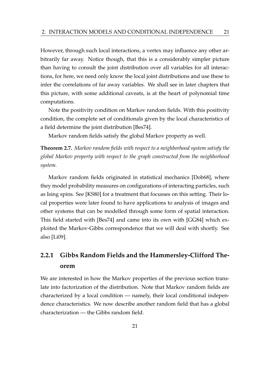However, through such local interactions, a vertex may influence any other arbitrarily far away. Notice though, that this is a considerably simpler picture than having to consult the joint distribution over all variables for all interactions, for here, we need only know the local joint distributions and use these to infer the correlations of far away variables. We shall see in later chapters that this picture, with some additional caveats, is at the heart of polynomial time computations.

Note the positivity condition on Markov random fields. With this positivity condition, the complete set of conditionals given by the local characteristics of a field determine the joint distribution [Bes74].

Markov random fields satisfy the global Markov property as well.

**Theorem 2.7.** *Markov random fields with respect to a neighborhood system satisfy the global Markov property with respect to the graph constructed from the neighborhood system.*

Markov random fields originated in statistical mechanics [Dob68], where they model probability measures on configurations of interacting particles, such as Ising spins. See [KS80] for a treatment that focusses on this setting. Their local properties were later found to have applications to analysis of images and other systems that can be modelled through some form of spatial interaction. This field started with [Bes74] and came into its own with [GG84] which exploited the Markov-Gibbs correspondence that we will deal with shortly. See also [Li09].

## **2.2.1 Gibbs Random Fields and the Hammersley-Clifford Theorem**

We are interested in how the Markov properties of the previous section translate into factorization of the distribution. Note that Markov random fields are characterized by a local condition — namely, their local conditional independence characteristics. We now describe another random field that has a global characterization — the Gibbs random field.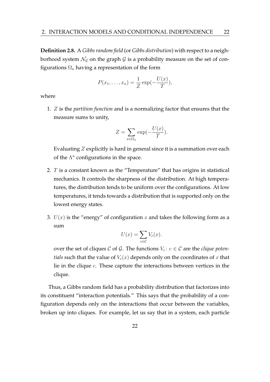**Definition 2.8.** A *Gibbs random field* (or *Gibbs distribution*) with respect to a neighborhood system  $\mathcal{N}_G$  on the graph  $\mathcal G$  is a probability measure on the set of configurations  $\Omega_n$  having a representation of the form

$$
P(x_1,\ldots,x_n)=\frac{1}{Z}\exp(-\frac{U(x)}{T}),
$$

where

1. Z is the *partition function* and is a normalizing factor that ensures that the measure sums to unity,

$$
Z = \sum_{x \in \Omega_n} \exp(-\frac{U(x)}{T}).
$$

Evaluating Z explicitly is hard in general since it is a summation over each of the  $\Lambda^n$  configurations in the space.

- 2. T is a constant known as the "Temperature" that has origins in statistical mechanics. It controls the sharpness of the distribution. At high temperatures, the distribution tends to be uniform over the configurations. At low temperatures, it tends towards a distribution that is supported only on the lowest energy states.
- 3.  $U(x)$  is the "energy" of configuration x and takes the following form as a sum

$$
U(x) = \sum_{c \in \mathcal{C}} V_c(x).
$$

over the set of cliques C of G. The functions  $V_c$ :  $c \in \mathcal{C}$  are the *clique potentials* such that the value of  $V_c(x)$  depends only on the coordinates of x that lie in the clique  $c$ . These capture the interactions between vertices in the clique.

Thus, a Gibbs random field has a probability distribution that factorizes into its constituent "interaction potentials." This says that the probability of a configuration depends only on the interactions that occur between the variables, broken up into cliques. For example, let us say that in a system, each particle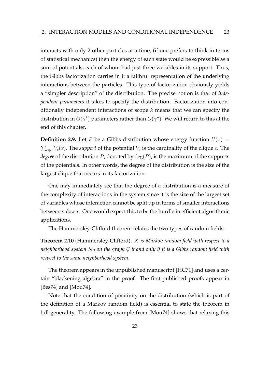interacts with only 2 other particles at a time, (if one prefers to think in terms of statistical mechanics) then the energy of each state would be expressible as a sum of potentials, each of whom had just three variables in its support. Thus, the Gibbs factorization carries in it a faithful representation of the underlying interactions between the particles. This type of factorization obviously yields a "simpler description" of the distribution. The precise notion is that of *independent parameters* it takes to specify the distribution. Factorization into conditionally independent interactions of scope  $k$  means that we can specify the distribution in  $O(\gamma^k)$  parameters rather than  $O(\gamma^n)$ . We will return to this at the end of this chapter.

**Definition 2.9.** Let P be a Gibbs distribution whose energy function  $U(x)$  =  $\sum_{c \in \mathcal{C}} V_c(x)$ . The *support* of the potential  $V_c$  is the cardinality of the clique  $c$ . The *degree* of the distribution P, denoted by  $deg(P)$ , is the maximum of the supports of the potentials. In other words, the degree of the distribution is the size of the largest clique that occurs in its factorization.

One may immediately see that the degree of a distribution is a measure of the complexity of interactions in the system since it is the size of the largest set of variables whose interaction cannot be split up in terms of smaller interactions between subsets. One would expect this to be the hurdle in efficient algorithmic applications.

The Hammersley-Clifford theorem relates the two types of random fields.

**Theorem 2.10** (Hammersley-Clifford)**.** X *is Markov random field with respect to a neighborhood system* N<sup>G</sup> *on the graph* G *if and only if it is a Gibbs random field with respect to the same neighborhood system.*

The theorem appears in the unpublished manuscript [HC71] and uses a certain "blackening algebra" in the proof. The first published proofs appear in [Bes74] and [Mou74].

Note that the condition of positivity on the distribution (which is part of the definition of a Markov random field) is essential to state the theorem in full generality. The following example from [Mou74] shows that relaxing this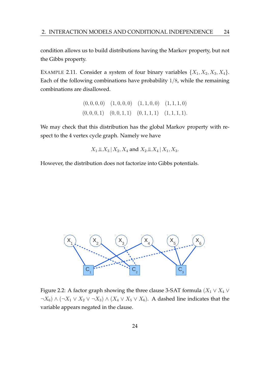condition allows us to build distributions having the Markov property, but not the Gibbs property.

EXAMPLE 2.11. Consider a system of four binary variables  $\{X_1, X_2, X_3, X_4\}$ . Each of the following combinations have probability 1/8, while the remaining combinations are disallowed.

$$
(0,0,0,0) \quad (1,0,0,0) \quad (1,1,0,0) \quad (1,1,1,0)
$$
  

$$
(0,0,0,1) \quad (0,0,1,1) \quad (0,1,1,1) \quad (1,1,1,1).
$$

We may check that this distribution has the global Markov property with respect to the 4 vertex cycle graph. Namely we have

$$
X_1 \perp \!\!\! \perp X_3 | X_2, X_4 \text{ and } X_2 \perp \!\!\! \perp X_4 | X_1, X_3.
$$

However, the distribution does not factorize into Gibbs potentials.



Figure 2.2: A factor graph showing the three clause 3-SAT formula ( $X_1 \vee X_4 \vee X_5$  $\neg X_6$ ) ∧ ( $\neg X_1 \lor X_2 \lor \neg X_3$ ) ∧ ( $X_4 \lor X_5 \lor X_6$ ). A dashed line indicates that the variable appears negated in the clause.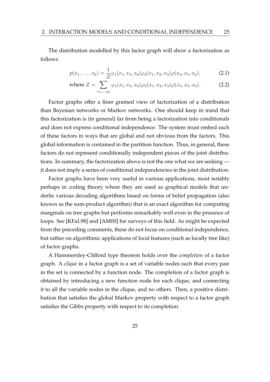The distribution modelled by this factor graph will show a factorization as follows

$$
p(x_1, \ldots, x_6) = \frac{1}{Z} \varphi_1(x_1, x_4, x_6) \varphi_2(x_1, x_2, x_3) \varphi(x_4, x_5, x_6), \tag{2.1}
$$

where 
$$
Z = \sum_{x_1,\dots,x_6} \varphi_1(x_1,x_4,x_6) \varphi_2(x_1,x_2,x_3) \varphi(x_4,x_5,x_6).
$$
 (2.2)

Factor graphs offer a finer grained view of factorization of a distribution than Bayesian networks or Markov networks. One should keep in mind that this factorization is (in general) far from being a factorization into conditionals and does not express conditional independence. The system must embed each of these factors in ways that are global and not obvious from the factors. This global information is contained in the partition function. Thus, in general, these factors do not represent conditionally independent pieces of the joint distributions. In summary, the factorization above is not the one what we are seeking it does not imply a series of conditional independencies in the joint distribution.

Factor graphs have been very useful in various applications, most notably perhaps in coding theory where they are used as graphical models that underlie various decoding algorithms based on forms of belief propagation (also known as the sum-product algorithm) that is an exact algorithm for computing marginals on tree graphs but performs remarkably well even in the presence of loops. See [KFaL98] and [AM00] for surveys of this field. As might be expected from the preceding comments, these do not focus on conditional independence, but rather on algorithmic applications of local features (such as locally tree like) of factor graphs.

A Hammersley-Clifford type theorem holds over the *completion* of a factor graph. A *clique* in a factor graph is a set of variable nodes such that every pair in the set is connected by a function node. The completion of a factor graph is obtained by introducing a new function node for each clique, and connecting it to all the variable nodes in the clique, and no others. Then, a positive distribution that satisfies the global Markov property with respect to a factor graph satisfies the Gibbs property with respect to its completion.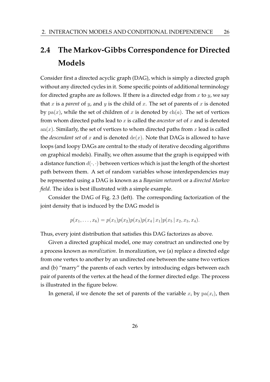## **2.4 The Markov-Gibbs Correspondence for Directed Models**

Consider first a directed acyclic graph (DAG), which is simply a directed graph without any directed cycles in it. Some specific points of additional terminology for directed graphs are as follows. If there is a directed edge from  $x$  to  $y$ , we say that  $x$  is a *parent* of  $y$ , and  $y$  is the child of  $x$ . The set of parents of  $x$  is denoted by  $pa(x)$ , while the set of children of x is denoted by  $ch(a)$ . The set of vertices from whom directed paths lead to x is called the *ancestor set* of x and is denoted an(x). Similarly, the set of vertices to whom directed paths from x lead is called the *descendant set* of x and is denoted  $de(x)$ . Note that DAGs is allowed to have loops (and loopy DAGs are central to the study of iterative decoding algorithms on graphical models). Finally, we often assume that the graph is equipped with a distance function  $d(\cdot, \cdot)$  between vertices which is just the length of the shortest path between them. A set of random variables whose interdependencies may be represented using a DAG is known as a *Bayesian network* or a *directed Markov field*. The idea is best illustrated with a simple example.

Consider the DAG of Fig. 2.3 (left). The corresponding factorization of the joint density that is induced by the DAG model is

$$
p(x_1,...,x_6)=p(x_1)p(x_2)p(x_3)p(x_4|x_1)p(x_5|x_2,x_3,x_4).
$$

Thus, every joint distribution that satisfies this DAG factorizes as above.

Given a directed graphical model, one may construct an undirected one by a process known as *moralization*. In moralization, we (a) replace a directed edge from one vertex to another by an undirected one between the same two vertices and (b) "marry" the parents of each vertex by introducing edges between each pair of parents of the vertex at the head of the former directed edge. The process is illustrated in the figure below.

In general, if we denote the set of parents of the variable  $x_i$  by  $pa(x_i)$ , then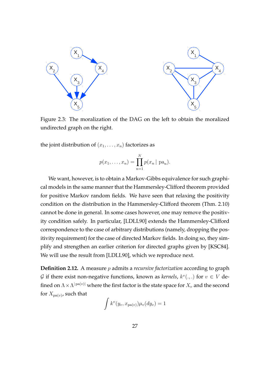

Figure 2.3: The moralization of the DAG on the left to obtain the moralized undirected graph on the right.

the joint distribution of  $(x_1, \ldots, x_n)$  factorizes as

$$
p(x_1,...,x_n) = \prod_{n=1}^{N} p(x_n | \text{pa}_n).
$$

We want, however, is to obtain a Markov-Gibbs equivalence for such graphical models in the same manner that the Hammersley-Clifford theorem provided for positive Markov random fields. We have seen that relaxing the positivity condition on the distribution in the Hammersley-Clifford theorem (Thm. 2.10) cannot be done in general. In some cases however, one may remove the positivity condition safely. In particular, [LDLL90] extends the Hammersley-Clifford correspondence to the case of arbitrary distributions (namely, dropping the positivity requirement) for the case of directed Markov fields. In doing so, they simplify and strengthen an earlier criterion for directed graphs given by [KSC84]. We will use the result from [LDLL90], which we reproduce next.

**Definition 2.12.** A measure p admits a *recursive factorization* according to graph *G* if there exist non-negative functions, known as *kernels*,  $k^v(.,.)$  for  $v \in V$  defined on  $\Lambda \times \Lambda^{|\operatorname{pa}(v)|}$  where the first factor is the state space for  $X_v$  and the second for  $X_{\mathrm{pa}(v)}$ , such that

$$
\int k^v(y_v, x_{\text{pa}(v)}) \mu_v(dy_v) = 1
$$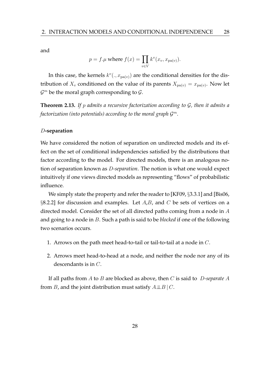and

$$
p = f.\mu \text{ where } f(x) = \prod_{v \in V} k^{v}(x_v, x_{\text{pa}(v)}).
$$

In this case, the kernels  $k^v(.,x_{pa(v)})$  are the conditional densities for the distribution of  $X_v$  conditioned on the value of its parents  $X_{pa(v)} = x_{pa(v)}$ . Now let  $\mathcal{G}^m$  be the moral graph corresponding to  $\mathcal{G}.$ 

**Theorem 2.13.** *If* p *admits a recursive factorization according to* G*, then it admits a factorization (into potentials) according to the moral graph* G m*.*

#### D**-separation**

We have considered the notion of separation on undirected models and its effect on the set of conditional independencies satisfied by the distributions that factor according to the model. For directed models, there is an analogous notion of separation known as D*-separation*. The notion is what one would expect intuitively if one views directed models as representing "flows" of probabilistic influence.

We simply state the property and refer the reader to [KF09, §3.3.1] and [Bis06, §8.2.2] for discussion and examples. Let  $A,B$ , and  $C$  be sets of vertices on a directed model. Consider the set of all directed paths coming from a node in A and going to a node in B. Such a path is said to be *blocked* if one of the following two scenarios occurs.

- 1. Arrows on the path meet head-to-tail or tail-to-tail at a node in  $C$ .
- 2. Arrows meet head-to-head at a node, and neither the node nor any of its descendants is in C.

If all paths from A to B are blocked as above, then C is said to D*-separate* A from B, and the joint distribution must satisfy  $A \perp B \mid C$ .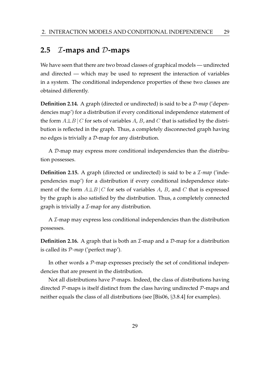### **2.5** I**-maps and** D**-maps**

We have seen that there are two broad classes of graphical models — undirected and directed — which may be used to represent the interaction of variables in a system. The conditional independence properties of these two classes are obtained differently.

**Definition 2.14.** A graph (directed or undirected) is said to be a D*-map* ('dependencies map') for a distribution if every conditional independence statement of the form  $A\perp\!\!\!\perp B\mid C$  for sets of variables A, B, and C that is satisfied by the distribution is reflected in the graph. Thus, a completely disconnected graph having no edges is trivially a  $D$ -map for any distribution.

A D-map may express more conditional independencies than the distribution possesses.

**Definition 2.15.** A graph (directed or undirected) is said to be a *L*-map ('independencies map') for a distribution if every conditional independence statement of the form  $A\perp B\mid C$  for sets of variables A, B, and C that is expressed by the graph is also satisfied by the distribution. Thus, a completely connected graph is trivially a  $\mathcal I$ -map for any distribution.

A  $\mathcal I$ -map may express less conditional independencies than the distribution possesses.

**Definition 2.16.** A graph that is both an *I*-map and a *D*-map for a distribution is called its P*-map* ('perfect map').

In other words a  $P$ -map expresses precisely the set of conditional independencies that are present in the distribution.

Not all distributions have  $P$ -maps. Indeed, the class of distributions having directed  $\mathcal{P}$ -maps is itself distinct from the class having undirected  $\mathcal{P}$ -maps and neither equals the class of all distributions (see [Bis06, §3.8.4] for examples).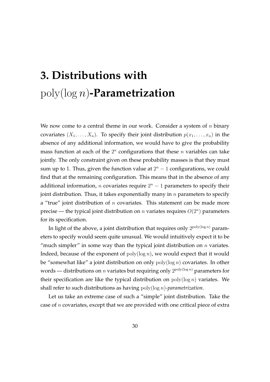# **3. Distributions with** poly(log n)**-Parametrization**

We now come to a central theme in our work. Consider a system of  $n$  binary covariates  $(X_1, \ldots, X_n)$ . To specify their joint distribution  $p(x_1, \ldots, x_n)$  in the absence of any additional information, we would have to give the probability mass function at each of the  $2^n$  configurations that these  $n$  variables can take jointly. The only constraint given on these probability masses is that they must sum up to 1. Thus, given the function value at  $2<sup>n</sup> - 1$  configurations, we could find that at the remaining configuration. This means that in the absence of any additional information, *n* covariates require  $2^n - 1$  parameters to specify their joint distribution. Thus, it takes exponentially many in  $n$  parameters to specify a "true" joint distribution of  $n$  covariates. This statement can be made more precise — the typical joint distribution on *n* variates requires  $O(2^n)$  parameters for its specification.

In light of the above, a joint distribution that requires only  $2^{\text{poly}(\log n)}$  parameters to specify would seem quite unusual. We would intuitively expect it to be "much simpler" in some way than the typical joint distribution on  $n$  variates. Indeed, because of the exponent of  $poly(log n)$ , we would expect that it would be "somewhat like" a joint distribution on only  $\text{poly}(\log n)$  covariates. In other words — distributions on  $n$  variates but requiring only  $2^{\mathrm{poly}(\log n)}$  parameters for their specification are like the typical distribution on  $poly(log n)$  variates. We shall refer to such distributions as having poly(log n)*-parametrization*.

Let us take an extreme case of such a "simple" joint distribution. Take the case of  $n$  covariates, except that we are provided with one critical piece of extra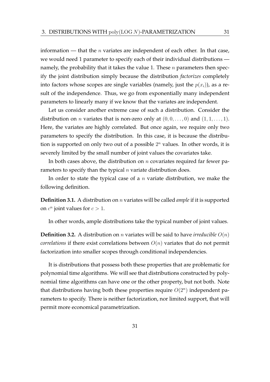information — that the *n* variates are independent of each other. In that case, we would need 1 parameter to specify each of their individual distributions namely, the probability that it takes the value 1. These  $n$  parameters then specify the joint distribution simply because the distribution *factorizes* completely into factors whose scopes are single variables (namely, just the  $p(x<sub>i</sub>)$ ), as a result of the independence. Thus, we go from exponentially many independent parameters to linearly many if we know that the variates are independent.

Let us consider another extreme case of such a distribution. Consider the distribution on *n* variates that is non-zero only at  $(0, 0, \ldots, 0)$  and  $(1, 1, \ldots, 1)$ . Here, the variates are highly correlated. But once again, we require only two parameters to specify the distribution. In this case, it is because the distribution is supported on only two out of a possible  $2<sup>n</sup>$  values. In other words, it is severely limited by the small number of joint values the covariates take.

In both cases above, the distribution on  $n$  covariates required far fewer parameters to specify than the typical  $n$  variate distribution does.

In order to state the typical case of a  $n$  variate distribution, we make the following definition.

**Definition 3.1.** A distribution on n variates will be called *ample* if it is supported on  $c^n$  joint values for  $c > 1$ .

In other words, ample distributions take the typical number of joint values.

**Definition 3.2.** A distribution on *n* variates will be said to have *irreducible*  $O(n)$ *correlations* if there exist correlations between  $O(n)$  variates that do not permit factorization into smaller scopes through conditional independencies.

It is distributions that possess both these properties that are problematic for polynomial time algorithms. We will see that distributions constructed by polynomial time algorithms can have one or the other property, but not both. Note that distributions having both these properties require  $O(2^n)$  independent parameters to specify. There is neither factorization, nor limited support, that will permit more economical parametrization.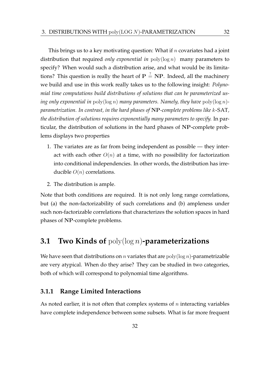This brings us to a key motivating question: What if n covariates had a joint distribution that required *only exponential in* poly(log n) many parameters to specify? When would such a distribution arise, and what would be its limitations? This question is really the heart of  $P \stackrel{?}{=} NP$ . Indeed, all the machinery we build and use in this work really takes us to the following insight: *Polynomial time computations build distributions of solutions that can be parameterized using only exponential in* poly(log n) *many parameters. Namely, they have* poly(log n) *parametrization. In contrast, in the hard phases of* NP*-complete problems like* k-SAT*, the distribution of solutions requires exponentially many parameters to specify.* In particular, the distribution of solutions in the hard phases of NP-complete problems displays two properties

- 1. The variates are as far from being independent as possible they interact with each other  $O(n)$  at a time, with no possibility for factorization into conditional independencies. In other words, the distribution has irreducible  $O(n)$  correlations.
- 2. The distribution is ample.

Note that both conditions are required. It is not only long range correlations, but (a) the non-factorizability of such correlations and (b) ampleness under such non-factorizable correlations that characterizes the solution spaces in hard phases of NP-complete problems.

# **3.1 Two Kinds of** poly(log n)**-parameterizations**

We have seen that distributions on *n* variates that are  $\text{poly}(\log n)$ -parametrizable are very atypical. When do they arise? They can be studied in two categories, both of which will correspond to polynomial time algorithms.

#### **3.1.1 Range Limited Interactions**

As noted earlier, it is not often that complex systems of  $n$  interacting variables have complete independence between some subsets. What is far more frequent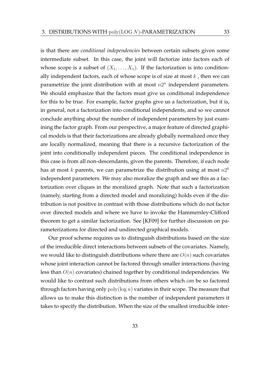is that there are *conditional independencies* between certain subsets given some intermediate subset. In this case, the joint will factorize into factors each of whose scope is a subset of  $(X_1, \ldots, X_n)$ . If the factorization is into conditionally independent factors, each of whose scope is of size at most  $k$ , then we can parametrize the joint distribution with at most  $n2^n$  independent parameters. We should emphasize that the factors must give us conditional independence for this to be true. For example, factor graphs give us a factorization, but it is, in general, not a factorization into conditional independents, and so we cannot conclude anything about the number of independent parameters by just examining the factor graph. From our perspective, a major feature of directed graphical models is that their factorizations are already globally normalized once they are locally normalized, meaning that there is a recursive factorization of the joint into conditionally independent pieces. The conditional independence in this case is from all non-descendants, given the parents. Therefore, if each node has at most  $k$  parents, we can parametrize the distribution using at most  $n2^k$ independent parameters. We may also moralize the graph and see this as a factorization over cliques in the moralized graph. Note that such a factorization (namely, starting from a directed model and moralizing) holds even if the distribution is not positive in contrast with those distributions which do not factor over directed models and where we have to invoke the Hammersley-Clifford theorem to get a similar factorization. See [KF09] for further discussion on parameterizations for directed and undirected graphical models.

Our proof scheme requires us to distinguish distributions based on the size of the irreducible direct interactions between subsets of the covariates. Namely, we would like to distinguish distributions where there are  $O(n)$  such covariates whose joint interaction cannot be factored through smaller interactions (having less than  $O(n)$  covariates) chained together by conditional independencies. We would like to contrast such distributions from others which *can* be so factored through factors having only  $poly(log n)$  variates in their scope. The measure that allows us to make this distinction is the number of independent parameters it takes to specify the distribution. When the size of the smallest irreducible inter-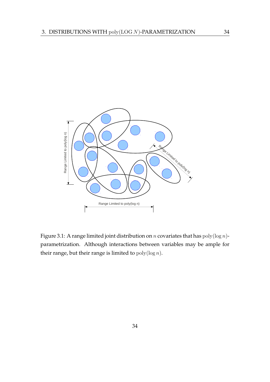

Figure 3.1: A range limited joint distribution on *n* covariates that has  $poly(log n)$ parametrization. Although interactions between variables may be ample for their range, but their range is limited to  $poly(log n)$ .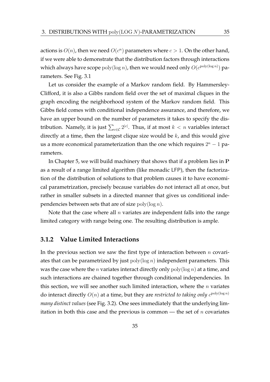actions is  $O(n)$ , then we need  $O(c^n)$  parameters where  $c > 1$ . On the other hand, if we were able to demonstrate that the distribution factors through interactions which always have scope  $\operatorname{poly}(\log n)$ , then we would need only  $O(c^{\operatorname{poly}(\log n)})$  parameters. See Fig. 3.1

Let us consider the example of a Markov random field. By Hammersley-Clifford, it is also a Gibbs random field over the set of maximal cliques in the graph encoding the neighborhood system of the Markov random field. This Gibbs field comes with conditional independence assurance, and therefore, we have an upper bound on the number of parameters it takes to specify the distribution. Namely, it is just  $\sum_{c \in \mathcal{C}} 2^{|c|}$ . Thus, if at most  $k < n$  variables interact directly at a time, then the largest clique size would be  $k$ , and this would give us a more economical parameterization than the one which requires  $2<sup>n</sup> - 1$  parameters.

In Chapter 5, we will build machinery that shows that if a problem lies in P as a result of a range limited algorithm (like monadic LFP), then the factorization of the distribution of solutions to that problem causes it to have economical parametrization, precisely because variables do not interact all at once, but rather in smaller subsets in a directed manner that gives us conditional independencies between sets that are of size  $\text{poly}(\log n)$ .

Note that the case where all  $n$  variates are independent falls into the range limited category with range being one. The resulting distribution is ample.

#### **3.1.2 Value Limited Interactions**

In the previous section we saw the first type of interaction between  $n$  covariates that can be parametrized by just  $poly(log n)$  independent parameters. This was the case where the *n* variates interact directly only  $\text{poly}(\log n)$  at a time, and such interactions are chained together through conditional independencies. In this section, we will see another such limited interaction, where the  $n$  variates do interact directly  $O(n)$  at a time, but they are *restricted to taking only*  $c^{\text{poly}(\log n)}$ *many distinct values* (see Fig. 3.2). One sees immediately that the underlying limitation in both this case and the previous is common — the set of  $n$  covariates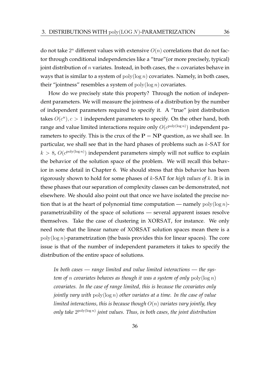do not take  $2^n$  different values with extensive  $O(n)$  correlations that do not factor through conditional independencies like a "true"(or more precisely, typical) joint distribution of  $n$  variates. Instead, in both cases, the  $n$  covariates behave in ways that is similar to a system of  $poly(log n)$  covariates. Namely, in both cases, their "jointness" resembles a system of  $poly(log n)$  covariates.

How do we precisely state this property? Through the notion of independent parameters. We will measure the jointness of a distribution by the number of independent parameters required to specify it. A "true" joint distribution takes  $O(c^n)$ ,  $c > 1$  independent parameters to specify. On the other hand, both range and value limited interactions require only  $O(c^{\text{poly}(\log n)})$  independent parameters to specify. This is the crux of the  $P = NP$  question, as we shall see. In particular, we shall see that in the hard phases of problems such as  $k$ -SAT for  $k > 8$ ,  $O(c^{\text{poly}(\log n)})$  independent parameters simply will not suffice to explain the behavior of the solution space of the problem. We will recall this behavior in some detail in Chapter 6. We should stress that this behavior has been rigorously shown to hold for some phases of k-SAT for *high values of* k. It is in these phases that our separation of complexity classes can be demonstrated, not elsewhere. We should also point out that once we have isolated the precise notion that is at the heart of polynomial time computation — namely  $poly(\log n)$ parametrizability of the space of solutions — several apparent issues resolve themselves. Take the case of clustering in XORSAT, for instance. We only need note that the linear nature of XORSAT solution spaces mean there is a  $poly(\log n)$ -parametrization (the basis provides this for linear spaces). The core issue is that of the number of independent parameters it takes to specify the distribution of the entire space of solutions.

*In both cases — range limited and value limited interactions — the system of* n *covariates behaves as though it was a system of only* poly(log n) *covariates. In the case of range limited, this is because the covariates only jointly vary with* poly(log n) *other variates at a time. In the case of value limited interactions, this is because though* O(n) *variates vary jointly, they* only take  $2^{\mathrm{poly}(\log n)}$  joint values. Thus, in both cases, the joint distribution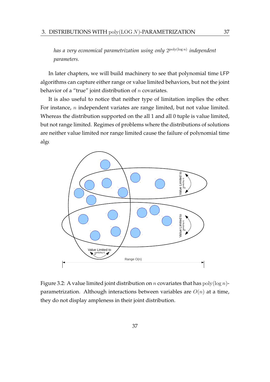*has a very economical parametrization using only* 2 poly(log n) *independent parameters.*

In later chapters, we will build machinery to see that polynomial time LFP algorithms can capture either range or value limited behaviors, but not the joint behavior of a "true" joint distribution of  $n$  covariates.

It is also useful to notice that neither type of limitation implies the other. For instance, n independent variates are range limited, but not value limited. Whereas the distribution supported on the all 1 and all 0 tuple is value limited, but not range limited. Regimes of problems where the distributions of solutions are neither value limited nor range limited cause the failure of polynomial time algo



Figure 3.2: A value limited joint distribution on *n* covariates that has  $poly(\log n)$ parametrization. Although interactions between variables are  $O(n)$  at a time, they do not display ampleness in their joint distribution.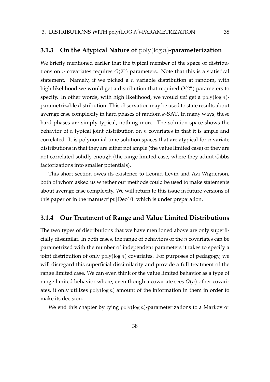#### **3.1.3 On the Atypical Nature of** poly(log n)**-parameterization**

We briefly mentioned earlier that the typical member of the space of distributions on *n* covariates requires  $O(2^n)$  parameters. Note that this is a statistical statement. Namely, if we picked a  $n$  variable distribution at random, with high likelihood we would get a distribution that required  $O(2^n)$  parameters to specify. In other words, with high likelihood, we would *not* get a poly(log n) parametrizable distribution. This observation may be used to state results about average case complexity in hard phases of random  $k$ -SAT. In many ways, these hard phases are simply typical, nothing more. The solution space shows the behavior of a typical joint distribution on  $n$  covariates in that it is ample and correlated. It is polynomial time solution spaces that are atypical for  $n$  variate distributions in that they are either not ample (the value limited case) or they are not correlated solidly enough (the range limited case, where they admit Gibbs factorizations into smaller potentials).

This short section owes its existence to Leonid Levin and Avi Wigderson, both of whom asked us whether our methods could be used to make statements about average case complexity. We will return to this issue in future versions of this paper or in the manuscript [Deo10] which is under preparation.

#### **3.1.4 Our Treatment of Range and Value Limited Distributions**

The two types of distributions that we have mentioned above are only superficially dissimilar. In both cases, the range of behaviors of the  $n$  covariates can be parametrized with the number of independent parameters it takes to specify a joint distribution of only  $poly(log n)$  covariates. For purposes of pedagogy, we will disregard this superficial dissimilarity and provide a full treatment of the range limited case. We can even think of the value limited behavior as a type of range limited behavior where, even though a covariate sees  $O(n)$  other covariates, it only utilizes  $poly(log n)$  amount of the information in them in order to make its decision.

We end this chapter by tying  $poly(log n)$ -parameterizations to a Markov or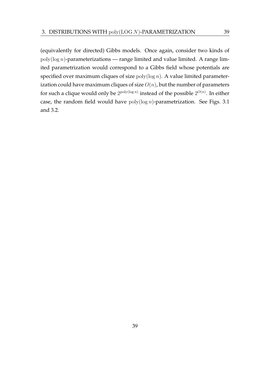(equivalently for directed) Gibbs models. Once again, consider two kinds of  $poly(\log n)$ -parameterizations — range limited and value limited. A range limited parametrization would correspond to a Gibbs field whose potentials are specified over maximum cliques of size  $poly(\log n)$ . A value limited parameterization could have maximum cliques of size  $O(n)$ , but the number of parameters for such a clique would only be  $2^{\text{poly}(\log n)}$  instead of the possible  $2^{O(n)}$ . In either case, the random field would have  $poly(log n)$ -parametrization. See Figs. 3.1 and 3.2.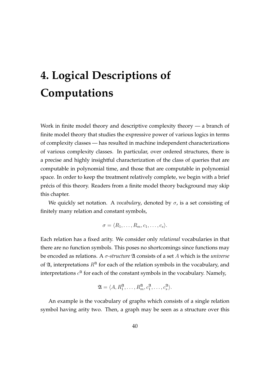# **4. Logical Descriptions of Computations**

Work in finite model theory and descriptive complexity theory — a branch of finite model theory that studies the expressive power of various logics in terms of complexity classes — has resulted in machine independent characterizations of various complexity classes. In particular, over ordered structures, there is a precise and highly insightful characterization of the class of queries that are computable in polynomial time, and those that are computable in polynomial space. In order to keep the treatment relatively complete, we begin with a brief précis of this theory. Readers from a finite model theory background may skip this chapter.

We quickly set notation. A *vocabulary*, denoted by  $\sigma$ , is a set consisting of finitely many relation and constant symbols,

$$
\sigma = \langle R_1, \ldots, R_m, c_1, \ldots, c_s \rangle.
$$

Each relation has a fixed arity. We consider only *relational* vocabularies in that there are no function symbols. This poses no shortcomings since functions may be encoded as relations. A σ*-structure* A consists of a set A which is the *universe* of  $\mathfrak{A}$ , interpretations  $R^{\mathfrak{A}}$  for each of the relation symbols in the vocabulary, and interpretations  $c^{\mathfrak{A}}$  for each of the constant symbols in the vocabulary. Namely,

$$
\mathfrak{A} = \langle A, R_1^{\mathfrak{A}}, \dots, R_m^{\mathfrak{A}}, c_1^{\mathfrak{A}}, \dots, c_s^{\mathfrak{A}} \rangle.
$$

An example is the vocabulary of graphs which consists of a single relation symbol having arity two. Then, a graph may be seen as a structure over this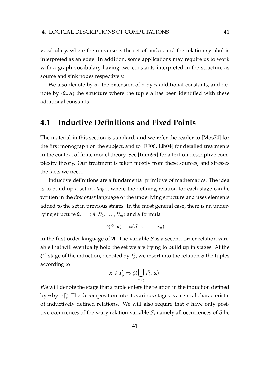vocabulary, where the universe is the set of nodes, and the relation symbol is interpreted as an edge. In addition, some applications may require us to work with a graph vocabulary having two constants interpreted in the structure as source and sink nodes respectively.

We also denote by  $\sigma_n$  the extension of  $\sigma$  by n additional constants, and denote by  $(\mathfrak{A}, \mathbf{a})$  the structure where the tuple a has been identified with these additional constants.

## **4.1 Inductive Definitions and Fixed Points**

The material in this section is standard, and we refer the reader to [Mos74] for the first monograph on the subject, and to [EF06, Lib04] for detailed treatments in the context of finite model theory. See [Imm99] for a text on descriptive complexity theory. Our treatment is taken mostly from these sources, and stresses the facts we need.

Inductive definitions are a fundamental primitive of mathematics. The idea is to build up a set in *stages*, where the defining relation for each stage can be written in the *first order* language of the underlying structure and uses elements added to the set in previous stages. In the most general case, there is an underlying structure  $\mathfrak{A} = \langle A, R_1, \ldots, R_m \rangle$  and a formula

$$
\phi(S, \mathbf{x}) \equiv \phi(S, x_1, \dots, x_n)
$$

in the first-order language of  $\mathfrak{A}$ . The variable S is a second-order relation variable that will eventually hold the set we are trying to build up in stages. At the  $\xi^{th}$  stage of the induction, denoted by  $I_d^\xi$  $\frac{k}{\phi}$ , we insert into the relation  $S$  the tuples according to

$$
\mathbf{x} \in I^{\xi}_{\phi} \Leftrightarrow \phi(\bigcup_{\eta < \xi} I^{\eta}_{\phi}, \mathbf{x}).
$$

We will denote the stage that a tuple enters the relation in the induction defined by  $\phi$  by  $|\cdot|_\phi^\mathfrak{A}.$  The decomposition into its various stages is a central characteristic of inductively defined relations. We will also require that  $\phi$  have only positive occurrences of the *n*-ary relation variable  $S$ , namely all occurrences of  $S$  be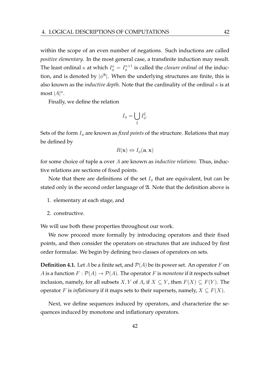within the scope of an even number of negations. Such inductions are called *positive elementary.* In the most general case, a transfinite induction may result. The least ordinal  $\kappa$  at which  $I_{\phi}^{\kappa} = I_{\phi}^{\kappa+1}$  $\frac{\kappa+1}{\phi}$  is called the *closure ordinal* of the induction, and is denoted by  $|\phi^{\mathfrak{A}}|$ . When the underlying structures are finite, this is also known as the *inductive depth*. Note that the cardinality of the ordinal  $\kappa$  is at most  $|A|^n$ .

Finally, we define the relation

$$
I_{\phi} = \bigcup_{\xi} I_{\phi}^{\xi}.
$$

Sets of the form  $I_{\phi}$  are known as *fixed points* of the structure. Relations that may be defined by

$$
R(\mathbf{x}) \Leftrightarrow I_{\phi}(\mathbf{a}, \mathbf{x})
$$

for some choice of tuple a over A are known as *inductive relations*. Thus, inductive relations are sections of fixed points.

Note that there are definitions of the set  $I_{\phi}$  that are equivalent, but can be stated only in the second order language of A. Note that the definition above is

- 1. elementary at each stage, and
- 2. constructive.

We will use both these properties throughout our work.

We now proceed more formally by introducing operators and their fixed points, and then consider the operators on structures that are induced by first order formulae. We begin by defining two classes of operators on sets.

**Definition 4.1.** Let A be a finite set, and  $\mathcal{P}(A)$  be its power set. An operator F on A is a function  $F: \mathcal{P}(A) \to \mathcal{P}(A)$ . The operator F is *monotone* if it respects subset inclusion, namely, for all subsets X, Y of A, if  $X \subseteq Y$ , then  $F(X) \subseteq F(Y)$ . The operator F is *inflationary* if it maps sets to their supersets, namely,  $X \subseteq F(X)$ .

Next, we define sequences induced by operators, and characterize the sequences induced by monotone and inflationary operators.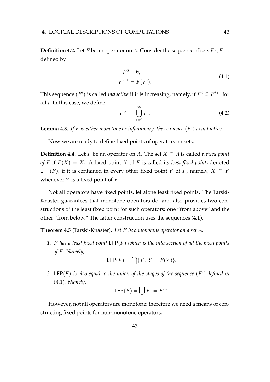**Definition 4.2.** Let F be an operator on A. Consider the sequence of sets  $F^0, F^1, \ldots$ defined by

$$
F^{0} = \emptyset,
$$
  
\n
$$
F^{i+1} = F(F^{i}).
$$
\n(4.1)

This sequence  $(F^i)$  is called *inductive* if it is increasing, namely, if  $F^i \subseteq F^{i+1}$  for all  $i$ . In this case, we define

$$
F^{\infty} := \bigcup_{i=0}^{\infty} F^i.
$$
\n(4.2)

**Lemma 4.3.** If F is either monotone or inflationary, the sequence  $(F<sup>i</sup>)$  is inductive.

Now we are ready to define fixed points of operators on sets.

**Definition 4.4.** Let F be an operator on A. The set  $X \subseteq A$  is called a *fixed point of* F if  $F(X) = X$ . A fixed point X of F is called its *least fixed point*, denoted LFP(F), if it is contained in every other fixed point Y of F, namely,  $X \subseteq Y$ whenever  $Y$  is a fixed point of  $F$ .

Not all operators have fixed points, let alone least fixed points. The Tarski-Knaster guarantees that monotone operators do, and also provides two constructions of the least fixed point for such operators: one "from above" and the other "from below." The latter construction uses the sequences (4.1).

**Theorem 4.5** (Tarski-Knaster)**.** *Let* F *be a monotone operator on a set* A*.*

*1.* F *has a least fixed point* LFP(F) *which is the intersection of all the fixed points of* F*. Namely,*

$$
\mathsf{LFP}(F) = \bigcap \{ Y \colon Y = F(Y) \}.
$$

2.  $\mathsf{LFP}(F)$  is also equal to the union of the stages of the sequence  $(F^i)$  defined in (4.1)*. Namely,*

$$
\mathsf{LFP}(F) = \bigcup F^i = F^\infty.
$$

However, not all operators are monotone; therefore we need a means of constructing fixed points for non-monotone operators.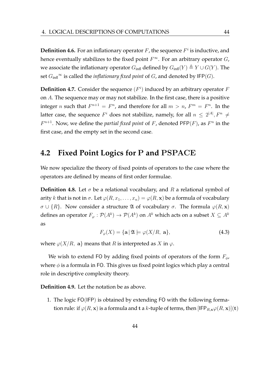**Definition 4.6.** For an inflationary operator  $F$ , the sequence  $F^i$  is inductive, and hence eventually stabilizes to the fixed point  $F^{\infty}$ . For an arbitrary operator  $G$ , we associate the inflationary operator  $G_{\text{infl}}$  defined by  $G_{\text{infl}}(Y) \triangleq Y \cup G(Y)$ . The set  $G_{\text{infl}}^{\infty}$  is called the *inflationary fixed point* of G, and denoted by IFP(G).

**Definition 4.7.** Consider the sequence  $(F<sup>i</sup>)$  induced by an arbitrary operator  $F$ on A. The sequence may or may not stabilize. In the first case, there is a positive integer *n* such that  $F^{n+1} = F^n$ , and therefore for all  $m > n$ ,  $F^m = F^n$ . In the latter case, the sequence  $F^i$  does not stabilize, namely, for all  $n\,\leq\, 2^{|A|}, F^n\,\neq\, 1$  $F^{n+1}$ . Now, we define the *partial fixed point* of F, denoted PFP $(F)$ , as  $F^n$  in the first case, and the empty set in the second case.

# **4.2 Fixed Point Logics for** P **and** PSPACE

We now specialize the theory of fixed points of operators to the case where the operators are defined by means of first order formulae.

**Definition 4.8.** Let  $\sigma$  be a relational vocabulary, and R a relational symbol of arity k that is not in  $\sigma$ . Let  $\varphi(R, x_1, \ldots, x_n) = \varphi(R, x)$  be a formula of vocabulary  $\sigma \cup \{R\}$ . Now consider a structure  $\mathfrak A$  of vocabulary  $\sigma$ . The formula  $\varphi(R, x)$ defines an operator  $F_{\varphi}: \mathcal{P}(A^k) \to \mathcal{P}(A^k)$  on  $A^k$  which acts on a subset  $X \subseteq A^k$ as

$$
F_{\varphi}(X) = \{ \mathbf{a} \mid \mathfrak{A} \models \varphi(X/R, \mathbf{a} \},\tag{4.3}
$$

where  $\varphi(X/R, a)$  means that R is interpreted as X in  $\varphi$ .

We wish to extend FO by adding fixed points of operators of the form  $F_{\phi}$ , where  $\phi$  is a formula in FO. This gives us fixed point logics which play a central role in descriptive complexity theory.

**Definition 4.9.** Let the notation be as above.

1. The logic FO(IFP) is obtained by extending FO with the following formation rule: if  $\varphi(R, x)$  is a formula and t a k-tuple of terms, then  $[IFP_{R, x}\varphi(R, x)](t)$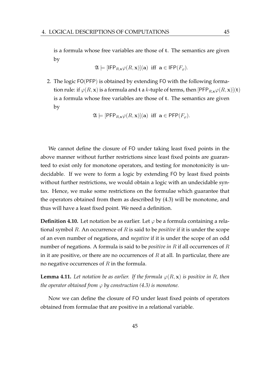is a formula whose free variables are those of t. The semantics are given by

$$
\mathfrak{A} \models [\mathsf{IFP}_{R,\mathbf{x}}\varphi(R,\mathbf{x})](\mathbf{a}) \text{ iff } \mathbf{a} \in \mathsf{IFP}(F_{\varphi}).
$$

2. The logic FO(PFP) is obtained by extending FO with the following formation rule: if  $\varphi(R, x)$  is a formula and t a k-tuple of terms, then  $\text{PFP}_{R, x} \varphi(R, x)$  (t) is a formula whose free variables are those of t. The semantics are given by

$$
\mathfrak{A} \models [\mathsf{PFP}_{R,\mathbf{x}}\varphi(R,\mathbf{x})](\mathbf{a}) \text{ iff } \mathbf{a} \in \mathsf{PFP}(F_{\varphi}).
$$

We cannot define the closure of FO under taking least fixed points in the above manner without further restrictions since least fixed points are guaranteed to exist only for monotone operators, and testing for monotonicity is undecidable. If we were to form a logic by extending FO by least fixed points without further restrictions, we would obtain a logic with an undecidable syntax. Hence, we make some restrictions on the formulae which guarantee that the operators obtained from them as described by (4.3) will be monotone, and thus will have a least fixed point. We need a definition.

**Definition 4.10.** Let notation be as earlier. Let  $\varphi$  be a formula containing a relational symbol R. An occurrence of R is said to be *positive* if it is under the scope of an even number of negations, and *negative* if it is under the scope of an odd number of negations. A formula is said to be *positive in* R if all occurrences of R in it are positive, or there are no occurrences of  $R$  at all. In particular, there are no negative occurrences of  $R$  in the formula.

**Lemma 4.11.** Let notation be as earlier. If the formula  $\varphi(R, \mathbf{x})$  is positive in R, then *the operator obtained from*  $\varphi$  *by construction (4.3) is monotone.* 

Now we can define the closure of FO under least fixed points of operators obtained from formulae that are positive in a relational variable.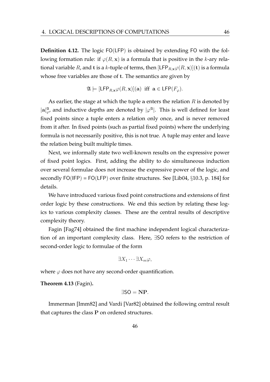**Definition 4.12.** The logic FO(LFP) is obtained by extending FO with the following formation rule: if  $\varphi(R, \mathbf{x})$  is a formula that is positive in the k-ary relational variable R, and t is a k-tuple of terms, then  $[{\sf LFP}_{R,\mathbf{x}}\varphi(R,\mathbf{x})](\mathbf{t})$  is a formula whose free variables are those of t. The semantics are given by

$$
\mathfrak{A} \models [\mathsf{LFP}_{R,\mathbf{x}} \varphi(R,\mathbf{x})](\mathbf{a}) \text{ iff } \mathbf{a} \in \mathsf{LFP}(F_{\varphi}).
$$

As earlier, the stage at which the tuple a enters the relation  $R$  is denoted by  $|a|_{\varphi}^{\mathfrak{A}}$ , and inductive depths are denoted by  $|\varphi^{\mathfrak{A}}|$ . This is well defined for least fixed points since a tuple enters a relation only once, and is never removed from it after. In fixed points (such as partial fixed points) where the underlying formula is not necessarily positive, this is not true. A tuple may enter and leave the relation being built multiple times.

Next, we informally state two well-known results on the expressive power of fixed point logics. First, adding the ability to do simultaneous induction over several formulae does not increase the expressive power of the logic, and secondly  $FO(IFP) = FO(LFP)$  over finite structures. See [Lib04,  $\S 10.3$ , p. 184] for details.

We have introduced various fixed point constructions and extensions of first order logic by these constructions. We end this section by relating these logics to various complexity classes. These are the central results of descriptive complexity theory.

Fagin [Fag74] obtained the first machine independent logical characterization of an important complexity class. Here, ∃SO refers to the restriction of second-order logic to formulae of the form

$$
\exists X_1 \cdots \exists X_m \varphi,
$$

where  $\varphi$  does not have any second-order quantification.

**Theorem 4.13** (Fagin)**.**

$$
\exists SO=NP.
$$

Immerman [Imm82] and Vardi [Var82] obtained the following central result that captures the class P on ordered structures.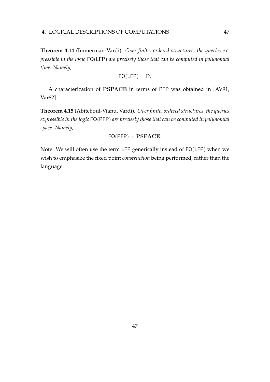**Theorem 4.14** (Immerman-Vardi)**.** *Over finite, ordered structures, the queries expressible in the logic* FO(LFP) *are precisely those that can be computed in polynomial time. Namely,*

$$
\mathsf{FO}(\mathsf{LFP}) = \mathbf{P}.
$$

A characterization of PSPACE in terms of PFP was obtained in [AV91, Var82].

**Theorem 4.15** (Abiteboul-Vianu, Vardi)**.** *Over finite, ordered structures, the queries expressible in the logic* FO(PFP) *are precisely those that can be computed in polynomial space. Namely,*

$$
\mathsf{FO}(\mathsf{PFP}) = \mathbf{PSPACE}.
$$

Note: We will often use the term LFP generically instead of FO(LFP) when we wish to emphasize the fixed point *construction* being performed, rather than the language.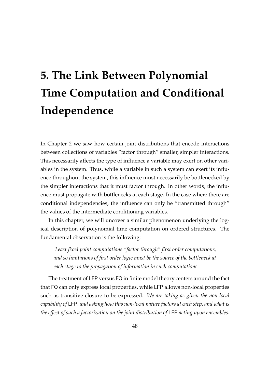# **5. The Link Between Polynomial Time Computation and Conditional Independence**

In Chapter 2 we saw how certain joint distributions that encode interactions between collections of variables "factor through" smaller, simpler interactions. This necessarily affects the type of influence a variable may exert on other variables in the system. Thus, while a variable in such a system can exert its influence throughout the system, this influence must necessarily be bottlenecked by the simpler interactions that it must factor through. In other words, the influence must propagate with bottlenecks at each stage. In the case where there are conditional independencies, the influence can only be "transmitted through" the values of the intermediate conditioning variables.

In this chapter, we will uncover a similar phenomenon underlying the logical description of polynomial time computation on ordered structures. The fundamental observation is the following:

*Least fixed point computations "factor through" first order computations, and so limitations of first order logic must be the source of the bottleneck at each stage to the propagation of information in such computations.*

The treatment of LFP versus FO in finite model theory centers around the fact that FO can only express local properties, while LFP allows non-local properties such as transitive closure to be expressed. *We are taking as given the non-local capability of* LFP*, and asking how this non-local nature factors at each step, and what is the effect of such a factorization on the joint distribution of* LFP *acting upon ensembles.*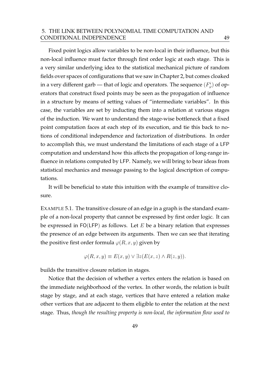#### 5. THE LINK BETWEEN POLYNOMIAL TIME COMPUTATION AND CONDITIONAL INDEPENDENCE 49

Fixed point logics allow variables to be non-local in their influence, but this non-local influence must factor through first order logic at each stage. This is a very similar underlying idea to the statistical mechanical picture of random fields over spaces of configurations that we saw in Chapter 2, but comes cloaked in a very different garb — that of logic and operators. The sequence  $(F^i_\varphi)$  of operators that construct fixed points may be seen as the propagation of influence in a structure by means of setting values of "intermediate variables". In this case, the variables are set by inducting them into a relation at various stages of the induction. We want to understand the stage-wise bottleneck that a fixed point computation faces at each step of its execution, and tie this back to notions of conditional independence and factorization of distributions. In order to accomplish this, we must understand the limitations of each stage of a LFP computation and understand how this affects the propagation of long-range influence in relations computed by LFP. Namely, we will bring to bear ideas from statistical mechanics and message passing to the logical description of computations.

It will be beneficial to state this intuition with the example of transitive closure.

EXAMPLE 5.1. The transitive closure of an edge in a graph is the standard example of a non-local property that cannot be expressed by first order logic. It can be expressed in  $FO(LFP)$  as follows. Let E be a binary relation that expresses the presence of an edge between its arguments. Then we can see that iterating the positive first order formula  $\varphi(R, x, y)$  given by

$$
\varphi(R, x, y) \equiv E(x, y) \lor \exists z (E(x, z) \land R(z, y)).
$$

builds the transitive closure relation in stages.

Notice that the decision of whether a vertex enters the relation is based on the immediate neighborhood of the vertex. In other words, the relation is built stage by stage, and at each stage, vertices that have entered a relation make other vertices that are adjacent to them eligible to enter the relation at the next stage. Thus, *though the resulting property is non-local, the information flow used to*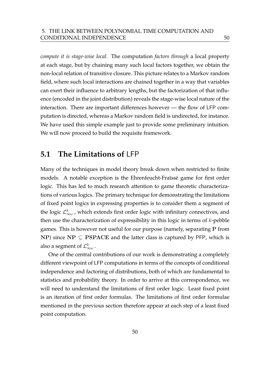*compute it is stage-wise local*. The computation *factors through* a local property at each stage, but by chaining many such local factors together, we obtain the non-local relation of transitive closure. This picture relates to a Markov random field, where such local interactions are chained together in a way that variables can exert their influence to arbitrary lengths, but the factorization of that influence (encoded in the joint distribution) reveals the stage-wise local nature of the interaction. There are important differences however — the flow of LFP computation is directed, whereas a Markov random field is undirected, for instance. We have used this simple example just to provide some preliminary intuition. We will now proceed to build the requisite framework.

## **5.1 The Limitations of** LFP

Many of the techniques in model theory break down when restricted to finite models. A notable exception is the Ehrenfeucht-Fraïssé game for first order logic. This has led to much research attention to game theoretic characterizations of various logics. The primary technique for demonstrating the limitations of fixed point logics in expressing properties is to consider them a segment of the logic  $\mathcal{L}^k_{\infty\omega}$  , which extends first order logic with infinitary connectives, and then use the characterization of expressibility in this logic in terms of  $k$ -pebble games. This is however not useful for our purpose (namely, separating P from NP) since  $NP \subseteq PSPACE$  and the latter class is captured by PFP, which is also a segment of  $\mathcal{L}^k_{\infty\omega}$  .

One of the central contributions of our work is demonstrating a completely different viewpoint of LFP computations in terms of the concepts of conditional independence and factoring of distributions, both of which are fundamental to statistics and probability theory. In order to arrive at this correspondence, we will need to understand the limitations of first order logic. Least fixed point is an iteration of first order formulas. The limitations of first order formulae mentioned in the previous section therefore appear at each step of a least fixed point computation.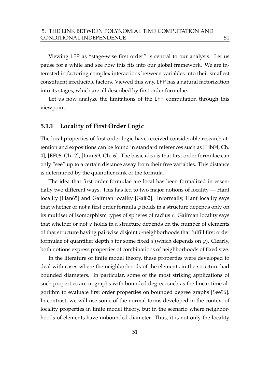Viewing LFP as "stage-wise first order" is central to our analysis. Let us pause for a while and see how this fits into our global framework. We are interested in factoring complex interactions between variables into their smallest constituent irreducible factors. Viewed this way, LFP has a natural factorization into its stages, which are all described by first order formulae.

Let us now analyze the limitations of the LFP computation through this viewpoint.

#### **5.1.1 Locality of First Order Logic**

The local properties of first order logic have received considerable research attention and expositions can be found in standard references such as [Lib04, Ch. 4], [EF06, Ch. 2], [Imm99, Ch. 6]. The basic idea is that first order formulae can only "see" up to a certain distance away from their free variables. This distance is determined by the quantifier rank of the formula.

The idea that first order formulae are local has been formalized in essentially two different ways. This has led to two major notions of locality — Hanf locality [Han65] and Gaifman locality [Gai82]. Informally, Hanf locality says that whether or not a first order formula  $\varphi$  holds in a structure depends only on its multiset of isomorphism types of spheres of radius r. Gaifman locality says that whether or not  $\varphi$  holds in a structure depends on the number of elements of that structure having pairwise disjoint  $r$ -neighborhoods that fulfill first order formulae of quantifier depth d for some fixed d (which depends on  $\varphi$ ). Clearly, both notions express properties of combinations of neighborhoods of fixed size.

In the literature of finite model theory, these properties were developed to deal with cases where the neighborhoods of the elements in the structure had bounded diameters. In particular, some of the most striking applications of such properties are in graphs with bounded degree, such as the linear time algorithm to evaluate first order properties on bounded degree graphs [See96]. In contrast, we will use some of the normal forms developed in the context of locality properties in finite model theory, but in the scenario where neighborhoods of elements have unbounded diameter. Thus, it is not only the locality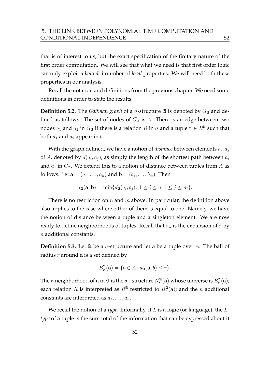that is of interest to us, but the exact specification of the finitary nature of the first order computation. We will see that what we need is that first order logic can only exploit a *bounded* number of *local* properties. We will need both these properties in our analysis.

Recall the notation and definitions from the previous chapter. We need some definitions in order to state the results.

**Definition 5.2.** The *Gaifman graph* of a  $\sigma$ -structure  $\mathfrak A$  is denoted by  $G_{\mathfrak A}$  and defined as follows. The set of nodes of  $G_{\mathfrak{A}}$  is A. There is an edge between two nodes  $a_1$  and  $a_2$  in  $G_{\mathfrak{A}}$  if there is a relation  $R$  in  $\sigma$  and a tuple  $\mathbf{t} \in R^{\mathfrak{A}}$  such that both  $a_1$  and  $a_2$  appear in t.

With the graph defined, we have a notion of  $distance$  between elements  $a_i, a_j$ of A, denoted by  $d(a_i, a_j)$ , as simply the length of the shortest path between  $a_i$ and  $a_j$  in  $G_{\mathfrak{A}}$ . We extend this to a notion of distance between tuples from A as follows. Let  $\mathbf{a} = (a_1, \ldots, a_n)$  and  $\mathbf{b} = (b_1, \ldots, b_m)$ . Then

$$
d_{\mathfrak{A}}(\mathbf{a}, \mathbf{b}) = \min \{ d_{\mathfrak{A}}(a_i, b_j) : 1 \le i \le n, 1 \le j \le m \}.
$$

There is no restriction on  $n$  and  $m$  above. In particular, the definition above also applies to the case where either of them is equal to one. Namely, we have the notion of distance between a tuple and a singleton element. We are now ready to define neighborhoods of tuples. Recall that  $\sigma_n$  is the expansion of  $\sigma$  by n additional constants.

**Definition 5.3.** Let  $\mathfrak A$  be a  $\sigma$ -structure and let a be a tuple over A. The ball of radius  $r$  around a is a set defined by

$$
B_r^{\mathfrak{A}}(\mathbf{a}) = \{b \in A \colon d_{\mathfrak{A}}(\mathbf{a}, b) \le r\}.
$$

The  $r$ -neighborhood of  ${\bf a}$  in  $\mathfrak A$  is the  $\sigma_n$ -structure  $N_r^{\mathfrak A}({\bf a})$  whose universe is  $B_r^{\mathfrak A}({\bf a})$ ; each relation R is interpreted as  $R^{\mathfrak{A}}$  restricted to  $B_r^{\mathfrak{A}}(\mathbf{a})$ ; and the n additional constants are interpreted as  $a_1, \ldots, a_n$ .

We recall the notion of a *type*. Informally, if L is a logic (or language), the L*type* of a tuple is the sum total of the information that can be expressed about it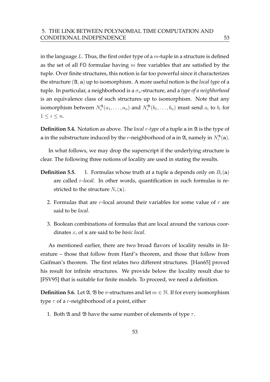in the language  $L$ . Thus, the first order type of a  $m$ -tuple in a structure is defined as the set of all FO formulae having  $m$  free variables that are satisfied by the tuple. Over finite structures, this notion is far too powerful since it characterizes the structure (A, a) up to isomorphism. A more useful notion is the *local type* of a tuple. In particular, a neighborhood is a  $\sigma_n$ -structure, and a *type of a neighborhood* is an equivalence class of such structures up to isomorphism. Note that any isomorphism between  $N_r^{\mathfrak{A}}(a_1,\ldots,a_n)$  and  $N_r^{\mathfrak{B}}(b_1,\ldots,b_n)$  must send  $a_i$  to  $b_i$  for  $1 \leq i \leq n$ .

**Definition 5.4.** Notation as above. The *local r-type* of a tuple a in  $\mathfrak A$  is the type of a in the substructure induced by the *r*-neighborhood of a in  $\mathfrak{A}$ , namely in  $N_r^{\mathfrak{A}}(\mathbf{a})$ .

In what follows, we may drop the superscript if the underlying structure is clear. The following three notions of locality are used in stating the results.

- **Definition 5.5.** 1. Formulas whose truth at a tuple a depends only on  $B_r(\mathbf{a})$ are called r*-local*. In other words, quantification in such formulas is restricted to the structure  $N_r(\mathbf{x})$ .
	- 2. Formulas that are  $r$ -local around their variables for some value of  $r$  are said to be *local*.
	- 3. Boolean combinations of formulas that are local around the various coordinates  $x_i$  of  $x$  are said to be *basic local*.

As mentioned earlier, there are two broad flavors of locality results in literature – those that follow from Hanf's theorem, and those that follow from Gaifman's theorem. The first relates two different structures. [Han65] proved his result for infinite structures. We provide below the locality result due to [FSV95] that is suitable for finite models. To proceed, we need a definition.

**Definition 5.6.** Let  $\mathfrak{A}, \mathfrak{B}$  be  $\sigma$ -structures and let  $m \in \mathbb{N}$ . If for every isomorphism type  $\tau$  of a r-neighborhood of a point, either

1. Both  $\mathfrak A$  and  $\mathfrak B$  have the same number of elements of type  $\tau$ .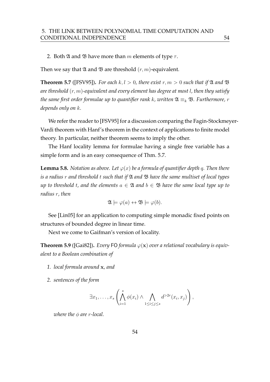2. Both  $\mathfrak A$  and  $\mathfrak B$  have more than m elements of type  $\tau$ .

Then we say that  $\mathfrak A$  and  $\mathfrak B$  are threshold  $(r, m)$ -equivalent.

**Theorem 5.7** ([FSV95]). For each  $k, l > 0$ , there exist  $r, m > 0$  such that if  $\mathfrak A$  and  $\mathfrak B$ *are threshold* (r, m)*-equivalent and every element has degree at most* l*, then they satisfy the same first order formulae up to quantifier rank k, written*  $\mathfrak{A} \equiv_k \mathfrak{B}$ *. Furthermore, r depends only on* k*.*

We refer the reader to [FSV95] for a discussion comparing the Fagin-Stockmeyer-Vardi theorem with Hanf's theorem in the context of applications to finite model theory. In particular, neither theorem seems to imply the other.

The Hanf locality lemma for formulae having a single free variable has a simple form and is an easy consequence of Thm. 5.7.

**Lemma 5.8.** *Notation as above. Let*  $\varphi(x)$  *be a formula of quantifier depth q. Then there is a radius* r *and threshold* t *such that if* A *and* B *have the same multiset of local types up to threshold t, and the elements*  $a \in \mathfrak{A}$  *and*  $b \in \mathfrak{B}$  *have the same local type up to radius* r*, then*

$$
\mathfrak{A} \models \varphi(a) \leftrightarrow \mathfrak{B} \models \varphi(b).
$$

See [Lin05] for an application to computing simple monadic fixed points on structures of bounded degree in linear time.

Next we come to Gaifman's version of locality.

**Theorem 5.9** ([Gai82]). Every FO formula  $\varphi(\mathbf{x})$  over a relational vocabulary is equiv*alent to a Boolean combination of*

- *1. local formula around* x*, and*
- *2. sentences of the form*

$$
\exists x_1,\ldots,x_s\left(\bigwedge_{i=1}^s\phi(x_i)\wedge\bigwedge_{1\leq i\leq j\leq s}d^{>2r}(x_i,x_j)\right),\,
$$

*where the* φ *are r*-*local*.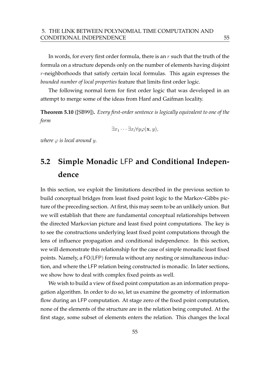In words, for every first order formula, there is an  $r$  such that the truth of the formula on a structure depends only on the number of elements having disjoint  $r$ -neighborhoods that satisfy certain local formulas. This again expresses the *bounded number of local properties* feature that limits first order logic.

The following normal form for first order logic that was developed in an attempt to merge some of the ideas from Hanf and Gaifman locality.

**Theorem 5.10** ([SB99])**.** *Every first-order sentence is logically equivalent to one of the form*

$$
\exists x_1 \cdots \exists x_l \forall y \varphi(\mathbf{x}, y),
$$

*where*  $\varphi$  *is local around y.* 

# **5.2 Simple Monadic** LFP **and Conditional Independence**

In this section, we exploit the limitations described in the previous section to build conceptual bridges from least fixed point logic to the Markov-Gibbs picture of the preceding section. At first, this may seem to be an unlikely union. But we will establish that there are fundamental conceptual relationships between the directed Markovian picture and least fixed point computations. The key is to see the constructions underlying least fixed point computations through the lens of influence propagation and conditional independence. In this section, we will demonstrate this relationship for the case of simple monadic least fixed points. Namely, a FO(LFP) formula without any nesting or simultaneous induction, and where the LFP relation being constructed is monadic. In later sections, we show how to deal with complex fixed points as well.

We wish to build a view of fixed point computation as an information propagation algorithm. In order to do so, let us examine the geometry of information flow during an LFP computation. At stage zero of the fixed point computation, none of the elements of the structure are in the relation being computed. At the first stage, some subset of elements enters the relation. This changes the local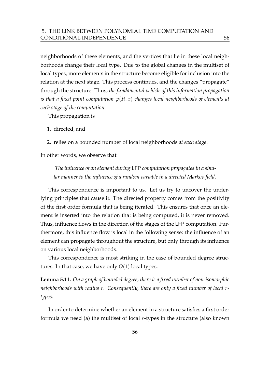neighborhoods of these elements, and the vertices that lie in these local neighborhoods change their local type. Due to the global changes in the multiset of local types, more elements in the structure become eligible for inclusion into the relation at the next stage. This process continues, and the changes "propagate" through the structure. Thus, *the fundamental vehicle of this information propagation is that a fixed point computation*  $\varphi(R, x)$  *changes local neighborhoods of elements at each stage of the computation*.

This propagation is

- 1. directed, and
- 2. relies on a bounded number of local neighborhoods *at each stage*.

In other words, we observe that

*The influence of an element during* LFP *computation propagates in a similar manner to the influence of a random variable in a directed Markov field.*

This correspondence is important to us. Let us try to uncover the underlying principles that cause it. The directed property comes from the positivity of the first order formula that is being iterated. This ensures that once an element is inserted into the relation that is being computed, it is never removed. Thus, influence flows in the direction of the stages of the LFP computation. Furthermore, this influence flow is local in the following sense: the influence of an element can propagate throughout the structure, but only through its influence on various local neighborhoods.

This correspondence is most striking in the case of bounded degree structures. In that case, we have only  $O(1)$  local types.

**Lemma 5.11.** *On a graph of bounded degree, there is a fixed number of non-isomorphic neighborhoods with radius* r*. Consequently, there are only a fixed number of local* r*types.*

In order to determine whether an element in a structure satisfies a first order formula we need (a) the multiset of local  $r$ -types in the structure (also known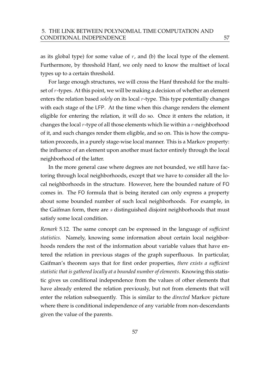as its global type) for some value of  $r$ , and (b) the local type of the element. Furthermore, by threshold Hanf, we only need to know the multiset of local types up to a certain threshold.

For large enough structures, we will cross the Hanf threshold for the multiset of r-types. At this point, we will be making a decision of whether an element enters the relation based *solely* on its local r-type. This type potentially changes with each stage of the LFP. At the time when this change renders the element eligible for entering the relation, it will do so. Once it enters the relation, it changes the local  $r$ -type of all those elements which lie within a  $r$ -neighborhood of it, and such changes render them eligible, and so on. This is how the computation proceeds, in a purely stage-wise local manner. This is a Markov property: the influence of an element upon another must factor entirely through the local neighborhood of the latter.

In the more general case where degrees are not bounded, we still have factoring through local neighborhoods, except that we have to consider all the local neighborhoods in the structure. However, here the bounded nature of FO comes in. The FO formula that is being iterated can only express a property about some bounded number of such local neighborhoods. For example, in the Gaifman form, there are s distinguished disjoint neighborhoods that must satisfy some local condition.

*Remark* 5.12*.* The same concept can be expressed in the language of *sufficient statistics*. Namely, knowing some information about certain local neighborhoods renders the rest of the information about variable values that have entered the relation in previous stages of the graph superfluous. In particular, Gaifman's theorem says that for first order properties, *there exists a sufficient statistic that is gathered locally at a bounded number of elements*. Knowing this statistic gives us conditional independence from the values of other elements that have already entered the relation previously, but not from elements that will enter the relation subsequently. This is similar to the *directed* Markov picture where there is conditional independence of any variable from non-descendants given the value of the parents.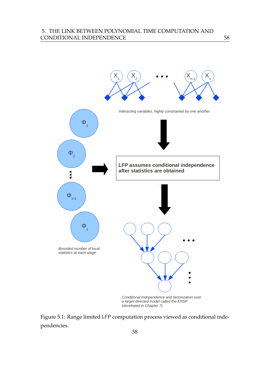

*a larger directed model called the ENSP (developed in Chapter 7)*

Figure 5.1: Range limited LFP computation process viewed as conditional independencies.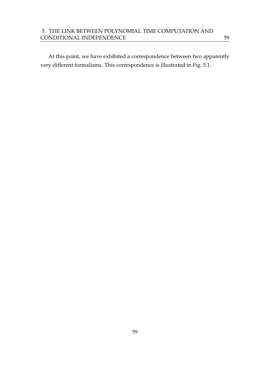At this point, we have exhibited a correspondence between two apparently very different formalisms. This correspondence is illustrated in Fig. 5.1.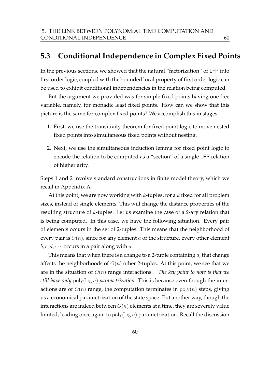# **5.3 Conditional Independence in Complex Fixed Points**

In the previous sections, we showed that the natural "factorization" of LFP into first order logic, coupled with the bounded local property of first order logic can be used to exhibit conditional independencies in the relation being computed.

But the argument we provided was for simple fixed points having one free variable, namely, for monadic least fixed points. How can we show that this picture is the same for complex fixed points? We accomplish this in stages.

- 1. First, we use the transitivity theorem for fixed point logic to move nested fixed points into simultaneous fixed points without nesting.
- 2. Next, we use the simultaneous induction lemma for fixed point logic to encode the relation to be computed as a "section" of a single LFP relation of higher arity.

Steps 1 and 2 involve standard constructions in finite model theory, which we recall in Appendix A.

At this point, we are now working with  $k$ -tuples, for a  $k$  fixed for all problem sizes, instead of single elements. This will change the distance properties of the resulting structure of k-tuples. Let us examine the case of a 2-ary relation that is being computed. In this case, we have the following situation. Every pair of elements occurs in the set of 2-tuples. This means that the neighborhood of every pair is  $O(n)$ , since for any element a of the structure, every other element  $b, c, d, \cdots$  occurs in a pair along with a.

This means that when there is a change to a 2-tuple containing  $a$ , that change affects the neighborhoods of  $O(n)$  other 2-tuples. At this point, we see that we are in the situation of O(n) range interactions. *The key point to note is that we still have only* poly(log n) *parametrization.* This is because even though the interactions are of  $O(n)$  range, the computation terminates in  $poly(n)$  steps, giving us a economical parametrization of the state space. Put another way, though the interactions are indeed between  $O(n)$  elements at a time, they are severely value limited, leading once again to  $poly(log n)$  parametrization. Recall the discussion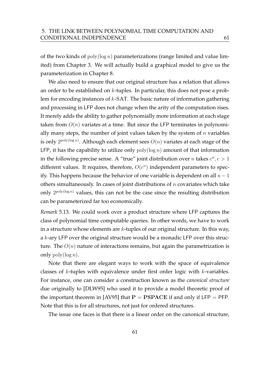of the two kinds of  $poly(log n)$  parameterizations (range limited and value limited) from Chapter 3. We will actually build a graphical model to give us the parameterization in Chapter 8.

We also need to ensure that our original structure has a relation that allows an order to be established on  $k$ -tuples. In particular, this does not pose a problem for encoding instances of  $k$ -SAT. The basic nature of information gathering and processing in LFP does not change when the arity of the computation rises. It merely adds the ability to gather polynomially more information at each stage taken from  $O(n)$  variates at a time. But since the LFP terminates in polynomially many steps, the number of joint values taken by the system of  $n$  variables is only  $2^{\text{poly}(\log n)}$ . Although each element sees  $O(n)$  variates at each stage of the LFP, it has the capability to utilize only  $poly(log n)$  amount of that information in the following precise sense. A "true" joint distribution over *n* takes  $c^n, c > 1$ different values. It requires, therefore,  $O(c^n)$  independent parameters to specify. This happens because the behavior of one variable is dependent on all  $n-1$ others simultaneously. In cases of joint distributions of  $n$  covariates which take only  $2^{poly(log n)}$  values, this can not be the case since the resulting distribution can be parameterized far too economically.

*Remark* 5.13*.* We could work over a product structure where LFP captures the class of polynomial time computable queries. In other words, we have to work in a structure whose elements are  $k$ -tuples of our original structure. In this way, a k-ary LFP over the original structure would be a monadic LFP over this structure. The  $O(n)$  nature of interactions remains, but again the parametrization is only  $\text{poly}(\log n)$ .

Note that there are elegant ways to work with the space of equivalence classes of k-tuples with equivalence under first order logic with k-variables. For instance, one can consider a construction known as the *canonical structure* due originally to [DLW95] who used it to provide a model theoretic proof of the important theorem in [AV95] that  $P = PSPACE$  if and only if LFP = PFP. Note that this is for all structures, not just for ordered structures.

The issue one faces is that there is a linear order on the canonical structure,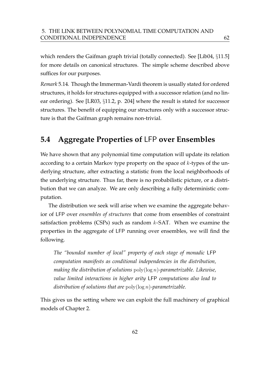which renders the Gaifman graph trivial (totally connected). See [Lib04, §11.5] for more details on canonical structures. The simple scheme described above suffices for our purposes.

*Remark* 5.14*.* Though the Immerman-Vardi theorem is usually stated for ordered structures, it holds for structures equipped with a successor relation (and no linear ordering). See [LR03, §11.2, p. 204] where the result is stated for successor structures. The benefit of equipping our structures only with a successor structure is that the Gaifman graph remains non-trivial.

# **5.4 Aggregate Properties of** LFP **over Ensembles**

We have shown that any polynomial time computation will update its relation according to a certain Markov type property on the space of  $k$ -types of the underlying structure, after extracting a statistic from the local neighborhoods of the underlying structure. Thus far, there is no probabilistic picture, or a distribution that we can analyze. We are only describing a fully deterministic computation.

The distribution we seek will arise when we examine the aggregate behavior of LFP over *ensembles of structures* that come from ensembles of constraint satisfaction problems (CSPs) such as random  $k$ -SAT. When we examine the properties in the aggregate of LFP running over ensembles, we will find the following.

*The "bounded number of local" property of each stage of monadic* LFP *computation manifests as conditional independencies in the distribution, making the distribution of solutions* poly(log n)*-parametrizable. Likewise, value limited interactions in higher arity* LFP *computations also lead to distribution of solutions that are* poly(log n)*-parametrizable.*

This gives us the setting where we can exploit the full machinery of graphical models of Chapter 2.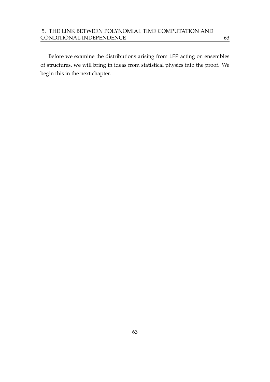Before we examine the distributions arising from LFP acting on ensembles of structures, we will bring in ideas from statistical physics into the proof. We begin this in the next chapter.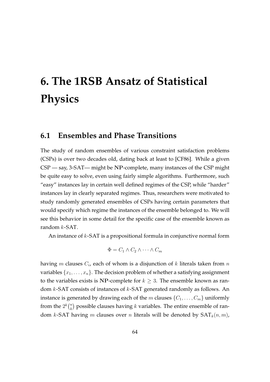# **6. The 1RSB Ansatz of Statistical Physics**

## **6.1 Ensembles and Phase Transitions**

The study of random ensembles of various constraint satisfaction problems (CSPs) is over two decades old, dating back at least to [CF86]. While a given CSP — say, 3-SAT— might be NP-complete, many instances of the CSP might be quite easy to solve, even using fairly simple algorithms. Furthermore, such "easy" instances lay in certain well defined regimes of the CSP, while "harder" instances lay in clearly separated regimes. Thus, researchers were motivated to study randomly generated ensembles of CSPs having certain parameters that would specify which regime the instances of the ensemble belonged to. We will see this behavior in some detail for the specific case of the ensemble known as random k-SAT.

An instance of  $k$ -SAT is a propositional formula in conjunctive normal form

$$
\Phi = C_1 \wedge C_2 \wedge \cdots \wedge C_m
$$

having  $m$  clauses  $C_i$ , each of whom is a disjunction of  $k$  literals taken from  $n$ variables  $\{x_1, \ldots, x_n\}$ . The decision problem of whether a satisfying assignment to the variables exists is NP-complete for  $k \geq 3$ . The ensemble known as random k-SAT consists of instances of k-SAT generated randomly as follows. An instance is generated by drawing each of the m clauses  $\{C_1, \ldots, C_m\}$  uniformly from the  $2^k \binom{n}{k}$  $\binom{n}{k}$  possible clauses having  $k$  variables. The entire ensemble of random k-SAT having m clauses over n literals will be denoted by  $SAT_k(n, m)$ ,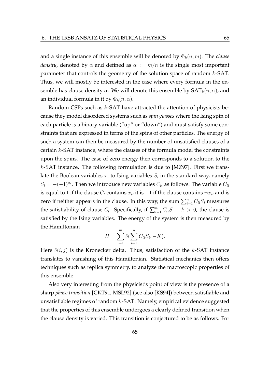and a single instance of this ensemble will be denoted by  $\Phi_k(n,m)$ . The *clause density*, denoted by  $\alpha$  and defined as  $\alpha := m/n$  is the single most important parameter that controls the geometry of the solution space of random k-SAT. Thus, we will mostly be interested in the case where every formula in the ensemble has clause density  $\alpha$ . We will denote this ensemble by  $\text{SAT}_k(n, \alpha)$ , and an individual formula in it by  $\Phi_k(n, \alpha)$ .

Random CSPs such as k-SAT have attracted the attention of physicists because they model disordered systems such as *spin glasses* where the Ising spin of each particle is a binary variable ("up" or "down") and must satisfy some constraints that are expressed in terms of the spins of other particles. The energy of such a system can then be measured by the number of unsatisfied clauses of a certain k-SAT instance, where the clauses of the formula model the constraints upon the spins. The case of zero energy then corresponds to a solution to the k-SAT instance. The following formulation is due to [MZ97]. First we translate the Boolean variables  $x_i$  to Ising variables  $S_i$  in the standard way, namely  $S_i = -(-1)^{x_i}$ . Then we introduce new variables  $C_{li}$  as follows. The variable  $C_{li}$ is equal to 1 if the clause  $C_l$  contains  $x_i$ , it is  $-1$  if the clause contains  $\neg x_i$ , and is zero if neither appears in the clause. In this way, the sum  $\sum_{i=1}^{n} C_{li} S_i$  measures the satisfiability of clause  $C_l$ . Specifically, if  $\sum_{i=1}^n C_{li} S_i - k > 0$ , the clause is satisfied by the Ising variables. The energy of the system is then measured by the Hamiltonian

$$
H = \sum_{i=1}^{m} \delta(\sum_{i=1}^{n} C_{li} S_i, -K).
$$

Here  $\delta(i, j)$  is the Kronecker delta. Thus, satisfaction of the k-SAT instance translates to vanishing of this Hamiltonian. Statistical mechanics then offers techniques such as replica symmetry, to analyze the macroscopic properties of this ensemble.

Also very interesting from the physicist's point of view is the presence of a sharp *phase transition* [CKT91, MSL92] (see also [KS94]) between satisfiable and unsatisfiable regimes of random  $k$ -SAT. Namely, empirical evidence suggested that the properties of this ensemble undergoes a clearly defined transition when the clause density is varied. This transition is conjectured to be as follows. For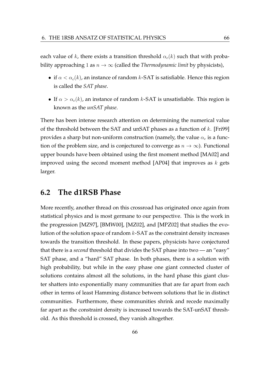each value of k, there exists a transition threshold  $\alpha_c(k)$  such that with probability approaching 1 as  $n \to \infty$  (called the *Thermodynamic limit* by physicists),

- if  $\alpha < \alpha_c(k)$ , an instance of random k-SAT is satisfiable. Hence this region is called the *SAT phase*.
- If  $\alpha > \alpha_c(k)$ , an instance of random k-SAT is unsatisfiable. This region is known as the *unSAT phase*.

There has been intense research attention on determining the numerical value of the threshold between the SAT and unSAT phases as a function of  $k$ . [Fri99] provides a sharp but non-uniform construction (namely, the value  $\alpha_c$  is a function of the problem size, and is conjectured to converge as  $n \to \infty$ ). Functional upper bounds have been obtained using the first moment method [MA02] and improved using the second moment method [AP04] that improves as  $k$  gets larger.

## **6.2 The d1RSB Phase**

More recently, another thread on this crossroad has originated once again from statistical physics and is most germane to our perspective. This is the work in the progression [MZ97], [BMW00], [MZ02], and [MPZ02] that studies the evolution of the solution space of random  $k$ -SAT as the constraint density increases towards the transition threshold. In these papers, physicists have conjectured that there is a *second* threshold that divides the SAT phase into two — an "easy" SAT phase, and a "hard" SAT phase. In both phases, there is a solution with high probability, but while in the easy phase one giant connected cluster of solutions contains almost all the solutions, in the hard phase this giant cluster shatters into exponentially many communities that are far apart from each other in terms of least Hamming distance between solutions that lie in distinct communities. Furthermore, these communities shrink and recede maximally far apart as the constraint density is increased towards the SAT-unSAT threshold. As this threshold is crossed, they vanish altogether.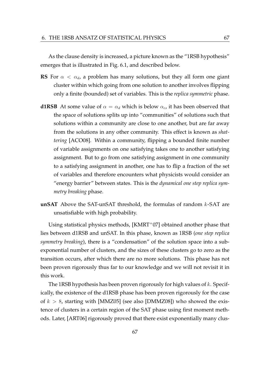As the clause density is increased, a picture known as the "1RSB hypothesis" emerges that is illustrated in Fig. 6.1, and described below.

- **RS** For  $\alpha < \alpha_d$ , a problem has many solutions, but they all form one giant cluster within which going from one solution to another involves flipping only a finite (bounded) set of variables. This is the *replica symmetric* phase.
- **d1RSB** At some value of  $\alpha = \alpha_d$  which is below  $\alpha_c$ , it has been observed that the space of solutions splits up into "communities" of solutions such that solutions within a community are close to one another, but are far away from the solutions in any other community. This effect is known as *shattering* [ACO08]. Within a community, flipping a bounded finite number of variable assignments on one satisfying takes one to another satisfying assignment. But to go from one satisfying assignment in one community to a satisfying assignment in another, one has to flip a fraction of the set of variables and therefore encounters what physicists would consider an "energy barrier" between states. This is the *dynamical one step replica symmetry breaking* phase.
- **unSAT** Above the SAT-unSAT threshold, the formulas of random k-SAT are unsatisfiable with high probability.

Using statistical physics methods, [KMRT<sup>+</sup>07] obtained another phase that lies between d1RSB and unSAT. In this phase, known as 1RSB (*one step replica symmetry breaking*), there is a "condensation" of the solution space into a subexponential number of clusters, and the sizes of these clusters go to zero as the transition occurs, after which there are no more solutions. This phase has not been proven rigorously thus far to our knowledge and we will not revisit it in this work.

The 1RSB hypothesis has been proven rigorously for high values of  $k$ . Specifically, the existence of the d1RSB phase has been proven rigorously for the case of  $k > 8$ , starting with [MMZ05] (see also [DMMZ08]) who showed the existence of clusters in a certain region of the SAT phase using first moment methods. Later, [ART06] rigorously proved that there exist exponentially many clus-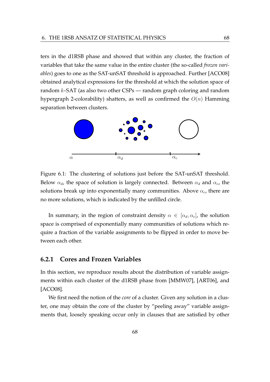ters in the d1RSB phase and showed that within any cluster, the fraction of variables that take the same value in the entire cluster (the so-called *frozen variables*) goes to one as the SAT-unSAT threshold is approached. Further [ACO08] obtained analytical expressions for the threshold at which the solution space of random  $k$ -SAT (as also two other CSPs — random graph coloring and random hypergraph 2-colorability) shatters, as well as confirmed the  $O(n)$  Hamming separation between clusters.



Figure 6.1: The clustering of solutions just before the SAT-unSAT threshold. Below  $\alpha_d$ , the space of solution is largely connected. Between  $\alpha_d$  and  $\alpha_c$ , the solutions break up into exponentially many communities. Above  $\alpha_c$ , there are no more solutions, which is indicated by the unfilled circle.

In summary, in the region of constraint density  $\alpha \in [\alpha_d, \alpha_c]$ , the solution space is comprised of exponentially many communities of solutions which require a fraction of the variable assignments to be flipped in order to move between each other.

### **6.2.1 Cores and Frozen Variables**

In this section, we reproduce results about the distribution of variable assignments within each cluster of the d1RSB phase from [MMW07], [ART06], and [ACO08].

We first need the notion of the *core* of a cluster. Given any solution in a cluster, one may obtain the core of the cluster by "peeling away" variable assignments that, loosely speaking occur only in clauses that are satisfied by other

68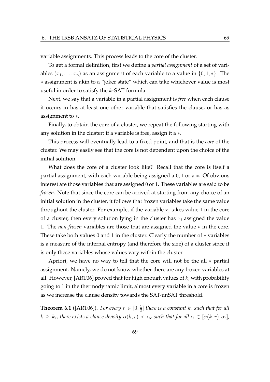variable assignments. This process leads to the core of the cluster.

To get a formal definition, first we define a *partial assignment* of a set of variables  $(x_1, \ldots, x_n)$  as an assignment of each variable to a value in  $\{0, 1, *\}$ . The ∗ assignment is akin to a "joker state" which can take whichever value is most useful in order to satisfy the  $k$ -SAT formula.

Next, we say that a variable in a partial assignment is *free* when each clause it occurs in has at least one other variable that satisfies the clause, or has as assignment to ∗.

Finally, to obtain the core of a cluster, we repeat the following starting with any solution in the cluster: if a variable is free, assign it a ∗.

This process will eventually lead to a fixed point, and that is the *core* of the cluster. We may easily see that the core is not dependent upon the choice of the initial solution.

What does the core of a cluster look like? Recall that the core is itself a partial assignment, with each variable being assigned a 0, 1 or a ∗. Of obvious interest are those variables that are assigned 0 or 1. These variables are said to be *frozen*. Note that since the core can be arrived at starting from any choice of an initial solution in the cluster, it follows that frozen variables take the same value throughout the cluster. For example, if the variable  $x_i$  takes value 1 in the core of a cluster, then every solution lying in the cluster has  $x_i$  assigned the value 1. The *non-frozen* variables are those that are assigned the value ∗ in the core. These take both values 0 and 1 in the cluster. Clearly the number of ∗ variables is a measure of the internal entropy (and therefore the size) of a cluster since it is only these variables whose values vary within the cluster.

Apriori, we have no way to tell that the core will not be the all  $*$  partial assignment. Namely, we do not know whether there are any frozen variables at all. However, [ART06] proved that for high enough values of  $k$ , with probability going to 1 in the thermodynamic limit, almost every variable in a core is frozen as we increase the clause density towards the SAT-unSAT threshold.

**Theorem 6.1** ([ART06]). For every  $r \in [0, \frac{1}{2}]$  $\frac{1}{2}$ ] there is a constant  $k_r$  such that for all  $k \geq k_r$ , there exists a clause density  $\alpha(k, r) < \alpha_c$  such that for all  $\alpha \in [\alpha(k, r), \alpha_c]$ ,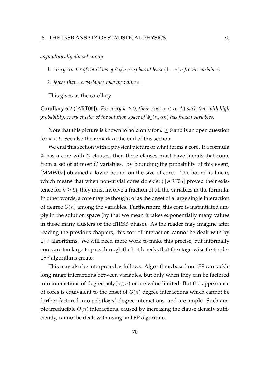*asymptotically almost surely*

*1. every cluster of solutions of*  $\Phi_k(n, \alpha n)$  *has at least*  $(1 - r)n$  *frozen variables,* 

*2. fewer than* rn *variables take the value* ∗*.*

This gives us the corollary.

**Corollary 6.2** ([ART06]). For every  $k \geq 9$ , there exist  $\alpha < \alpha_c(k)$  such that with high *probability, every cluster of the solution space of*  $\Phi_k(n, \alpha n)$  *has frozen variables.* 

Note that this picture is known to hold only for  $k \geq 9$  and is an open question for  $k < 9$ . See also the remark at the end of this section.

We end this section with a physical picture of what forms a core. If a formula  $\Phi$  has a core with C clauses, then these clauses must have literals that come from a set of at most  $C$  variables. By bounding the probability of this event, [MMW07] obtained a lower bound on the size of cores. The bound is linear, which means that when non-trivial cores do exist ( [ART06] proved their existence for  $k \geq 9$ ), they must involve a fraction of all the variables in the formula. In other words, a core may be thought of as the onset of a large single interaction of degree  $O(n)$  among the variables. Furthermore, this core is instantiated amply in the solution space (by that we mean it takes exponentially many values in those many clusters of the d1RSB phase). As the reader may imagine after reading the previous chapters, this sort of interaction cannot be dealt with by LFP algorithms. We will need more work to make this precise, but informally cores are too large to pass through the bottlenecks that the stage-wise first order LFP algorithms create.

This may also be interpreted as follows. Algorithms based on LFP can tackle long range interactions between variables, but only when they can be factored into interactions of degree  $poly(log n)$  or are value limited. But the appearance of cores is equivalent to the onset of  $O(n)$  degree interactions which cannot be further factored into  $poly(\log n)$  degree interactions, and are ample. Such ample irreducible  $O(n)$  interactions, caused by increasing the clause density sufficiently, cannot be dealt with using an LFP algorithm.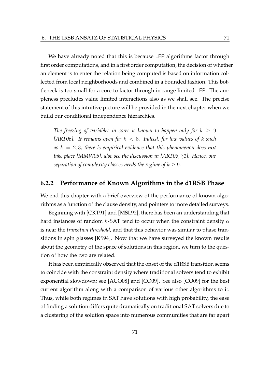We have already noted that this is because LFP algorithms factor through first order computations, and in a first order computation, the decision of whether an element is to enter the relation being computed is based on information collected from local neighborhoods and combined in a bounded fashion. This bottleneck is too small for a core to factor through in range limited LFP. The ampleness precludes value limited interactions also as we shall see. The precise statement of this intuitive picture will be provided in the next chapter when we build our conditional independence hierarchies.

*The freezing of variables in cores is known to happen only for*  $k \geq 9$ *[ART06]. It remains open for* k < 8*. Indeed, for low values of* k *such* as  $k = 2, 3$ , there is empirical evidence that this phenomenon does **not** *take place [MMW05], also see the discussion in [ART06,* §*1]. Hence, our separation of complexity classes needs the regime of*  $k \geq 9$ *.* 

#### **6.2.2 Performance of Known Algorithms in the d1RSB Phase**

We end this chapter with a brief overview of the performance of known algorithms as a function of the clause density, and pointers to more detailed surveys.

Beginning with [CKT91] and [MSL92], there has been an understanding that hard instances of random k-SAT tend to occur when the constraint density  $\alpha$ is near the *transition threshold*, and that this behavior was similar to phase transitions in spin glasses [KS94]. Now that we have surveyed the known results about the geometry of the space of solutions in this region, we turn to the question of how the two are related.

It has been empirically observed that the onset of the d1RSB transition seems to coincide with the constraint density where traditional solvers tend to exhibit exponential slowdown; see [ACO08] and [CO09]. See also [CO09] for the best current algorithm along with a comparison of various other algorithms to it. Thus, while both regimes in SAT have solutions with high probability, the ease of finding a solution differs quite dramatically on traditional SAT solvers due to a clustering of the solution space into numerous communities that are far apart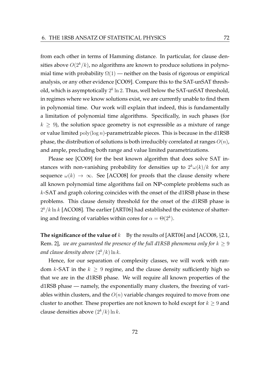from each other in terms of Hamming distance. In particular, for clause densities above  $O(2^k/k)$ , no algorithms are known to produce solutions in polynomial time with probability  $\Omega(1)$  — neither on the basis of rigorous or empirical analysis, or any other evidence [CO09]. Compare this to the SAT-unSAT threshold, which is asymptotically  $2^k \ln 2$ . Thus, well below the SAT-unSAT threshold, in regimes where we know solutions exist, we are currently unable to find them in polynomial time. Our work will explain that indeed, this is fundamentally a limitation of polynomial time algorithms. Specifically, in such phases (for  $k \geq 9$ ), the solution space geometry is not expressible as a mixture of range or value limited  $poly(log n)$ -parametrizable pieces. This is because in the d1RSB phase, the distribution of solutions is both irreducibly correlated at ranges  $O(n)$ , and ample, precluding both range and value limited parametrizations.

Please see [CO09] for the best known algorithm that does solve SAT instances with non-vanishing probability for densities up to  $2^k\omega(k)/k$  for any sequence  $\omega(k) \to \infty$ . See [ACO08] for proofs that the clause density where all known polynomial time algorithms fail on NP-complete problems such as k-SAT and graph coloring coincides with the onset of the d1RSB phase in these problems. This clause density threshold for the onset of the d1RSB phase is  $2^k/k \ln k$  [ACO08]. The earlier [ART06] had established the existence of shattering and freezing of variables within cores for  $\alpha = \Theta(2^k)$ .

**The significance of the value of**  $k$  By the results of [ART06] and [ACO08,  $\S 2.1$ , Rem. 2], *we are guaranteed the presence of the full d1RSB phenomena only for*  $k \geq 9$ *and clause density above*  $(2^k/k) \ln k$ .

Hence, for our separation of complexity classes, we will work with random k-SAT in the  $k \geq 9$  regime, and the clause density sufficiently high so that we are in the d1RSB phase. We will require all known properties of the d1RSB phase — namely, the exponentially many clusters, the freezing of variables within clusters, and the  $O(n)$  variable changes required to move from one cluster to another. These properties are not known to hold except for  $k \geq 9$  and clause densities above  $(2^k/k) \ln k$ .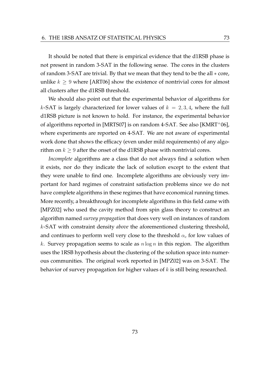It should be noted that there is empirical evidence that the d1RSB phase is not present in random 3-SAT in the following sense. The cores in the clusters of random 3-SAT are trivial. By that we mean that they tend to be the all ∗ core, unlike  $k \geq 9$  where [ART06] show the existence of nontrivial cores for almost all clusters after the d1RSB threshold.

We should also point out that the experimental behavior of algorithms for k-SAT is largely characterized for lower values of  $k = 2, 3, 4$ , where the full d1RSB picture is not known to hold. For instance, the experimental behavior of algorithms reported in [MRTS07] is on random 4-SAT. See also [KMRT<sup>+</sup>06], where experiments are reported on 4-SAT. We are not aware of experimental work done that shows the efficacy (even under mild requirements) of any algorithm on  $k \geq 9$  after the onset of the d1RSB phase with nontrivial cores.

*Incomplete* algorithms are a class that do not always find a solution when it exists, nor do they indicate the lack of solution except to the extent that they were unable to find one. Incomplete algorithms are obviously very important for hard regimes of constraint satisfaction problems since we do not have complete algorithms in these regimes that have economical running times. More recently, a breakthrough for incomplete algorithms in this field came with [MPZ02] who used the cavity method from spin glass theory to construct an algorithm named *survey propagation* that does very well on instances of random k-SAT with constraint density *above* the aforementioned clustering threshold, and continues to perform well very close to the threshold  $\alpha_c$  for low values of k. Survey propagation seems to scale as  $n \log n$  in this region. The algorithm uses the 1RSB hypothesis about the clustering of the solution space into numerous communities. The original work reported in [MPZ02] was on 3-SAT. The behavior of survey propagation for higher values of  $k$  is still being researched.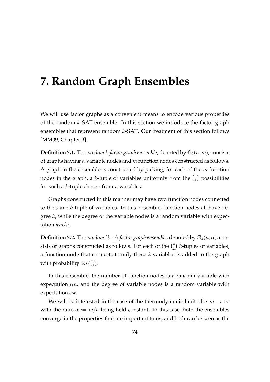# **7. Random Graph Ensembles**

We will use factor graphs as a convenient means to encode various properties of the random  $k$ -SAT ensemble. In this section we introduce the factor graph ensembles that represent random  $k$ -SAT. Our treatment of this section follows [MM09, Chapter 9].

**Definition 7.1.** The *random k*-factor graph ensemble, denoted by  $\mathbb{G}_k(n,m)$ , consists of graphs having *n* variable nodes and  $m$  function nodes constructed as follows. A graph in the ensemble is constructed by picking, for each of the  $m$  function nodes in the graph, a k-tuple of variables uniformly from the  $\binom{n}{k}$  $\binom{n}{k}$  possibilities for such a  $k$ -tuple chosen from  $n$  variables.

Graphs constructed in this manner may have two function nodes connected to the same k-tuple of variables. In this ensemble, function nodes all have degree  $k$ , while the degree of the variable nodes is a random variable with expectation  $km/n$ .

**Definition 7.2.** The *random*  $(k, \alpha)$ -factor graph ensemble, denoted by  $\mathbb{G}_k(n, \alpha)$ , consists of graphs constructed as follows. For each of the  $\binom{n}{k}$  $\binom{n}{k}$  *k*-tuples of variables, a function node that connects to only these  $k$  variables is added to the graph with probability  $\alpha n / \binom{n}{k}$  $\binom{n}{k}$ .

In this ensemble, the number of function nodes is a random variable with expectation  $\alpha n$ , and the degree of variable nodes is a random variable with expectation  $\alpha k$ .

We will be interested in the case of the thermodynamic limit of  $n, m \to \infty$ with the ratio  $\alpha := m/n$  being held constant. In this case, both the ensembles converge in the properties that are important to us, and both can be seen as the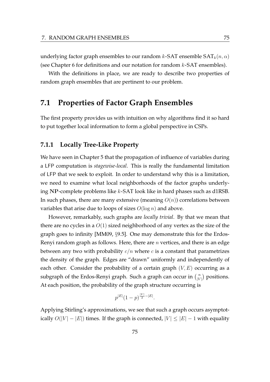underlying factor graph ensembles to our random  $k$ -SAT ensemble SAT $_k(n, \alpha)$ (see Chapter 6 for definitions and our notation for random  $k$ -SAT ensembles).

With the definitions in place, we are ready to describe two properties of random graph ensembles that are pertinent to our problem.

## **7.1 Properties of Factor Graph Ensembles**

The first property provides us with intuition on why algorithms find it so hard to put together local information to form a global perspective in CSPs.

#### **7.1.1 Locally Tree-Like Property**

We have seen in Chapter 5 that the propagation of influence of variables during a LFP computation is *stagewise-local*. This is really the fundamental limitation of LFP that we seek to exploit. In order to understand why this is a limitation, we need to examine what local neighborhoods of the factor graphs underlying NP-complete problems like k-SAT look like in hard phases such as d1RSB. In such phases, there are many extensive (meaning  $O(n)$ ) correlations between variables that arise due to loops of sizes  $O(\log n)$  and above.

However, remarkably, such graphs are *locally trivial*. By that we mean that there are no cycles in a  $O(1)$  sized neighborhood of any vertex as the size of the graph goes to infinity [MM09, §9.5]. One may demonstrate this for the Erdos-Renyi random graph as follows. Here, there are  $n$  vertices, and there is an edge between any two with probability  $c/n$  where c is a constant that parametrizes the density of the graph. Edges are "drawn" uniformly and independently of each other. Consider the probability of a certain graph  $(V, E)$  occurring as a subgraph of the Erdos-Renyi graph. Such a graph can occur in  $\binom{n}{|V|}$  $\binom{n}{|V|}$  positions. At each position, the probability of the graph structure occurring is

$$
p^{|E|}(1-p)^{\frac{|V|}{2}-|E|}.
$$

Applying Stirling's approximations, we see that such a graph occurs asymptotically  $O(|V| - |E|)$  times. If the graph is connected,  $|V| \leq |E| - 1$  with equality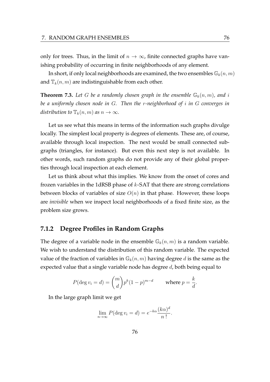only for trees. Thus, in the limit of  $n \to \infty$ , finite connected graphs have vanishing probability of occurring in finite neighborhoods of any element.

In short, if only local neighborhoods are examined, the two ensembles  $\mathbb{G}_k(n,m)$ and  $\mathbb{T}_k(n,m)$  are indistinguishable from each other.

**Theorem 7.3.** Let G be a randomly chosen graph in the ensemble  $\mathbb{G}_k(n,m)$ , and i *be a uniformly chosen node in* G*. Then the* r*-neighborhood of* i *in* G *converges in distribution to*  $\mathbb{T}_k(n,m)$  *as*  $n \to \infty$ *.* 

Let us see what this means in terms of the information such graphs divulge locally. The simplest local property is degrees of elements. These are, of course, available through local inspection. The next would be small connected subgraphs (triangles, for instance). But even this next step is not available. In other words, such random graphs do not provide any of their global properties through local inspection at each element.

Let us think about what this implies. We know from the onset of cores and frozen variables in the 1dRSB phase of  $k$ -SAT that there are strong correlations between blocks of variables of size  $O(n)$  in that phase. However, these loops are *invisible* when we inspect local neighborhoods of a fixed finite size, as the problem size grows.

### **7.1.2 Degree Profiles in Random Graphs**

The degree of a variable node in the ensemble  $\mathbb{G}_k(n,m)$  is a random variable. We wish to understand the distribution of this random variable. The expected value of the fraction of variables in  $\mathbb{G}_k(n,m)$  having degree d is the same as the expected value that a single variable node has degree  $d$ , both being equal to

$$
P(\deg v_i = d) = \binom{m}{d} p^k (1-p)^{m-d} \qquad \text{where } p = \frac{k}{d}.
$$

In the large graph limit we get

$$
\lim_{n \to \infty} P(\deg v_i = d) = e^{-k\alpha} \frac{(k\alpha)^d}{n!}.
$$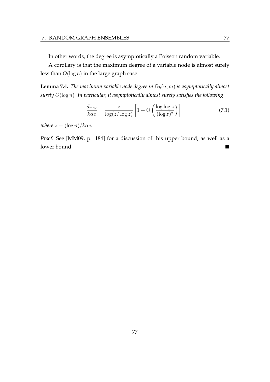In other words, the degree is asymptotically a Poisson random variable.

A corollary is that the maximum degree of a variable node is almost surely less than  $O(\log n)$  in the large graph case.

**Lemma 7.4.** *The maximum variable node degree in*  $\mathbb{G}_k(n,m)$  *is asymptotically almost surely* O(log n)*. In particular, it asymptotically almost surely satisfies the following*

$$
\frac{d_{\max}}{k\alpha e} = \frac{z}{\log(z/\log z)} \left[ 1 + \Theta\left(\frac{\log \log z}{(\log z)^2}\right) \right].
$$
\n(7.1)

*where*  $z = (\log n)/k\alpha e$ *.* 

*Proof.* See [MM09, p. 184] for a discussion of this upper bound, as well as a lower bound.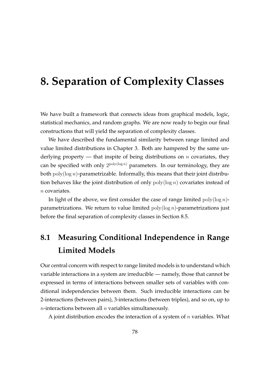# **8. Separation of Complexity Classes**

We have built a framework that connects ideas from graphical models, logic, statistical mechanics, and random graphs. We are now ready to begin our final constructions that will yield the separation of complexity classes.

We have described the fundamental similarity between range limited and value limited distributions in Chapter 3. Both are hampered by the same underlying property — that inspite of being distributions on *n* covariates, they can be specified with only  $2^{poly(log n)}$  parameters. In our terminology, they are both  $poly(log n)$ -parametrizable. Informally, this means that their joint distribution behaves like the joint distribution of only  $poly(log n)$  covariates instead of n covariates.

In light of the above, we first consider the case of range limited  $poly(\log n)$ parametrizations. We return to value limited  $poly(log n)$ -parametrizations just before the final separation of complexity classes in Section 8.5.

## **8.1 Measuring Conditional Independence in Range Limited Models**

Our central concern with respect to range limited models is to understand which variable interactions in a system are irreducible — namely, those that cannot be expressed in terms of interactions between smaller sets of variables with conditional independencies between them. Such irreducible interactions can be 2-interactions (between pairs), 3-interactions (between triples), and so on, up to  $n$ -interactions between all  $n$  variables simultaneously.

A joint distribution encodes the interaction of a system of  $n$  variables. What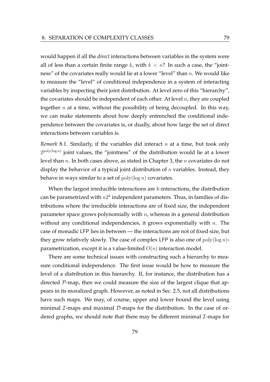would happen if all the *direct* interactions between variables in the system were all of less than a certain finite range k, with  $k < n$ ? In such a case, the "jointness" of the covariates really would lie at a lower "level" than  $n$ . We would like to measure the "level" of conditional independence in a system of interacting variables by inspecting their joint distribution. At level zero of this "hierarchy", the covariates should be independent of each other. At level  $n$ , they are coupled together *n* at a time, without the possibility of being decoupled. In this way, we can make statements about how deeply entrenched the conditional independence between the covariates is, or dually, about how large the set of direct interactions between variables is.

*Remark* 8.1*.* Similarly, if the variables did interact n at a time, but took only  $2^{\text{poly}(\log n)}$  joint values, the "jointness" of the distribution would lie at a lower level than  $n$ . In both cases above, as stated in Chapter 3, the  $n$  covariates do not display the behavior of a typical joint distribution of  $n$  variables. Instead, they behave in ways similar to a set of  $\text{poly}(\log n)$  covariates.

When the largest irreducible interactions are *k*-interactions, the distribution can be parametrized with  $n2^k$  independent parameters. Thus, in families of distributions where the irreducible interactions are of fixed size, the independent parameter space grows polynomially with  $n$ , whereas in a general distribution without any conditional independencies, it grows exponentially with  $n$ . The case of monadic LFP lies in between — the interactions are not of fixed size, but they grow relatively slowly. The case of complex LFP is also one of  $poly(\log n)$ parametrization, except it is a value-limited  $O(n)$  interaction model.

There are some technical issues with constructing such a hierarchy to measure conditional independence. The first issue would be how to measure the level of a distribution in this hierarchy. If, for instance, the distribution has a directed P-map, then we could measure the size of the largest clique that appears in its moralized graph. However, as noted in Sec. 2.5, not all distributions have such maps. We may, of course, upper and lower bound the level using minimal  $\mathcal{I}$ -maps and maximal  $\mathcal{D}$ -maps for the distribution. In the case of ordered graphs, we should note that there may be different minimal  $\mathcal{I}$ -maps for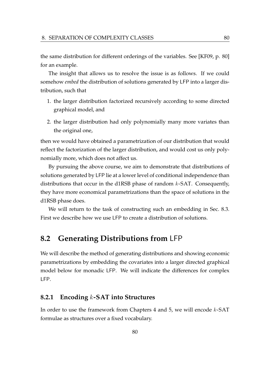the same distribution for different orderings of the variables. See [KF09, p. 80] for an example.

The insight that allows us to resolve the issue is as follows. If we could somehow *embed* the distribution of solutions generated by LFP into a larger distribution, such that

- 1. the larger distribution factorized recursively according to some directed graphical model, and
- 2. the larger distribution had only polynomially many more variates than the original one,

then we would have obtained a parametrization of our distribution that would reflect the factorization of the larger distribution, and would cost us only polynomially more, which does not affect us.

By pursuing the above course, we aim to demonstrate that distributions of solutions generated by LFP lie at a lower level of conditional independence than distributions that occur in the d1RSB phase of random  $k$ -SAT. Consequently, they have more economical parametrizations than the space of solutions in the d1RSB phase does.

We will return to the task of constructing such an embedding in Sec. 8.3. First we describe how we use LFP to create a distribution of solutions.

## **8.2 Generating Distributions from** LFP

We will describe the method of generating distributions and showing economic parametrizations by embedding the covariates into a larger directed graphical model below for monadic LFP. We will indicate the differences for complex LFP.

### **8.2.1 Encoding** k**-SAT into Structures**

In order to use the framework from Chapters 4 and 5, we will encode  $k$ -SAT formulae as structures over a fixed vocabulary.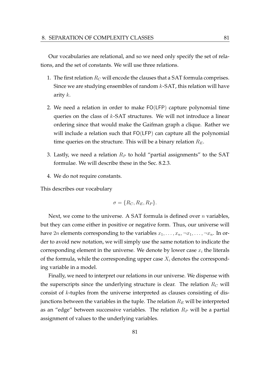Our vocabularies are relational, and so we need only specify the set of relations, and the set of constants. We will use three relations.

- 1. The first relation  $R_C$  will encode the clauses that a SAT formula comprises. Since we are studying ensembles of random  $k$ -SAT, this relation will have arity  $k$ .
- 2. We need a relation in order to make FO(LFP) capture polynomial time queries on the class of  $k$ -SAT structures. We will not introduce a linear ordering since that would make the Gaifman graph a clique. Rather we will include a relation such that FO(LFP) can capture all the polynomial time queries on the structure. This will be a binary relation  $R_E$ .
- 3. Lastly, we need a relation  $R_P$  to hold "partial assignments" to the SAT formulae. We will describe these in the Sec. 8.2.3.
- 4. We do not require constants.

This describes our vocabulary

$$
\sigma = \{R_C, R_E, R_P\}.
$$

Next, we come to the universe. A SAT formula is defined over  $n$  variables, but they can come either in positive or negative form. Thus, our universe will have 2*n* elements corresponding to the variables  $x_1, \ldots, x_n, \neg x_1, \ldots, \neg x_n$ . In order to avoid new notation, we will simply use the same notation to indicate the corresponding element in the universe. We denote by lower case  $x_i$  the literals of the formula, while the corresponding upper case  $X_i$  denotes the corresponding variable in a model.

Finally, we need to interpret our relations in our universe. We dispense with the superscripts since the underlying structure is clear. The relation  $R_C$  will consist of k-tuples from the universe interpreted as clauses consisting of disjunctions between the variables in the tuple. The relation  $R_E$  will be interpreted as an "edge" between successive variables. The relation  $R_P$  will be a partial assignment of values to the underlying variables.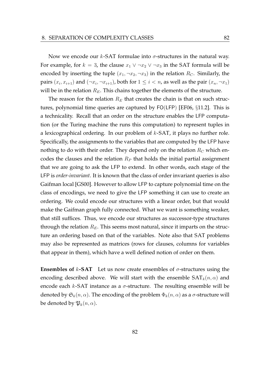Now we encode our  $k$ -SAT formulae into  $\sigma$ -structures in the natural way. For example, for  $k = 3$ , the clause  $x_1 \vee \neg x_2 \vee \neg x_3$  in the SAT formula will be encoded by inserting the tuple  $(x_1, \neg x_2, \neg x_3)$  in the relation  $R_C$ . Similarly, the pairs  $(x_i, x_{i+1})$  and  $(\neg x_i, \neg x_{i+1})$ , both for  $1 \leq i < n$ , as well as the pair  $(x_n, \neg x_1)$ will be in the relation  $R_E$ . This chains together the elements of the structure.

The reason for the relation  $R_E$  that creates the chain is that on such structures, polynomial time queries are captured by FO(LFP) [EF06, §11.2]. This is a technicality. Recall that an order on the structure enables the LFP computation (or the Turing machine the runs this computation) to represent tuples in a lexicographical ordering. In our problem of  $k$ -SAT, it plays no further role. Specifically, the assignments to the variables that are computed by the LFP have nothing to do with their order. They depend only on the relation  $R_C$  which encodes the clauses and the relation  $R_P$  that holds the initial partial assignment that we are going to ask the LFP to extend. In other words, each stage of the LFP is *order-invariant*. It is known that the class of order invariant queries is also Gaifman local [GS00]. However to allow LFP to capture polynomial time on the class of encodings, we need to give the LFP something it can use to create an ordering. We could encode our structures with a linear order, but that would make the Gaifman graph fully connected. What we want is something weaker, that still suffices. Thus, we encode our structures as successor-type structures through the relation  $R_E$ . This seems most natural, since it imparts on the structure an ordering based on that of the variables. Note also that SAT problems may also be represented as matrices (rows for clauses, columns for variables that appear in them), which have a well defined notion of order on them.

**Ensembles of**  $k$ **-SAT** Let us now create ensembles of  $\sigma$ -structures using the encoding described above. We will start with the ensemble  $SAT_k(n, \alpha)$  and encode each k-SAT instance as a  $\sigma$ -structure. The resulting ensemble will be denoted by  $\mathfrak{S}_k(n, \alpha)$ . The encoding of the problem  $\Phi_k(n, \alpha)$  as a  $\sigma$ -structure will be denoted by  $\mathfrak{P}_k(n, \alpha)$ .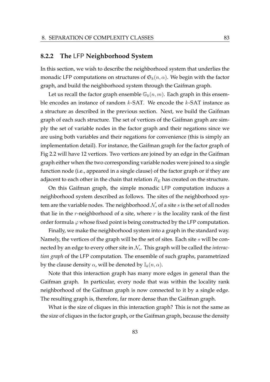#### **8.2.2 The** LFP **Neighborhood System**

In this section, we wish to describe the neighborhood system that underlies the monadic LFP computations on structures of  $\mathfrak{S}_k(n, \alpha)$ . We begin with the factor graph, and build the neighborhood system through the Gaifman graph.

Let us recall the factor graph ensemble  $\mathbb{G}_k(n,m)$ . Each graph in this ensemble encodes an instance of random  $k$ -SAT. We encode the  $k$ -SAT instance as a structure as described in the previous section. Next, we build the Gaifman graph of each such structure. The set of vertices of the Gaifman graph are simply the set of variable nodes in the factor graph and their negations since we are using both variables and their negations for convenience (this is simply an implementation detail). For instance, the Gaifman graph for the factor graph of Fig 2.2 will have 12 vertices. Two vertices are joined by an edge in the Gaifman graph either when the two corresponding variable nodes were joined to a single function node (i.e., appeared in a single clause) of the factor graph or if they are adjacent to each other in the chain that relation  $R_E$  has created on the structure.

On this Gaifman graph, the simple monadic LFP computation induces a neighborhood system described as follows. The sites of the neighborhood system are the variable nodes. The neighborhood  $\mathcal{N}_s$  of a site s is the set of all nodes that lie in the r-neighborhood of a site, where  $r$  is the locality rank of the first order formula  $\varphi$  whose fixed point is being constructed by the LFP computation.

Finally, we make the neighborhood system into a graph in the standard way. Namely, the vertices of the graph will be the set of sites. Each site s will be connected by an edge to every other site in  $\mathcal{N}_s$ . This graph will be called the *interaction graph* of the LFP computation. The ensemble of such graphs, parametrized by the clause density  $\alpha$ , will be denoted by  $\mathbb{I}_k(n, \alpha)$ .

Note that this interaction graph has many more edges in general than the Gaifman graph. In particular, every node that was within the locality rank neighborhood of the Gaifman graph is now connected to it by a single edge. The resulting graph is, therefore, far more dense than the Gaifman graph.

What is the size of cliques in this interaction graph? This is not the same as the size of cliques in the factor graph, or the Gaifman graph, because the density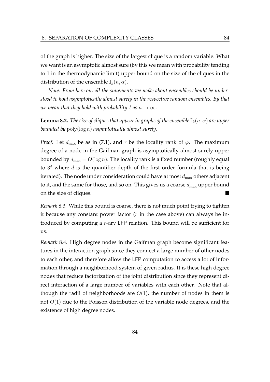of the graph is higher. The size of the largest clique is a random variable. What we want is an asymptotic almost sure (by this we mean with probability tending to 1 in the thermodynamic limit) upper bound on the size of the cliques in the distribution of the ensemble  $\mathbb{I}_k(n, \alpha)$ .

*Note: From here on, all the statements we make about ensembles should be understood to hold asymptotically almost surely in the respective random ensembles. By that we mean that they hold with probability 1 as*  $n \to \infty$ *.* 

**Lemma 8.2.** *The size of cliques that appear in graphs of the ensemble*  $\mathbb{I}_k(n, \alpha)$  *are upper bounded by* poly(log n) *asymptotically almost surely.*

*Proof.* Let  $d_{\text{max}}$  be as in (7.1), and r be the locality rank of  $\varphi$ . The maximum degree of a node in the Gaifman graph is asymptotically almost surely upper bounded by  $d_{\text{max}} = O(\log n)$ . The locality rank is a fixed number (roughly equal to  $3<sup>d</sup>$  where  $d$  is the quantifier depth of the first order formula that is being iterated). The node under consideration could have at most  $d_{\text{max}}$  others adjacent to it, and the same for those, and so on. This gives us a coarse  $d_{\max}^r$  upper bound on the size of cliques.

*Remark* 8.3*.* While this bound is coarse, there is not much point trying to tighten it because any constant power factor  $(r$  in the case above) can always be introduced by computing a r-ary LFP relation. This bound will be sufficient for us.

*Remark* 8.4*.* High degree nodes in the Gaifman graph become significant features in the interaction graph since they connect a large number of other nodes to each other, and therefore allow the LFP computation to access a lot of information through a neighborhood system of given radius. It is these high degree nodes that reduce factorization of the joint distribution since they represent direct interaction of a large number of variables with each other. Note that although the radii of neighborhoods are  $O(1)$ , the number of nodes in them is not  $O(1)$  due to the Poisson distribution of the variable node degrees, and the existence of high degree nodes.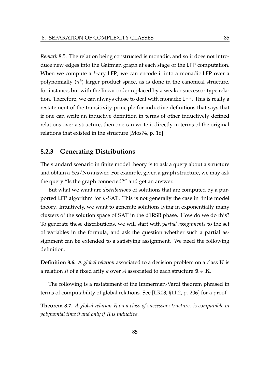*Remark* 8.5*.* The relation being constructed is monadic, and so it does not introduce new edges into the Gaifman graph at each stage of the LFP computation. When we compute a  $k$ -ary LFP, we can encode it into a monadic LFP over a polynomially  $(n^k)$  larger product space, as is done in the canonical structure, for instance, but with the linear order replaced by a weaker successor type relation. Therefore, we can always chose to deal with monadic LFP. This is really a restatement of the transitivity principle for inductive definitions that says that if one can write an inductive definition in terms of other inductively defined relations over a structure, then one can write it directly in terms of the original relations that existed in the structure [Mos74, p. 16].

### **8.2.3 Generating Distributions**

The standard scenario in finite model theory is to ask a query about a structure and obtain a Yes/No answer. For example, given a graph structure, we may ask the query "Is the graph connected?" and get an answer.

But what we want are *distributions* of solutions that are computed by a purported LFP algorithm for  $k$ -SAT. This is not generally the case in finite model theory. Intuitively, we want to generate solutions lying in exponentially many clusters of the solution space of SAT in the d1RSB phase. How do we do this? To generate these distributions, we will start with *partial assignments* to the set of variables in the formula, and ask the question whether such a partial assignment can be extended to a satisfying assignment. We need the following definition.

**Definition 8.6.** A *global relation* associated to a decision problem on a class K is a relation R of a fixed arity k over A associated to each structure  $\mathfrak{A} \in \mathbf{K}$ .

The following is a restatement of the Immerman-Vardi theorem phrased in terms of computability of global relations. See [LR03, §11.2, p. 206] for a proof.

**Theorem 8.7.** *A global relation* R *on a class of successor structures is computable in polynomial time if and only if* R *is inductive.*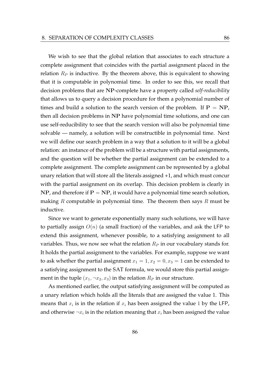We wish to see that the global relation that associates to each structure a complete assignment that coincides with the partial assignment placed in the relation  $R<sub>P</sub>$  is inductive. By the theorem above, this is equivalent to showing that it is computable in polynomial time. In order to see this, we recall that decision problems that are NP-complete have a property called *self-reducibility* that allows us to query a decision procedure for them a polynomial number of times and build a solution to the search version of the problem. If  $P = NP$ , then all decision problems in NP have polynomial time solutions, and one can use self-reducibility to see that the search version will also be polynomial time solvable — namely, a solution will be constructible in polynomial time. Next we will define our search problem in a way that a solution to it will be a global relation: an instance of the problem will be a structure with partial assignments, and the question will be whether the partial assignment can be extended to a complete assignment. The complete assignment can be represented by a global unary relation that will store all the literals assigned +1, and which must concur with the partial assignment on its overlap. This decision problem is clearly in  $NP$ , and therefore if  $P = NP$ , it would have a polynomial time search solution, making  $R$  computable in polynomial time. The theorem then says  $R$  must be inductive.

Since we want to generate exponentially many such solutions, we will have to partially assign  $O(n)$  (a small fraction) of the variables, and ask the LFP to extend this assignment, whenever possible, to a satisfying assignment to all variables. Thus, we now see what the relation  $R_P$  in our vocabulary stands for. It holds the partial assignment to the variables. For example, suppose we want to ask whether the partial assignment  $x_1 = 1, x_2 = 0, x_3 = 1$  can be extended to a satisfying assignment to the SAT formula, we would store this partial assignment in the tuple  $(x_1, \neg x_2, x_3)$  in the relation  $R_P$  in our structure.

As mentioned earlier, the output satisfying assignment will be computed as a unary relation which holds all the literals that are assigned the value 1. This means that  $x_i$  is in the relation if  $x_i$  has been assigned the value 1 by the LFP, and otherwise  $\neg x_i$  is in the relation meaning that  $x_i$  has been assigned the value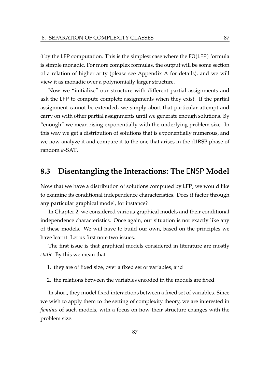0 by the LFP computation. This is the simplest case where the FO(LFP) formula is simple monadic. For more complex formulas, the output will be some section of a relation of higher arity (please see Appendix A for details), and we will view it as monadic over a polynomially larger structure.

Now we "initialize" our structure with different partial assignments and ask the LFP to compute complete assignments when they exist. If the partial assignment cannot be extended, we simply abort that particular attempt and carry on with other partial assignments until we generate enough solutions. By "enough" we mean rising exponentially with the underlying problem size. In this way we get a distribution of solutions that is exponentially numerous, and we now analyze it and compare it to the one that arises in the d1RSB phase of random k-SAT.

## **8.3 Disentangling the Interactions: The** ENSP **Model**

Now that we have a distribution of solutions computed by LFP, we would like to examine its conditional independence characteristics. Does it factor through any particular graphical model, for instance?

In Chapter 2, we considered various graphical models and their conditional independence characteristics. Once again, our situation is not exactly like any of these models. We will have to build our own, based on the principles we have learnt. Let us first note two issues.

The first issue is that graphical models considered in literature are mostly *static*. By this we mean that

- 1. they are of fixed size, over a fixed set of variables, and
- 2. the relations between the variables encoded in the models are fixed.

In short, they model fixed interactions between a fixed set of variables. Since we wish to apply them to the setting of complexity theory, we are interested in *families* of such models, with a focus on how their structure changes with the problem size.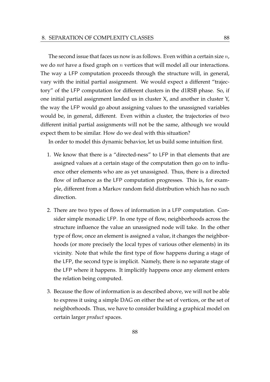The second issue that faces us now is as follows. Even within a certain size  $n$ , we do *not* have a fixed graph on n vertices that will model all our interactions. The way a LFP computation proceeds through the structure will, in general, vary with the initial partial assignment. We would expect a different "trajectory" of the LFP computation for different clusters in the d1RSB phase. So, if one initial partial assignment landed us in cluster X, and another in cluster Y, the way the LFP would go about assigning values to the unassigned variables would be, in general, different. Even within a cluster, the trajectories of two different initial partial assignments will not be the same, although we would expect them to be similar. How do we deal with this situation?

In order to model this dynamic behavior, let us build some intuition first.

- 1. We know that there is a "directed-ness" to LFP in that elements that are assigned values at a certain stage of the computation then go on to influence other elements who are as yet unassigned. Thus, there is a directed flow of influence as the LFP computation progresses. This is, for example, different from a Markov random field distribution which has no such direction.
- 2. There are two types of flows of information in a LFP computation. Consider simple monadic LFP. In one type of flow, neighborhoods across the structure influence the value an unassigned node will take. In the other type of flow, once an element is assigned a value, it changes the neighborhoods (or more precisely the local types of various other elements) in its vicinity. Note that while the first type of flow happens during a stage of the LFP, the second type is implicit. Namely, there is no separate stage of the LFP where it happens. It implicitly happens once any element enters the relation being computed.
- 3. Because the flow of information is as described above, we will not be able to express it using a simple DAG on either the set of vertices, or the set of neighborhoods. Thus, we have to consider building a graphical model on certain larger *product* spaces.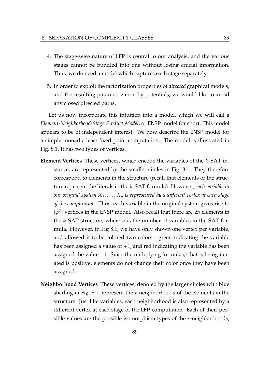- 4. The stage-wise nature of LFP is central to our analysis, and the various stages cannot be bundled into one without losing crucial information. Thus, we do need a model which captures each stage separately.
- 5. In order to exploit the factorization properties of *directed* graphical models, and the resulting parametrization by potentials, we would like to avoid any closed directed paths.

Let us now incorporate this intuition into a model, which we will call a *Element-Neighborhood-Stage Product Model*, or ENSP model for short. This model appears to be of independent interest. We now describe the ENSP model for a simple monadic least fixed point computation. The model is illustrated in Fig. 8.1. It has two types of vertices.

- **Element Vertices** These vertices, which encode the variables of the k-SAT instance, are represented by the smaller circles in Fig. 8.1. They therefore correspond to elements in the structure (recall that elements of the structure represent the literals in the k-SAT formula). However, *each variable in our original system*  $X_1, \ldots, X_n$  *is represented by a different vertex at each stage of the computation*. Thus, each variable in the original system gives rise to  $|\varphi^{\mathfrak{A}}|$  vertices in the ENSP model. Also recall that there are  $2n$  elements in the  $k$ -SAT structure, where  $n$  is the number of variables in the SAT formula. However, in Fig 8.1, we have only shown one vertex per variable, and allowed it to be colored two colors - green indicating the variable has been assigned a value of  $+1$ , and red indicating the variable has been assigned the value −1. Since the underlying formula  $\varphi$  that is being iterated is positive, elements do not change their color once they have been assigned.
- **Neighborhood Vertices** These vertices, denoted by the larger circles with blue shading in Fig. 8.1, represent the r-neighborhoods of the elements in the structure. Just like variables, each neighborhood is also represented by a different vertex at each stage of the LFP computation. Each of their possible values are the possible isomorphism types of the  $r$ -neighborhoods,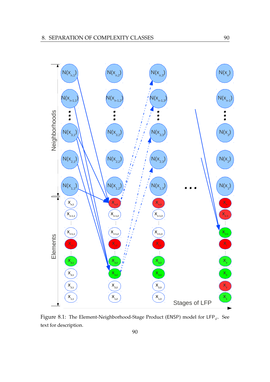

Figure 8.1: The Element-Neighborhood-Stage Product (ENSP) model for  $\text{LFP}_{\varphi}$ . See text for description.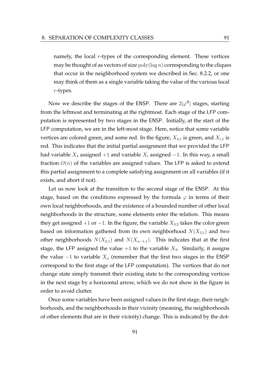namely, the local  $r$ -types of the corresponding element. These vertices may be thought of as vectors of size  $poly(log n)$  corresponding to the cliques that occur in the neighborhood system we described in Sec. 8.2.2, or one may think of them as a single variable taking the value of the various local r-types.

Now we describe the stages of the ENSP. There are  $2|\varphi^{\mathfrak{A}}|$  stages, starting from the leftmost and terminating at the rightmost. Each stage of the LFP computation is represented by two stages in the ENSP. Initially, at the start of the LFP computation, we are in the left-most stage. Here, notice that some variable vertices are colored green, and some red. In the figure,  $X_{4,1}$  is green, and  $X_{i,1}$  is red. This indicates that the initial partial assignment that we provided the LFP had variable  $X_4$  assigned +1 and variable  $X_i$  assigned −1. In this way, a small fraction  $O(n)$  of the variables are assigned values. The LFP is asked to extend this partial assignment to a complete satisfying assignment on all variables (if it exists, and abort if not).

Let us now look at the transition to the second stage of the ENSP. At this stage, based on the conditions expressed by the formula  $\varphi$  in terms of their own local neighborhoods, and the existence of a bounded number of other local neighborhoods in the structure, some elements enter the relation. This means they get assigned +1 or −1. In the figure, the variable  $X_{3,2}$  takes the color green based on information gathered from its own neighborhood  $N(X_{3,1})$  and two other neighborhoods  $N(X_{2,1})$  and  $N(X_{n-1,1})$ . This indicates that at the first stage, the LFP assigned the value  $+1$  to the variable  $X_3$ . Similarly, it assigns the value  $-1$  to variable  $X_n$  (remember that the first two stages in the ENSP correspond to the first stage of the LFP computation). The vertices that do not change state simply transmit their existing state to the corresponding vertices in the next stage by a horizontal arrow, which we do not show in the figure in order to avoid clutter.

Once some variables have been assigned values in the first stage, their neighborhoods, and the neighborhoods in their vicinity (meaning, the neighborhoods of other elements that are in their vicinity) change. This is indicated by the dot-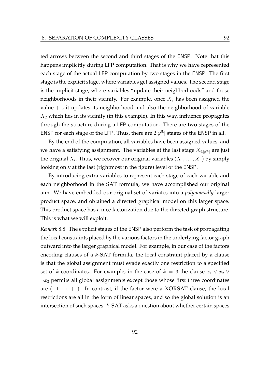ted arrows between the second and third stages of the ENSP. Note that this happens implicitly during LFP computation. That is why we have represented each stage of the actual LFP computation by two stages in the ENSP. The first stage is the explicit stage, where variables get assigned values. The second stage is the implicit stage, where variables "update their neighborhoods" and those neighborhoods in their vicinity. For example, once  $X_3$  has been assigned the value  $+1$ , it updates its neighborhood and also the neighborhood of variable  $X_2$  which lies in its vicinity (in this example). In this way, influence propagates through the structure during a LFP computation. There are two stages of the ENSP for each stage of the LFP. Thus, there are  $2|\varphi^{\mathfrak{A}}|$  stages of the ENSP in all.

By the end of the computation, all variables have been assigned values, and we have a satisfying assignment. The variables at the last stage  $X_{i,|\varphi^{|\mathfrak{A}|}}$  are just the original  $X_i$ . Thus, we recover our original variables  $(X_1, \ldots, X_n)$  by simply looking only at the last (rightmost in the figure) level of the ENSP.

By introducing extra variables to represent each stage of each variable and each neighborhood in the SAT formula, we have accomplished our original aim. We have embedded our original set of variates into a *polynomially* larger product space, and obtained a directed graphical model on this larger space. This product space has a nice factorization due to the directed graph structure. This is what we will exploit.

*Remark* 8.8*.* The explicit stages of the ENSP also perform the task of propagating the local constraints placed by the various factors in the underlying factor graph outward into the larger graphical model. For example, in our case of the factors encoding clauses of a k-SAT formula, the local constraint placed by a clause is that the global assignment must evade exactly one restriction to a specified set of k coordinates. For example, in the case of  $k = 3$  the clause  $x_1 \vee x_2 \vee x_3$  $\neg x_3$  permits all global assignments except those whose first three coordinates are  $(-1, -1, +1)$ . In contrast, if the factor were a XORSAT clause, the local restrictions are all in the form of linear spaces, and so the global solution is an intersection of such spaces. k-SAT asks a question about whether certain spaces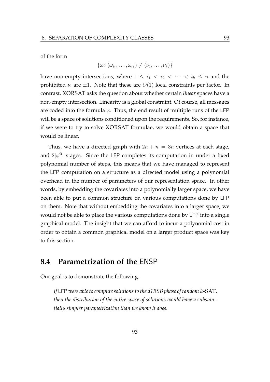of the form

$$
\{\omega\colon (\omega_{i_1},\ldots,\omega_{i_k})\neq (\nu_1,\ldots,\nu_k)\}
$$

have non-empty intersections, where  $1 \leq i_1 < i_2 < \cdots < i_k \leq n$  and the prohibited  $\nu_i$  are  $\pm 1$ . Note that these are  $O(1)$  local constraints per factor. In contrast, XORSAT asks the question about whether certain *linear* spaces have a non-empty intersection. Linearity is a global constraint. Of course, all messages are coded into the formula  $\varphi$ . Thus, the end result of multiple runs of the LFP will be a space of solutions conditioned upon the requirements. So, for instance, if we were to try to solve XORSAT formulae, we would obtain a space that would be linear.

Thus, we have a directed graph with  $2n + n = 3n$  vertices at each stage, and  $2|\varphi^{2}|$  stages. Since the LFP completes its computation in under a fixed polynomial number of steps, this means that we have managed to represent the LFP computation on a structure as a directed model using a polynomial overhead in the number of parameters of our representation space. In other words, by embedding the covariates into a polynomially larger space, we have been able to put a common structure on various computations done by LFP on them. Note that without embedding the covariates into a larger space, we would not be able to place the various computations done by LFP into a single graphical model. The insight that we can afford to incur a polynomial cost in order to obtain a common graphical model on a larger product space was key to this section.

## **8.4 Parametrization of the** ENSP

Our goal is to demonstrate the following.

*If* LFP *were able to compute solutions to the d1RSB phase of random* k-SAT*, then the distribution of the entire space of solutions would have a substantially simpler parametrization than we know it does.*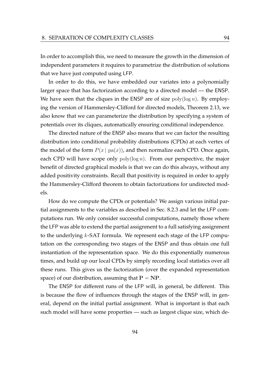In order to accomplish this, we need to measure the growth in the dimension of independent parameters it requires to parametrize the distribution of solutions that we have just computed using LFP.

In order to do this, we have embedded our variates into a polynomially larger space that has factorization according to a directed model — the ENSP. We have seen that the cliques in the ENSP are of size  $\text{poly}(\log n)$ . By employing the version of Hammersley-Clifford for directed models, Theorem 2.13, we also know that we can parameterize the distribution by specifying a system of potentials over its cliques, automatically ensuring conditional independence.

The directed nature of the ENSP also means that we can factor the resulting distribution into conditional probability distributions (CPDs) at each vertex of the model of the form  $P(x \mid pa(x))$ , and then normalize each CPD. Once again, each CPD will have scope only  $poly(log n)$ . From our perspective, the major benefit of directed graphical models is that we can do this always, without any added positivity constraints. Recall that positivity is required in order to apply the Hammersley-Clifford theorem to obtain factorizations for undirected models.

How do we compute the CPDs or potentials? We assign various initial partial assignments to the variables as described in Sec. 8.2.3 and let the LFP computations run. We only consider successful computations, namely those where the LFP was able to extend the partial assignment to a full satisfying assignment to the underlying k-SAT formula. We represent each stage of the LFP computation on the corresponding two stages of the ENSP and thus obtain one full instantiation of the representation space. We do this exponentially numerous times, and build up our local CPDs by simply recording local statistics over all these runs. This gives us the factorization (over the expanded representation space) of our distribution, assuming that  $P = NP$ .

The ENSP for different runs of the LFP will, in general, be different. This is because the flow of influences through the stages of the ENSP will, in general, depend on the initial partial assignment. What is important is that each such model will have some properties — such as largest clique size, which de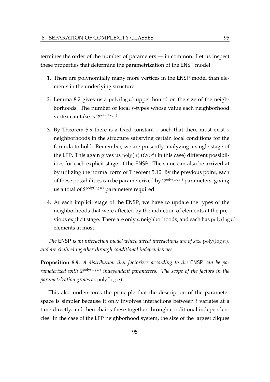termines the order of the number of parameters — in common. Let us inspect these properties that determine the parametrization of the ENSP model.

- 1. There are polynomially many more vertices in the ENSP model than elements in the underlying structure.
- 2. Lemma 8.2 gives us a  $poly(log n)$  upper bound on the size of the neighborhoods. The number of local  $r$ -types whose value each neighborhood vertex can take is  $2^{\text{poly}(\log n)}$ .
- 3. By Theorem 5.9 there is a fixed constant  $s$  such that there must exist  $s$ neighborhoods in the structure satisfying certain local conditions for the formula to hold. Remember, we are presently analyzing a single stage of the LFP. This again gives us  $poly(n)$  ( $O(n^s)$  in this case) different possibilities for each explicit stage of the ENSP. The same can also be arrived at by utilizing the normal form of Theorem 5.10. By the previous point, each of these possibilities can be parameterized by  $2^{\text{poly}(\log n)}$  parameters, giving us a total of  $2^{poly(\log n)}$  parameters required.
- 4. At each implicit stage of the ENSP, we have to update the types of the neighborhoods that were affected by the induction of elements at the previous explicit stage. There are only n neighborhoods, and each has  $poly(log n)$ elements at most.

*The* ENSP *is an interaction model where direct interactions are of size* poly(log n)*, and are chained together through conditional independencies.*

**Proposition 8.9.** *A distribution that factorizes according to the* ENSP *can be pa*rameterized with  $2^{\text{poly}(\log n)}$  independent parameters. The scope of the factors in the *parametrization grows as* poly(log n)*.*

This also underscores the principle that the description of the parameter space is simpler because it only involves interactions between *l* variates at a time directly, and then chains these together through conditional independencies. In the case of the LFP neighborhood system, the size of the largest cliques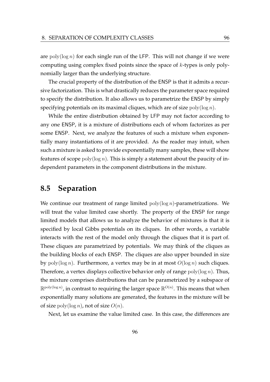are  $poly(\log n)$  for each single run of the LFP. This will not change if we were computing using complex fixed points since the space of k-types is only polynomially larger than the underlying structure.

The crucial property of the distribution of the ENSP is that it admits a recursive factorization. This is what drastically reduces the parameter space required to specify the distribution. It also allows us to parametrize the ENSP by simply specifying potentials on its maximal cliques, which are of size  $poly(\log n)$ .

While the entire distribution obtained by LFP may not factor according to any one ENSP, it is a mixture of distributions each of whom factorizes as per some ENSP. Next, we analyze the features of such a mixture when exponentially many instantiations of it are provided. As the reader may intuit, when such a mixture is asked to provide exponentially many samples, these will show features of scope  $poly(log n)$ . This is simply a statement about the paucity of independent parameters in the component distributions in the mixture.

## **8.5 Separation**

We continue our treatment of range limited  $poly(log n)$ -parametrizations. We will treat the value limited case shortly. The property of the ENSP for range limited models that allows us to analyze the behavior of mixtures is that it is specified by local Gibbs potentials on its cliques. In other words, a variable interacts with the rest of the model only through the cliques that it is part of. These cliques are parametrized by potentials. We may think of the cliques as the building blocks of each ENSP. The cliques are also upper bounded in size by  $poly(\log n)$ . Furthermore, a vertex may be in at most  $O(\log n)$  such cliques. Therefore, a vertex displays collective behavior only of range  $poly(\log n)$ . Thus, the mixture comprises distributions that can be parametrized by a subspace of  $\mathbb{R}^{\text{poly}(\log n)}$ , in contrast to requiring the larger space  $\mathbb{R}^{O(n)}.$  This means that when exponentially many solutions are generated, the features in the mixture will be of size  $poly(\log n)$ , not of size  $O(n)$ .

Next, let us examine the value limited case. In this case, the differences are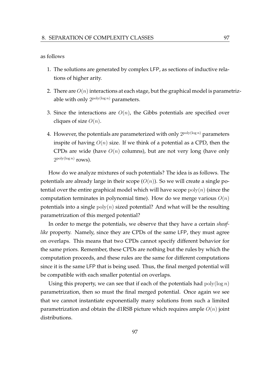#### as follows

- 1. The solutions are generated by complex LFP, as sections of inductive relations of higher arity.
- 2. There are  $O(n)$  interactions at each stage, but the graphical model is parametrizable with only  $2^{\text{poly}(\log n)}$  parameters.
- 3. Since the interactions are  $O(n)$ , the Gibbs potentials are specified over cliques of size  $O(n)$ .
- 4. However, the potentials are parameterized with only  $2^{\mathrm{poly}(\log n)}$  parameters inspite of having  $O(n)$  size. If we think of a potential as a CPD, then the CPDs are wide (have  $O(n)$  columns), but are not very long (have only  $2^{\text{poly}(\log n)}$  rows).

How do we analyze mixtures of such potentials? The idea is as follows. The potentials are already large in their scope  $(O(n))$ . So we will create a single potential over the entire graphical model which will have scope  $poly(n)$  (since the computation terminates in polynomial time). How do we merge various  $O(n)$ potentials into a single  $poly(n)$  sized potential? And what will be the resulting parametrization of this merged potential?

In order to merge the potentials, we observe that they have a certain *sheaflike* property. Namely, since they are CPDs of the same LFP, they must agree on overlaps. This means that two CPDs cannot specify different behavior for the same priors. Remember, these CPDs are nothing but the rules by which the computation proceeds, and these rules are the same for different computations since it is the same LFP that is being used. Thus, the final merged potential will be compatible with each smaller potential on overlaps.

Using this property, we can see that if each of the potentials had  $poly(\log n)$ parametrization, then so must the final merged potential. Once again we see that we cannot instantiate exponentially many solutions from such a limited parametrization and obtain the d1RSB picture which requires ample  $O(n)$  joint distributions.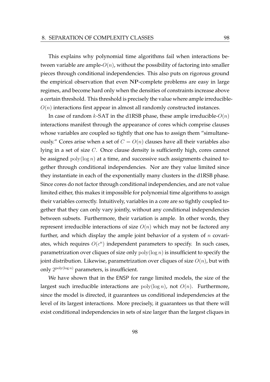This explains why polynomial time algorithms fail when interactions between variable are ample- $O(n)$ , without the possibility of factoring into smaller pieces through conditional independencies. This also puts on rigorous ground the empirical observation that even NP-complete problems are easy in large regimes, and become hard only when the densities of constraints increase above a certain threshold. This threshold is precisely the value where ample irreducible- $O(n)$  interactions first appear in almost all randomly constructed instances.

In case of random  $k$ -SAT in the d1RSB phase, these ample irreducible- $O(n)$ interactions manifest through the appearance of cores which comprise clauses whose variables are coupled so tightly that one has to assign them "simultaneously." Cores arise when a set of  $C = O(n)$  clauses have all their variables also lying in a set of size C. Once clause density is sufficiently high, cores cannot be assigned  $poly(log n)$  at a time, and successive such assignments chained together through conditional independencies. Nor are they value limited since they instantiate in each of the exponentially many clusters in the d1RSB phase. Since cores do not factor through conditional independencies, and are not value limited either, this makes it impossible for polynomial time algorithms to assign their variables correctly. Intuitively, variables in a core are so tightly coupled together that they can only vary jointly, without any conditional independencies between subsets. Furthermore, their variation is ample. In other words, they represent irreducible interactions of size  $O(n)$  which may not be factored any further, and which display the ample joint behavior of a system of  $n$  covariates, which requires  $O(c^n)$  independent parameters to specify. In such cases, parametrization over cliques of size only  $poly(log n)$  is insufficient to specify the joint distribution. Likewise, parametrization over cliques of size  $O(n)$ , but with only  $2^{poly(log n)}$  parameters, is insufficient.

We have shown that in the ENSP for range limited models, the size of the largest such irreducible interactions are  $poly(log n)$ , not  $O(n)$ . Furthermore, since the model is directed, it guarantees us conditional independencies at the level of its largest interactions. More precisely, it guarantees us that there will exist conditional independencies in sets of size larger than the largest cliques in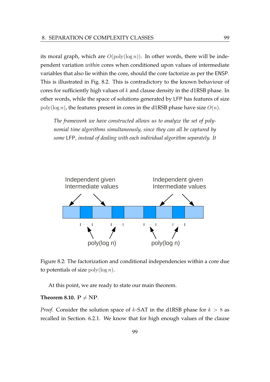its moral graph, which are  $O(\text{poly}(\log n))$ . In other words, there will be independent variation *within* cores when conditioned upon values of intermediate variables that also lie within the core, should the core factorize as per the ENSP. This is illustrated in Fig. 8.2. This is contradictory to the known behaviour of cores for sufficiently high values of  $k$  and clause density in the d1RSB phase. In other words, while the space of solutions generated by LFP has features of size poly(log *n*), the features present in cores in the d1RSB phase have size  $O(n)$ .

*The framework we have constructed allows us to analyze the set of polynomial time algorithms simultaneously, since they can all be captured by some* LFP*, instead of dealing with each individual algorithm separately. It*





At this point, we are ready to state our main theorem.

#### **Theorem 8.10.**  $P \neq NP$ .

*Proof.* Consider the solution space of  $k$ -SAT in the d1RSB phase for  $k > 8$  as recalled in Section. 6.2.1. We know that for high enough values of the clause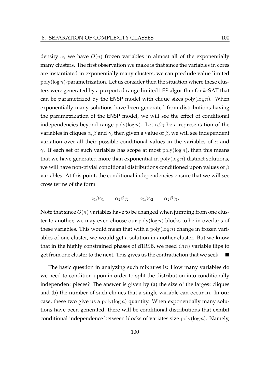density  $\alpha$ , we have  $O(n)$  frozen variables in almost all of the exponentially many clusters. The first observation we make is that since the variables in cores are instantiated in exponentially many clusters, we can preclude value limited  $poly(\log n)$ -parametrization. Let us consider then the situation where these clusters were generated by a purported range limited LFP algorithm for k-SAT that can be parametrized by the ENSP model with clique sizes  $poly(log n)$ . When exponentially many solutions have been generated from distributions having the parametrization of the ENSP model, we will see the effect of conditional independencies beyond range  $poly(log n)$ . Let  $\alpha\beta\gamma$  be a representation of the variables in cliques  $\alpha$ ,  $\beta$  and  $\gamma$ , then given a value of  $\beta$ , we will see independent variation over all their possible conditional values in the variables of  $\alpha$  and γ. If each set of such variables has scope at most  $poly(log n)$ , then this means that we have generated more than exponential in  $\text{poly}(\log n)$  distinct solutions, we will have non-trivial conditional distributions conditioned upon values of  $\beta$ variables. At this point, the conditional independencies ensure that we will see cross terms of the form

$$
\alpha_1 \beta \gamma_1 \qquad \alpha_2 \beta \gamma_2 \qquad \alpha_1 \beta \gamma_2 \qquad \alpha_2 \beta \gamma_1.
$$

Note that since  $O(n)$  variables have to be changed when jumping from one cluster to another, we may even choose our  $poly(log n)$  blocks to be in overlaps of these variables. This would mean that with a  $poly(log n)$  change in frozen variables of one cluster, we would get a solution in another cluster. But we know that in the highly constrained phases of d1RSB, we need  $O(n)$  variable flips to get from one cluster to the next. This gives us the contradiction that we seek.  $\blacksquare$ 

The basic question in analyzing such mixtures is: How many variables do we need to condition upon in order to split the distribution into conditionally independent pieces? The answer is given by (a) the size of the largest cliques and (b) the number of such cliques that a single variable can occur in. In our case, these two give us a  $poly(\log n)$  quantity. When exponentially many solutions have been generated, there will be conditional distributions that exhibit conditional independence between blocks of variates size  $poly(log n)$ . Namely,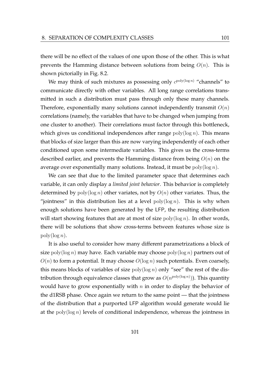there will be no effect of the values of one upon those of the other. This is what prevents the Hamming distance between solutions from being  $O(n)$ . This is shown pictorially in Fig. 8.2.

We may think of such mixtures as possessing only  $c^{\text{poly}(\log n)}$  "channels" to communicate directly with other variables. All long range correlations transmitted in such a distribution must pass through only these many channels. Therefore, exponentially many solutions cannot independently transmit  $O(n)$ correlations (namely, the variables that have to be changed when jumping from one cluster to another). Their correlations must factor through this bottleneck, which gives us conditional independences after range  $poly(\log n)$ . This means that blocks of size larger than this are now varying independently of each other conditioned upon some intermediate variables. This gives us the cross-terms described earlier, and prevents the Hamming distance from being  $O(n)$  on the average over exponentially many solutions. Instead, it must be  $poly(\log n)$ .

We can see that due to the limited parameter space that determines each variable, it can only display a *limited joint behavior*. This behavior is completely determined by  $poly(log n)$  other variates, not by  $O(n)$  other variates. Thus, the "jointness" in this distribution lies at a level  $poly(\log n)$ . This is why when enough solutions have been generated by the LFP, the resulting distribution will start showing features that are at most of size  $\text{poly}(\log n)$ . In other words, there will be solutions that show cross-terms between features whose size is  $\operatorname{poly}(\log n)$ .

It is also useful to consider how many different parametrizations a block of size  $\text{poly}(\log n)$  may have. Each variable may choose  $\text{poly}(\log n)$  partners out of  $O(n)$  to form a potential. It may choose  $O(\log n)$  such potentials. Even coarsely, this means blocks of variables of size  $poly(log n)$  only "see" the rest of the distribution through equivalence classes that grow as  $O(n^{\text{poly}(\log n)}))$ . This quantity would have to grow exponentially with  $n$  in order to display the behavior of the d1RSB phase. Once again we return to the same point — that the jointness of the distribution that a purported LFP algorithm would generate would lie at the  $poly(log n)$  levels of conditional independence, whereas the jointness in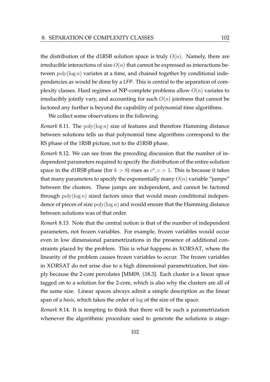the distribution of the d1RSB solution space is truly  $O(n)$ . Namely, there are irreducible interactions of size  $O(n)$  that cannot be expressed as interactions between  $poly(log n)$  variates at a time, and chained together by conditional independencies as would be done by a LFP. This is central to the separation of complexity classes. Hard regimes of NP-complete problems allow  $O(n)$  variates to irreducibly jointly vary, and accounting for such  $O(n)$  jointness that cannot be factored any further is beyond the capability of polynomial time algorithms.

We collect some observations in the following.

*Remark* 8.11*.* The poly(log n) size of features and therefore Hamming distance between solutions tells us that polynomial time algorithms correspond to the RS phase of the 1RSB picture, not to the d1RSB phase.

*Remark* 8.12*.* We can see from the preceding discussion that the number of independent parameters required to specify the distribution of the entire solution space in the d1RSB phase (for  $k > 8$ ) rises as  $c^n, c > 1$ . This is because it takes that many parameters to specify the exponentially many  $O(n)$  variable "jumps" between the clusters. These jumps are independent, and cannot be factored through  $poly(log n)$  sized factors since that would mean conditional independence of pieces of size  $poly(log n)$  and would ensure that the Hamming distance between solutions was of that order.

*Remark* 8.13*.* Note that the central notion is that of the number of independent parameters, not frozen variables. For example, frozen variables would occur even in low dimensional parametrizations in the presence of additional constraints placed by the problem. This is what happens in XORSAT, where the linearity of the problem causes frozen variables to occur. The frozen variables in XORSAT do not arise due to a high dimensional parametrization, but simply because the 2-core percolates [MM09, §18.3]. Each cluster is a linear space tagged on to a solution for the 2-core, which is also why the clusters are all of the same size. Linear spaces always admit a simple description as the linear span of a *basis*, which takes the order of log of the size of the space.

*Remark* 8.14*.* It is tempting to think that there will be such a parametrization whenever the algorithmic procedure used to generate the solutions is stage-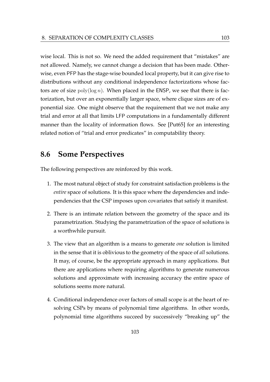wise local. This is not so. We need the added requirement that "mistakes" are not allowed. Namely, we cannot change a decision that has been made. Otherwise, even PFP has the stage-wise bounded local property, but it can give rise to distributions without any conditional independence factorizations whose factors are of size  $poly(\log n)$ . When placed in the ENSP, we see that there is factorization, but over an exponentially larger space, where clique sizes are of exponential size. One might observe that the requirement that we not make any trial and error at all that limits LFP computations in a fundamentally different manner than the locality of information flows. See [Put65] for an interesting related notion of "trial and error predicates" in computability theory.

## **8.6 Some Perspectives**

The following perspectives are reinforced by this work.

- 1. The most natural object of study for constraint satisfaction problems is the *entire* space of solutions. It is this space where the dependencies and independencies that the CSP imposes upon covariates that satisfy it manifest.
- 2. There is an intimate relation between the geometry of the space and its parametrization. Studying the parametrization of the space of solutions is a worthwhile pursuit.
- 3. The view that an algorithm is a means to generate *one* solution is limited in the sense that it is oblivious to the geometry of the space of *all* solutions. It may, of course, be the appropriate approach in many applications. But there are applications where requiring algorithms to generate numerous solutions and approximate with increasing accuracy the entire space of solutions seems more natural.
- 4. Conditional independence over factors of small scope is at the heart of resolving CSPs by means of polynomial time algorithms. In other words, polynomial time algorithms succeed by successively "breaking up" the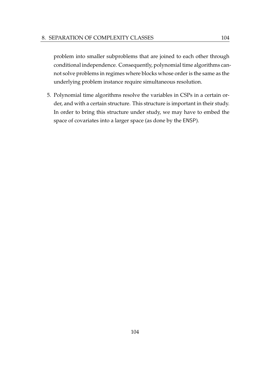problem into smaller subproblems that are joined to each other through conditional independence. Consequently, polynomial time algorithms cannot solve problems in regimes where blocks whose order is the same as the underlying problem instance require simultaneous resolution.

5. Polynomial time algorithms resolve the variables in CSPs in a certain order, and with a certain structure. This structure is important in their study. In order to bring this structure under study, we may have to embed the space of covariates into a larger space (as done by the ENSP).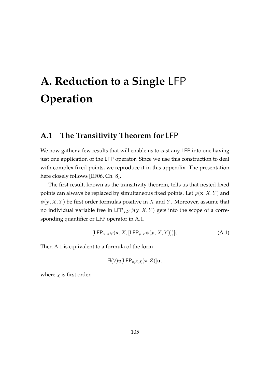## **A. Reduction to a Single** LFP **Operation**

### **A.1 The Transitivity Theorem for** LFP

We now gather a few results that will enable us to cast any LFP into one having just one application of the LFP operator. Since we use this construction to deal with complex fixed points, we reproduce it in this appendix. The presentation here closely follows [EF06, Ch. 8].

The first result, known as the transitivity theorem, tells us that nested fixed points can always be replaced by simultaneous fixed points. Let  $\varphi(\mathbf{x}, X, Y)$  and  $\psi(y, X, Y)$  be first order formulas positive in X and Y. Moreover, assume that no individual variable free in  $\text{LFP}_{y,Y}\psi(y,X,Y)$  gets into the scope of a corresponding quantifier or LFP operator in A.1.

$$
[\mathsf{LFP}_{\mathbf{x},X}\varphi(\mathbf{x},X,[\mathsf{LFP}_{\mathbf{y},Y}\psi(\mathbf{y},X,Y)])]\mathbf{t}
$$
 (A.1)

Then A.1 is equivalent to a formula of the form

$$
\exists (\forall) u [\mathsf{LFP}_{\mathbf{z},Z,\chi}(\mathbf{z},Z)]\mathbf{u},
$$

where  $\chi$  is first order.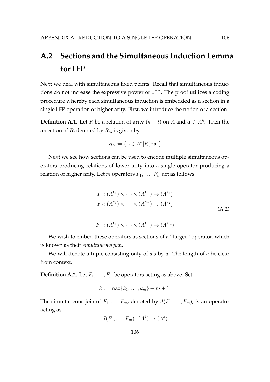### **A.2 Sections and the Simultaneous Induction Lemma for** LFP

Next we deal with simultaneous fixed points. Recall that simultaneous inductions do not increase the expressive power of LFP. The proof utilizes a coding procedure whereby each simultaneous induction is embedded as a section in a single LFP operation of higher arity. First, we introduce the notion of a section.

**Definition A.1.** Let *R* be a relation of arity  $(k+l)$  on *A* and  $a \in A^k$ . Then the a-section of  $R$ , denoted by  $R_{a}$ , is given by

$$
R_{\mathbf{a}} := \{ \mathbf{b} \in A^k | R(\mathbf{b}\mathbf{a}) \}
$$

Next we see how sections can be used to encode multiple simultaneous operators producing relations of lower arity into a single operator producing a relation of higher arity. Let m operators  $F_1, \ldots, F_m$  act as follows:

$$
F_1: (A^{k_1}) \times \cdots \times (A^{k_m}) \to (A^{k_1})
$$
  
\n
$$
F_2: (A^{k_1}) \times \cdots \times (A^{k_m}) \to (A^{k_2})
$$
  
\n
$$
\vdots
$$
  
\n
$$
F_m: (A^{k_1}) \times \cdots \times (A^{k_m}) \to (A^{k_m})
$$
 (A.2)

We wish to embed these operators as sections of a "larger" operator, which is known as their *simultaneous join*.

We will denote a tuple consisting only of  $a$ 's by  $\tilde{a}$ . The length of  $\tilde{a}$  be clear from context.

**Definition A.2.** Let  $F_1, \ldots, F_m$  be operators acting as above. Set

$$
k := \max\{k_1, \ldots, k_m\} + m + 1.
$$

The simultaneous join of  $F_1, \ldots, F_m$ , denoted by  $J(F_1, \ldots, F_m)$ , is an operator acting as

$$
J(F_1, \ldots, F_m) \colon (A^k) \to (A^k)
$$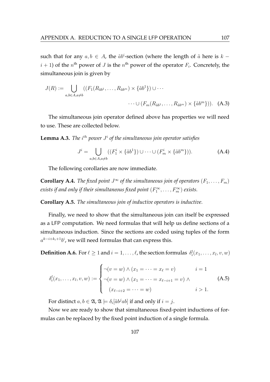such that for any  $a, b \in A$ , the  $\tilde{a}b^i$ -section (where the length of  $\tilde{a}$  here is  $k$  $i + 1$ ) of the  $n<sup>th</sup>$  power of  $J$  is the  $n<sup>th</sup>$  power of the operator  $F_i$ . Concretely, the simultaneous join is given by

$$
J(R) := \bigcup_{a,b \in A, a \neq b} ((F_1(R_{\tilde{a}b^1}, \dots, R_{\tilde{a}b^m}) \times {\tilde{a}b^1}) \cup \cdots
$$

$$
\cdots \cup (F_m(R_{\tilde{a}b^1}, \dots, R_{\tilde{a}b^m}) \times {\tilde{a}b^m}) ). \quad (A.3)
$$

The simultaneous join operator defined above has properties we will need to use. These are collected below.

**Lemma A.3.** *The*  $i^{th}$  power  $J^i$  of the simultaneous join operator satisfies

$$
J^{i} = \bigcup_{a,b \in A, a \neq b} ((F_1^{i} \times {\{\tilde{a}b^{1}\}}) \cup \cdots \cup (F_m^{i} \times {\{\tilde{a}b^{m}\}})).
$$
 (A.4)

The following corollaries are now immediate.

**Corollary A.4.** *The fixed point*  $J^{\infty}$  *of the simultaneous join of operators*  $(F_1, \ldots, F_m)$ exists if and only if their simultaneous fixed point  $(F_1^\infty,\ldots,F_m^\infty)$  exists.

**Corollary A.5.** *The simultaneous join of inductive operators is inductive.*

Finally, we need to show that the simultaneous join can itself be expressed as a LFP computation. We need formulas that will help us define sections of a simultaneous induction. Since the sections are coded using tuples of the form  $a^{k-i+k_i+1}b^i$ , we will need formulas that can express this.

**Definition A.6.** For  $\ell \geq 1$  and  $i = 1, \ldots, \ell$ , the section formulas  $\delta_i^l(x_1, \ldots, x_l, v, w)$ 

$$
\delta_i^l(x_1, \dots, x_l, v, w) := \begin{cases}\n-(v = w) \land (x_1 = \dots = x_\ell = v) & i = 1 \\
-(v = w) \land (x_1 = \dots = x_{\ell-i+1} = v) \land & (A.5) \\
(x_{\ell-i+2} = \dots = w) & i > 1.\n\end{cases}
$$

For distinct  $a, b \in \mathfrak{A}$ ,  $\mathfrak{A} \models \delta_i[\tilde{a}b^jab]$  if and only if  $i = j$ .

Now we are ready to show that simultaneous fixed-point inductions of formulas can be replaced by the fixed point induction of a single formula.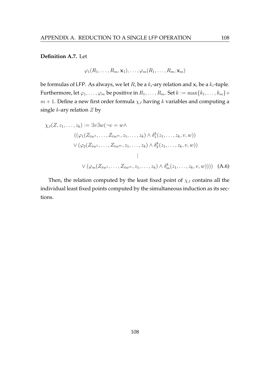#### **Definition A.7.** Let

$$
\varphi_1(R_1,\ldots,R_m,\mathbf{x}_1),\ldots,\varphi_m(R_1,\ldots,R_m,\mathbf{x}_m)
$$

be formulas of LFP. As always, we let  $R_i$  be a  $k_i$ -ary relation and  $\mathbf{x}_i$  be a  $k_i$ -tuple. Furthermore, let  $\varphi_1, \ldots, \varphi_m$  be positive in  $R_1, \ldots, R_m$ . Set  $k := \max\{k_1, \ldots, k_m\}$ +  $m + 1$ . Define a new first order formula  $\chi_J$  having k variables and computing a single  $k$ -ary relation  $Z$  by

$$
\chi_J(Z, z_1, \dots, z_k) := \exists v \exists w (\neg v = w \land \n((\varphi_1(Z_{\tilde{v}w^1}, \dots, Z_{\tilde{v}w^m}, z_1, \dots, z_k) \land \delta_1^k(z_1, \dots, z_k, v, w)) \n\lor (\varphi_2(Z_{\tilde{v}w^1}, \dots, Z_{\tilde{v}w^m}, z_1, \dots, z_k) \land \delta_2^k(z_1, \dots, z_k, v, w)) \n\vdots \n\lor (\varphi_m(Z_{\tilde{v}w^1}, \dots, Z_{\tilde{v}w^m}, z_1, \dots, z_k) \land \delta_m^k(z_1, \dots, z_k, v, w)))) \quad (A.6)
$$

Then, the relation computed by the least fixed point of  $\chi_J$  contains all the individual least fixed points computed by the simultaneous induction as its sections.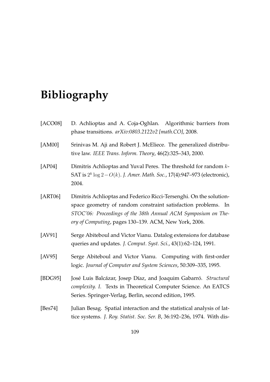# **Bibliography**

| [ACOO8]     | D. Achlioptas and A. Coja-Oghlan. Algorithmic barriers from<br>phase transitions. arXiv:0803.2122v2 [math.CO], 2008.                                                                                                                                             |
|-------------|------------------------------------------------------------------------------------------------------------------------------------------------------------------------------------------------------------------------------------------------------------------|
| [AM00]      | Srinivas M. Aji and Robert J. McEliece. The generalized distribu-<br>tive law. IEEE Trans. Inform. Theory, 46(2):325-343, 2000.                                                                                                                                  |
| [AP04]      | Dimitris Achlioptas and Yuval Peres. The threshold for random k-<br>SAT is $2^k \log 2 - O(k)$ . J. Amer. Math. Soc., 17(4):947–973 (electronic),<br>2004.                                                                                                       |
| [ART06]     | Dimitris Achlioptas and Federico Ricci-Tersenghi. On the solution-<br>space geometry of random constraint satisfaction problems.<br>In<br>STOC'06: Proceedings of the 38th Annual ACM Symposium on The-<br>ory of Computing, pages 130-139. ACM, New York, 2006. |
| $[AV91]$    | Serge Abiteboul and Victor Vianu. Datalog extensions for database<br>queries and updates. J. Comput. Syst. Sci., 43(1):62-124, 1991.                                                                                                                             |
| [AV95]      | Serge Abiteboul and Victor Vianu. Computing with first-order<br>logic. Journal of Computer and System Sciences, 50:309-335, 1995.                                                                                                                                |
| [BDG95]     | José Luis Balcázar, Josep Díaz, and Joaquim Gabarró. Structural<br>complexity. I. Texts in Theoretical Computer Science. An EATCS<br>Series. Springer-Verlag, Berlin, second edition, 1995.                                                                      |
| [ $Bes74$ ] | Julian Besag. Spatial interaction and the statistical analysis of lat-<br>tice systems. J. Roy. Statist. Soc. Ser. B, 36:192-236, 1974. With dis-                                                                                                                |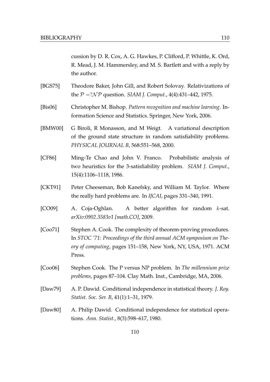cussion by D. R. Cox, A. G. Hawkes, P. Clifford, P. Whittle, K. Ord, R. Mead, J. M. Hammersley, and M. S. Bartlett and with a reply by the author.

- [BGS75] Theodore Baker, John Gill, and Robert Solovay. Relativizations of the  $P = ?NP$  question. *SIAM J. Comput.*, 4(4):431–442, 1975.
- [Bis06] Christopher M. Bishop. *Pattern recognition and machine learning*. Information Science and Statistics. Springer, New York, 2006.
- [BMW00] G Biroli, R Monasson, and M Weigt. A variational description of the ground state structure in random satisfiability problems. *PHYSICAL JOURNAL B*, 568:551–568, 2000.
- [CF86] Ming-Te Chao and John V. Franco. Probabilistic analysis of two heuristics for the 3-satisfiability problem. *SIAM J. Comput.*, 15(4):1106–1118, 1986.
- [CKT91] Peter Cheeseman, Bob Kanefsky, and William M. Taylor. Where the really hard problems are. In *IJCAI*, pages 331–340, 1991.
- [CO09] A. Coja-Oghlan. A better algorithm for random  $k$ -sat. *arXiv:0902.3583v1 [math.CO]*, 2009.
- [Coo71] Stephen A. Cook. The complexity of theorem-proving procedures. In *STOC '71: Proceedings of the third annual ACM symposium on Theory of computing*, pages 151–158, New York, NY, USA, 1971. ACM Press.
- [Coo06] Stephen Cook. The P versus NP problem. In *The millennium prize problems*, pages 87–104. Clay Math. Inst., Cambridge, MA, 2006.
- [Daw79] A. P. Dawid. Conditional independence in statistical theory. *J. Roy. Statist. Soc. Ser. B*, 41(1):1–31, 1979.
- [Daw80] A. Philip Dawid. Conditional independence for statistical operations. *Ann. Statist.*, 8(3):598–617, 1980.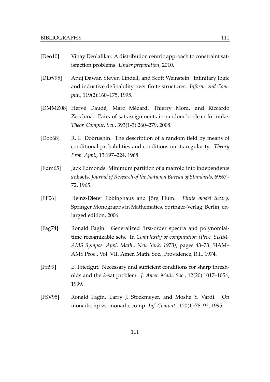- [Deo10] Vinay Deolalikar. A distribution centric approach to constraint satisfaction problems. *Under preparation*, 2010.
- [DLW95] Anuj Dawar, Steven Lindell, and Scott Weinstein. Infinitary logic and inductive definability over finite structures. *Inform. and Comput.*, 119(2):160–175, 1995.
- [DMMZ08] Hervé Daudé, Marc Mézard, Thierry Mora, and Riccardo Zecchina. Pairs of sat-assignments in random boolean formulæ. *Theor. Comput. Sci.*, 393(1-3):260–279, 2008.
- [Dob68] R. L. Dobrushin. The description of a random field by means of conditional probabilities and conditions on its regularity. *Theory Prob. Appl.*, 13:197–224, 1968.
- [Edm65] Jack Edmonds. Minimum partition of a matroid into independents subsets. *Journal of Research of the National Bureau of Standards*, 69:67– 72, 1965.
- [EF06] Heinz-Dieter Ebbinghaus and Jörg Flum. Finite model theory. Springer Monographs in Mathematics. Springer-Verlag, Berlin, enlarged edition, 2006.
- [Fag74] Ronald Fagin. Generalized first-order spectra and polynomialtime recognizable sets. In *Complexity of computation (Proc. SIAM-AMS Sympos. Appl. Math., New York, 1973)*, pages 43–73. SIAM– AMS Proc., Vol. VII. Amer. Math. Soc., Providence, R.I., 1974.
- [Fri99] E. Friedgut. Necessary and sufficient conditions for sharp thresholds and the k-sat problem. *J. Amer. Math. Soc.*, 12(20):1017–1054, 1999.
- [FSV95] Ronald Fagin, Larry J. Stockmeyer, and Moshe Y. Vardi. On monadic np vs. monadic co-np. *Inf. Comput.*, 120(1):78–92, 1995.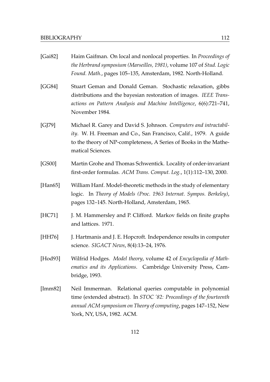| [Gai82] | Haim Gaifman. On local and nonlocal properties. In Proceedings of<br>the Herbrand symposium (Marseilles, 1981), volume 107 of Stud. Logic<br>Found. Math., pages 105-135, Amsterdam, 1982. North-Holland.                             |
|---------|---------------------------------------------------------------------------------------------------------------------------------------------------------------------------------------------------------------------------------------|
| [GG84]  | Stuart Geman and Donald Geman. Stochastic relaxation, gibbs<br>distributions and the bayesian restoration of images. IEEE Trans-<br>actions on Pattern Analysis and Machine Intelligence, 6(6):721–741,<br>November 1984.             |
| [GJ79]  | Michael R. Garey and David S. Johnson. Computers and intractabil-<br>ity. W. H. Freeman and Co., San Francisco, Calif., 1979. A guide<br>to the theory of NP-completeness, A Series of Books in the Mathe-<br>matical Sciences.       |
| [GS00]  | Martin Grohe and Thomas Schwentick. Locality of order-invariant<br>first-order formulas. ACM Trans. Comput. Log., 1(1):112-130, 2000.                                                                                                 |
| [Han65] | William Hanf. Model-theoretic methods in the study of elementary<br>logic. In Theory of Models (Proc. 1963 Internat. Sympos. Berkeley),<br>pages 132-145. North-Holland, Amsterdam, 1965.                                             |
| [HC71]  | J. M. Hammersley and P. Clifford. Markov fields on finite graphs<br>and lattices. 1971.                                                                                                                                               |
| [HH76]  | J. Hartmanis and J. E. Hopcroft. Independence results in computer<br>science. SIGACT News, 8(4):13-24, 1976.                                                                                                                          |
| [Hod93] | Wilfrid Hodges. Model theory, volume 42 of Encyclopedia of Math-<br>ematics and its Applications. Cambridge University Press, Cam-<br>bridge, 1993.                                                                                   |
| [Imm82] | Relational queries computable in polynomial<br>Neil Immerman.<br>time (extended abstract). In STOC '82: Proceedings of the fourteenth<br>annual ACM symposium on Theory of computing, pages 147–152, New<br>York, NY, USA, 1982. ACM. |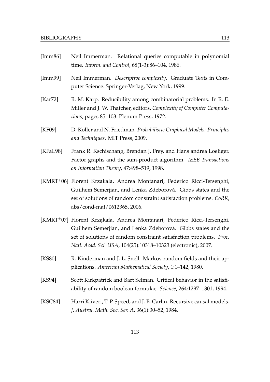| [Imm86]     | Neil Immerman. Relational queries computable in polynomial<br>time. Inform. and Control, 68(1-3):86-104, 1986.                                                                                                                                                                 |
|-------------|--------------------------------------------------------------------------------------------------------------------------------------------------------------------------------------------------------------------------------------------------------------------------------|
| [Imm99]     | Neil Immerman. Descriptive complexity. Graduate Texts in Com-<br>puter Science. Springer-Verlag, New York, 1999.                                                                                                                                                               |
| [ $Kar72$ ] | R. M. Karp. Reducibility among combinatorial problems. In R. E.<br>Miller and J. W. Thatcher, editors, Complexity of Computer Computa-<br>tions, pages 85-103. Plenum Press, 1972.                                                                                             |
| [KF09]      | D. Koller and N. Friedman. Probabilistic Graphical Models: Principles<br>and Techniques. MIT Press, 2009.                                                                                                                                                                      |
| [KFaL98]    | Frank R. Kschischang, Brendan J. Frey, and Hans andrea Loeliger.<br>Factor graphs and the sum-product algorithm. IEEE Transactions<br>on Information Theory, 47:498-519, 1998.                                                                                                 |
|             | [KMRT+06] Florent Krzakala, Andrea Montanari, Federico Ricci-Tersenghi,<br>Guilhem Semerjian, and Lenka Zdeborová. Gibbs states and the<br>set of solutions of random constraint satisfaction problems. CoRR,<br>abs/cond-mat/0612365, 2006.                                   |
|             | [KMRT+07] Florent Krząkała, Andrea Montanari, Federico Ricci-Tersenghi,<br>Guilhem Semerjian, and Lenka Zdeborová. Gibbs states and the<br>set of solutions of random constraint satisfaction problems. Proc.<br>Natl. Acad. Sci. USA, 104(25):10318-10323 (electronic), 2007. |
| [KS80]      | R. Kinderman and J. L. Snell. Markov random fields and their ap-<br>plications. American Mathematical Society, 1:1-142, 1980.                                                                                                                                                  |
| [KS94]      | Scott Kirkpatrick and Bart Selman. Critical behavior in the satisfi-<br>ability of random boolean formulae. <i>Science</i> , 264:1297–1301, 1994.                                                                                                                              |
| [KSC84]     | Harri Kiiveri, T. P. Speed, and J. B. Carlin. Recursive causal models.<br>J. Austral. Math. Soc. Ser. A, 36(1):30–52, 1984.                                                                                                                                                    |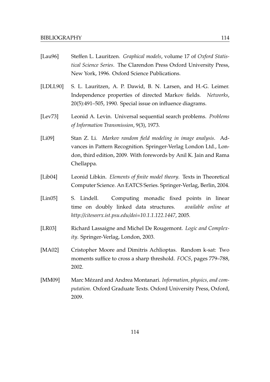- [Lau96] Steffen L. Lauritzen. *Graphical models*, volume 17 of *Oxford Statistical Science Series*. The Clarendon Press Oxford University Press, New York, 1996. Oxford Science Publications.
- [LDLL90] S. L. Lauritzen, A. P. Dawid, B. N. Larsen, and H.-G. Leimer. Independence properties of directed Markov fields. *Networks*, 20(5):491–505, 1990. Special issue on influence diagrams.
- [Lev73] Leonid A. Levin. Universal sequential search problems. *Problems of Information Transmission*, 9(3), 1973.
- [Li09] Stan Z. Li. *Markov random field modeling in image analysis*. Advances in Pattern Recognition. Springer-Verlag London Ltd., London, third edition, 2009. With forewords by Anil K. Jain and Rama Chellappa.
- [Lib04] Leonid Libkin. *Elements of finite model theory*. Texts in Theoretical Computer Science. An EATCS Series. Springer-Verlag, Berlin, 2004.
- [Lin05] S. Lindell. Computing monadic fixed points in linear time on doubly linked data structures. *available online at http://citeseerx.ist.psu.edu/doi=10.1.1.122.1447*, 2005.
- [LR03] Richard Lassaigne and Michel De Rougemont. *Logic and Complexity*. Springer-Verlag, London, 2003.
- [MA02] Cristopher Moore and Dimitris Achlioptas. Random k-sat: Two moments suffice to cross a sharp threshold. *FOCS*, pages 779–788, 2002.
- [MM09] Marc Mézard and Andrea Montanari. *Information*, *physics*, and com*putation*. Oxford Graduate Texts. Oxford University Press, Oxford, 2009.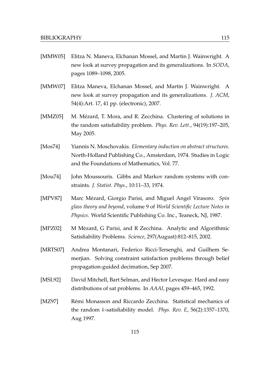- [MMW05] Elitza N. Maneva, Elchanan Mossel, and Martin J. Wainwright. A new look at survey propagation and its generalizations. In *SODA*, pages 1089–1098, 2005.
- [MMW07] Elitza Maneva, Elchanan Mossel, and Martin J. Wainwright. A new look at survey propagation and its generalizations. *J. ACM*, 54(4):Art. 17, 41 pp. (electronic), 2007.
- [MMZ05] M. Mézard, T. Mora, and R. Zecchina. Clustering of solutions in the random satisfiability problem. *Phys. Rev. Lett.*, 94(19):197–205, May 2005.
- [Mos74] Yiannis N. Moschovakis. *Elementary induction on abstract structures*. North-Holland Publishing Co., Amsterdam, 1974. Studies in Logic and the Foundations of Mathematics, Vol. 77.
- [Mou74] John Moussouris. Gibbs and Markov random systems with constraints. *J. Statist. Phys.*, 10:11–33, 1974.
- [MPV87] Marc Mézard, Giorgio Parisi, and Miguel Angel Virasoro. Spin *glass theory and beyond*, volume 9 of *World Scientific Lecture Notes in Physics*. World Scientific Publishing Co. Inc., Teaneck, NJ, 1987.
- [MPZ02] M Mèzard, G Parisi, and R Zecchina. Analytic and Algorithmic Satisfiability Problems. *Science*, 297(August):812–815, 2002.
- [MRTS07] Andrea Montanari, Federico Ricci-Tersenghi, and Guilhem Semerjian. Solving constraint satisfaction problems through belief propagation-guided decimation, Sep 2007.
- [MSL92] David Mitchell, Bart Selman, and Hector Levesque. Hard and easy distributions of sat problems. In *AAAI*, pages 459–465, 1992.
- [MZ97] Rémi Monasson and Riccardo Zecchina. Statistical mechanics of the random k-satisfiability model. *Phys. Rev. E*, 56(2):1357–1370, Aug 1997.